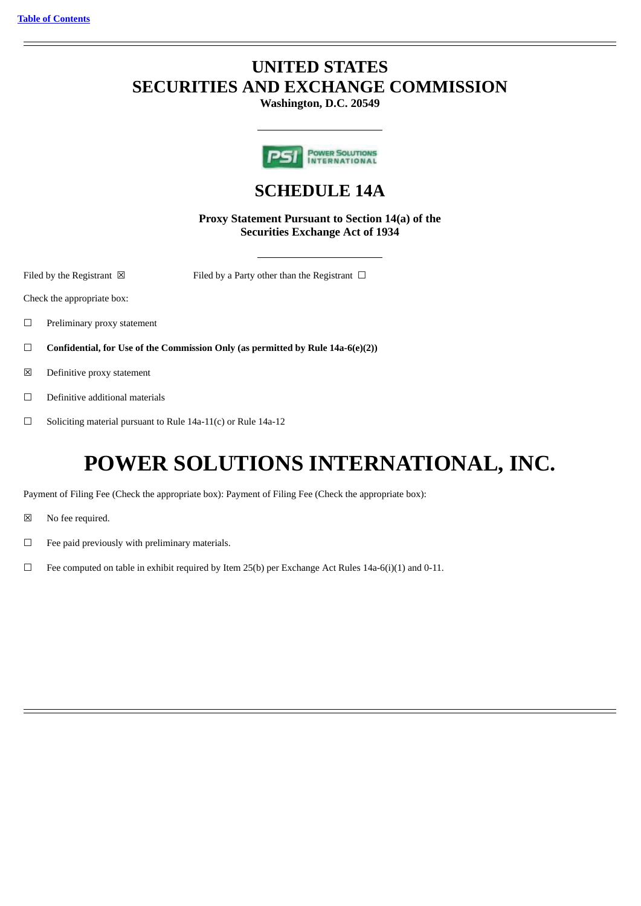## **UNITED STATES SECURITIES AND EXCHANGE COMMISSION**

**Washington, D.C. 20549**



**SCHEDULE 14A**

**Proxy Statement Pursuant to Section 14(a) of the Securities Exchange Act of 1934**

Filed by the Registrant  $\boxtimes$  Filed by a Party other than the Registrant  $\Box$ 

Check the appropriate box:

- □ Preliminary proxy statement
- ☐ **Confidential, for Use of the Commission Only (as permitted by Rule 14a-6(e)(2))**
- ☒ Definitive proxy statement
- ☐ Definitive additional materials
- ☐ Soliciting material pursuant to Rule 14a-11(c) or Rule 14a-12

# **POWER SOLUTIONS INTERNATIONAL, INC.**

Payment of Filing Fee (Check the appropriate box): Payment of Filing Fee (Check the appropriate box):

- ☒ No fee required.
- $\Box$  Fee paid previously with preliminary materials.
- □ Fee computed on table in exhibit required by Item 25(b) per Exchange Act Rules 14a-6(i)(1) and 0-11.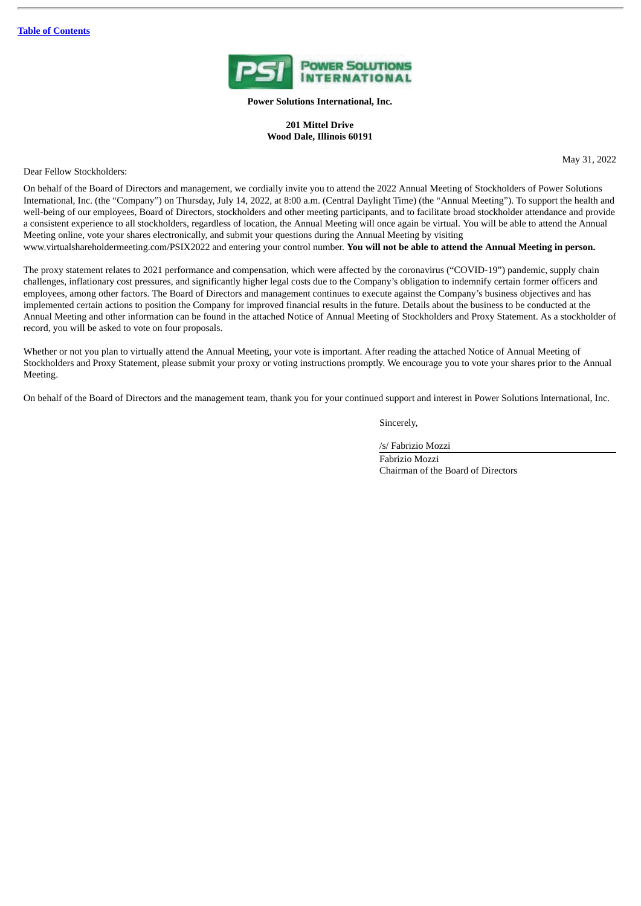

**Power Solutions International, Inc.**

**201 Mittel Drive Wood Dale, Illinois 60191**

Dear Fellow Stockholders:

May 31, 2022

On behalf of the Board of Directors and management, we cordially invite you to attend the 2022 Annual Meeting of Stockholders of Power Solutions International, Inc. (the "Company") on Thursday, July 14, 2022, at 8:00 a.m. (Central Daylight Time) (the "Annual Meeting"). To support the health and well-being of our employees, Board of Directors, stockholders and other meeting participants, and to facilitate broad stockholder attendance and provide a consistent experience to all stockholders, regardless of location, the Annual Meeting will once again be virtual. You will be able to attend the Annual Meeting online, vote your shares electronically, and submit your questions during the Annual Meeting by visiting

www.virtualshareholdermeeting.com/PSIX2022 and entering your control number. **You will not be able to attend the Annual Meeting in person.**

The proxy statement relates to 2021 performance and compensation, which were affected by the coronavirus ("COVID-19") pandemic, supply chain challenges, inflationary cost pressures, and significantly higher legal costs due to the Company's obligation to indemnify certain former officers and employees, among other factors. The Board of Directors and management continues to execute against the Company's business objectives and has implemented certain actions to position the Company for improved financial results in the future. Details about the business to be conducted at the Annual Meeting and other information can be found in the attached Notice of Annual Meeting of Stockholders and Proxy Statement. As a stockholder of record, you will be asked to vote on four proposals.

Whether or not you plan to virtually attend the Annual Meeting, your vote is important. After reading the attached Notice of Annual Meeting of Stockholders and Proxy Statement, please submit your proxy or voting instructions promptly. We encourage you to vote your shares prior to the Annual Meeting.

On behalf of the Board of Directors and the management team, thank you for your continued support and interest in Power Solutions International, Inc.

Sincerely,

/s/ Fabrizio Mozzi

Fabrizio Mozzi Chairman of the Board of Directors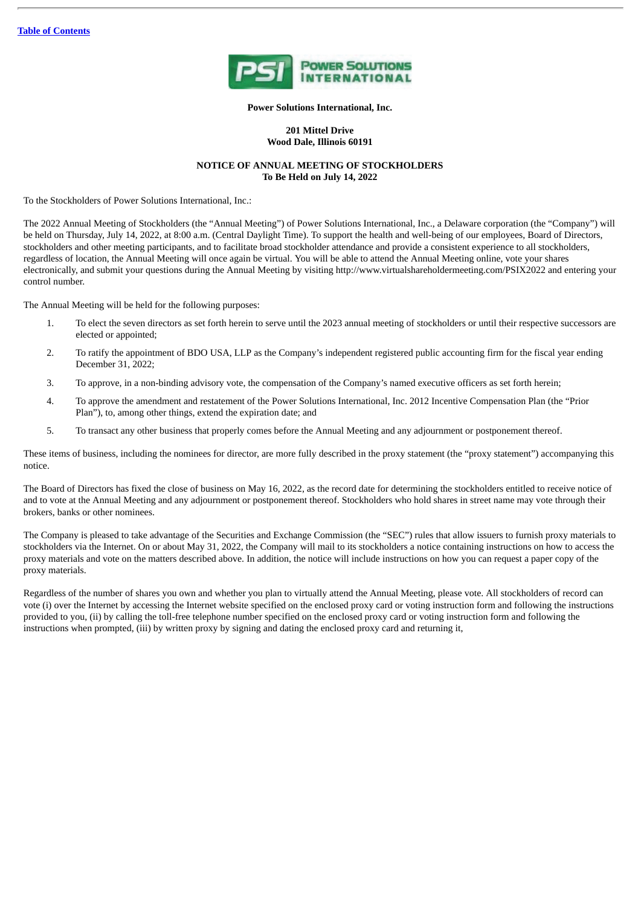

**Power Solutions International, Inc.**

## **201 Mittel Drive Wood Dale, Illinois 60191**

## **NOTICE OF ANNUAL MEETING OF STOCKHOLDERS To Be Held on July 14, 2022**

To the Stockholders of Power Solutions International, Inc.:

The 2022 Annual Meeting of Stockholders (the "Annual Meeting") of Power Solutions International, Inc., a Delaware corporation (the "Company") will be held on Thursday, July 14, 2022, at 8:00 a.m. (Central Daylight Time). To support the health and well-being of our employees, Board of Directors, stockholders and other meeting participants, and to facilitate broad stockholder attendance and provide a consistent experience to all stockholders, regardless of location, the Annual Meeting will once again be virtual. You will be able to attend the Annual Meeting online, vote your shares electronically, and submit your questions during the Annual Meeting by visiting http://www.virtualshareholdermeeting.com/PSIX2022 and entering your control number.

The Annual Meeting will be held for the following purposes:

- 1. To elect the seven directors as set forth herein to serve until the 2023 annual meeting of stockholders or until their respective successors are elected or appointed;
- 2. To ratify the appointment of BDO USA, LLP as the Company's independent registered public accounting firm for the fiscal year ending December 31, 2022;
- 3. To approve, in a non-binding advisory vote, the compensation of the Company's named executive officers as set forth herein;
- 4. To approve the amendment and restatement of the Power Solutions International, Inc. 2012 Incentive Compensation Plan (the "Prior Plan"), to, among other things, extend the expiration date; and
- 5. To transact any other business that properly comes before the Annual Meeting and any adjournment or postponement thereof.

These items of business, including the nominees for director, are more fully described in the proxy statement (the "proxy statement") accompanying this notice.

The Board of Directors has fixed the close of business on May 16, 2022, as the record date for determining the stockholders entitled to receive notice of and to vote at the Annual Meeting and any adjournment or postponement thereof. Stockholders who hold shares in street name may vote through their brokers, banks or other nominees.

The Company is pleased to take advantage of the Securities and Exchange Commission (the "SEC") rules that allow issuers to furnish proxy materials to stockholders via the Internet. On or about May 31, 2022, the Company will mail to its stockholders a notice containing instructions on how to access the proxy materials and vote on the matters described above. In addition, the notice will include instructions on how you can request a paper copy of the proxy materials.

Regardless of the number of shares you own and whether you plan to virtually attend the Annual Meeting, please vote. All stockholders of record can vote (i) over the Internet by accessing the Internet website specified on the enclosed proxy card or voting instruction form and following the instructions provided to you, (ii) by calling the toll-free telephone number specified on the enclosed proxy card or voting instruction form and following the instructions when prompted, (iii) by written proxy by signing and dating the enclosed proxy card and returning it,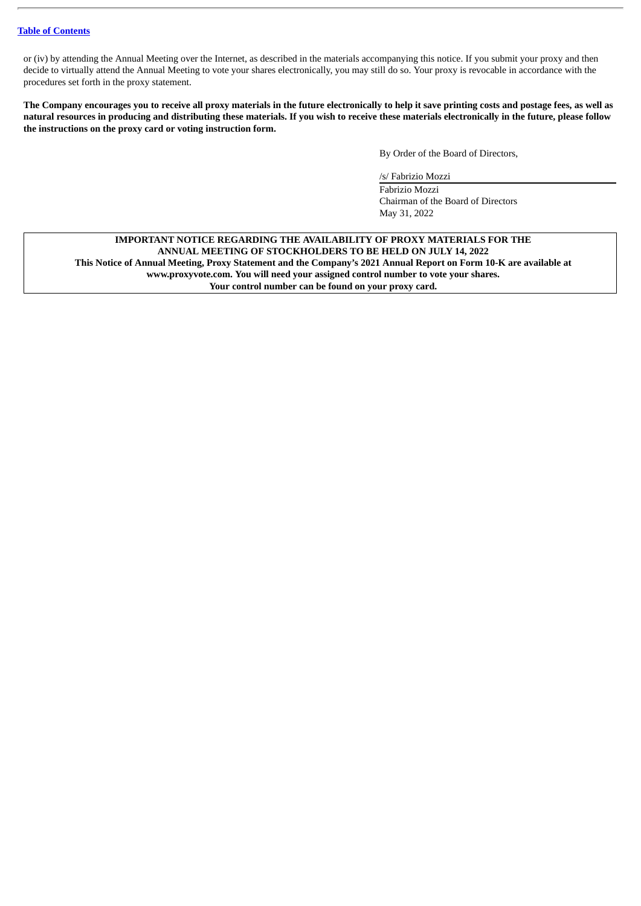or (iv) by attending the Annual Meeting over the Internet, as described in the materials accompanying this notice. If you submit your proxy and then decide to virtually attend the Annual Meeting to vote your shares electronically, you may still do so. Your proxy is revocable in accordance with the procedures set forth in the proxy statement.

The Company encourages you to receive all proxy materials in the future electronically to help it save printing costs and postage fees, as well as natural resources in producing and distributing these materials. If you wish to receive these materials electronically in the future, please follow **the instructions on the proxy card or voting instruction form.**

By Order of the Board of Directors,

/s/ Fabrizio Mozzi

Fabrizio Mozzi Chairman of the Board of Directors May 31, 2022

#### **IMPORTANT NOTICE REGARDING THE AVAILABILITY OF PROXY MATERIALS FOR THE ANNUAL MEETING OF STOCKHOLDERS TO BE HELD ON JULY 14, 2022**

This Notice of Annual Meeting, Proxy Statement and the Company's 2021 Annual Report on Form 10-K are available at **www.proxyvote.com. You will need your assigned control number to vote your shares.**

**Your control number can be found on your proxy card.**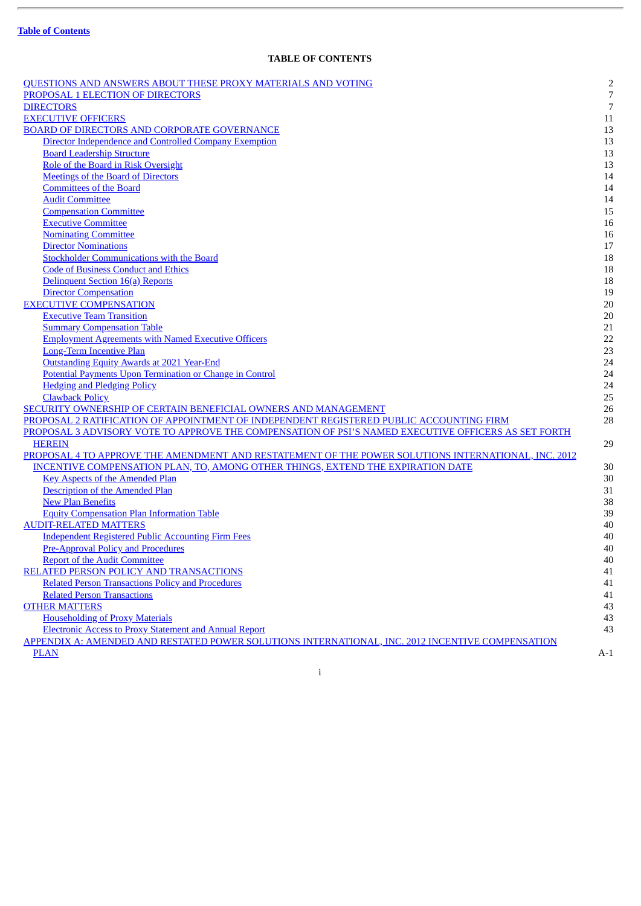|  |  | <b>Table of Contents</b> |
|--|--|--------------------------|
|  |  |                          |

 $\overline{r}$ 

## **TABLE OF CONTENTS**

<span id="page-4-0"></span>

| <b>QUESTIONS AND ANSWERS ABOUT THESE PROXY MATERIALS AND VOTING</b>                                 | 2                |
|-----------------------------------------------------------------------------------------------------|------------------|
| PROPOSAL 1 ELECTION OF DIRECTORS                                                                    | $\boldsymbol{7}$ |
| <b>DIRECTORS</b>                                                                                    | $\overline{7}$   |
| <b>EXECUTIVE OFFICERS</b>                                                                           | 11               |
| <b>BOARD OF DIRECTORS AND CORPORATE GOVERNANCE</b>                                                  | 13               |
| Director Independence and Controlled Company Exemption                                              | 13               |
| <b>Board Leadership Structure</b>                                                                   | 13               |
| Role of the Board in Risk Oversight                                                                 | 13               |
| <b>Meetings of the Board of Directors</b>                                                           | 14               |
| <b>Committees of the Board</b>                                                                      | 14               |
| <b>Audit Committee</b>                                                                              | 14               |
| <b>Compensation Committee</b>                                                                       | 15               |
| <b>Executive Committee</b>                                                                          | 16               |
| <b>Nominating Committee</b>                                                                         | 16               |
| <b>Director Nominations</b>                                                                         | 17               |
| <b>Stockholder Communications with the Board</b>                                                    | 18               |
| <b>Code of Business Conduct and Ethics</b>                                                          | 18               |
| Delinquent Section 16(a) Reports                                                                    | 18               |
| <b>Director Compensation</b>                                                                        | 19               |
| <b>EXECUTIVE COMPENSATION</b>                                                                       | 20               |
| <b>Executive Team Transition</b>                                                                    | 20               |
| <b>Summary Compensation Table</b>                                                                   | 21               |
| <b>Employment Agreements with Named Executive Officers</b>                                          | 22               |
| <b>Long-Term Incentive Plan</b>                                                                     | 23               |
| <b>Outstanding Equity Awards at 2021 Year-End</b>                                                   | 24               |
| Potential Payments Upon Termination or Change in Control                                            | 24               |
| <b>Hedging and Pledging Policy</b>                                                                  | 24               |
| <b>Clawback Policy</b>                                                                              | 25               |
| <b>SECURITY OWNERSHIP OF CERTAIN BENEFICIAL OWNERS AND MANAGEMENT</b>                               | 26               |
| PROPOSAL 2 RATIFICATION OF APPOINTMENT OF INDEPENDENT REGISTERED PUBLIC ACCOUNTING FIRM             | 28               |
| PROPOSAL 3 ADVISORY VOTE TO APPROVE THE COMPENSATION OF PSI'S NAMED EXECUTIVE OFFICERS AS SET FORTH |                  |
| <b>HEREIN</b>                                                                                       | 29               |
| PROPOSAL 4 TO APPROVE THE AMENDMENT AND RESTATEMENT OF THE POWER SOLUTIONS INTERNATIONAL, INC. 2012 |                  |
|                                                                                                     |                  |
| <b>INCENTIVE COMPENSATION PLAN, TO, AMONG OTHER THINGS, EXTEND THE EXPIRATION DATE</b>              | 30               |
| <b>Key Aspects of the Amended Plan</b>                                                              | $30\,$           |
| Description of the Amended Plan                                                                     | 31               |
| <b>New Plan Benefits</b>                                                                            | 38               |
| <b>Equity Compensation Plan Information Table</b>                                                   | 39               |
| <b>AUDIT-RELATED MATTERS</b>                                                                        | 40               |
| <b>Independent Registered Public Accounting Firm Fees</b>                                           | 40               |
| <b>Pre-Approval Policy and Procedures</b>                                                           | 40               |
| <b>Report of the Audit Committee</b>                                                                | 40               |
| RELATED PERSON POLICY AND TRANSACTIONS                                                              | 41               |
| <b>Related Person Transactions Policy and Procedures</b>                                            | 41               |
| <b>Related Person Transactions</b>                                                                  | 41               |
| <b>OTHER MATTERS</b>                                                                                | 43               |
| <b>Householding of Proxy Materials</b>                                                              | 43               |
| <b>Electronic Access to Proxy Statement and Annual Report</b>                                       | 43               |
| APPENDIX A: AMENDED AND RESTATED POWER SOLUTIONS INTERNATIONAL, INC. 2012 INCENTIVE COMPENSATION    |                  |
| <b>PLAN</b>                                                                                         | $A-1$            |

i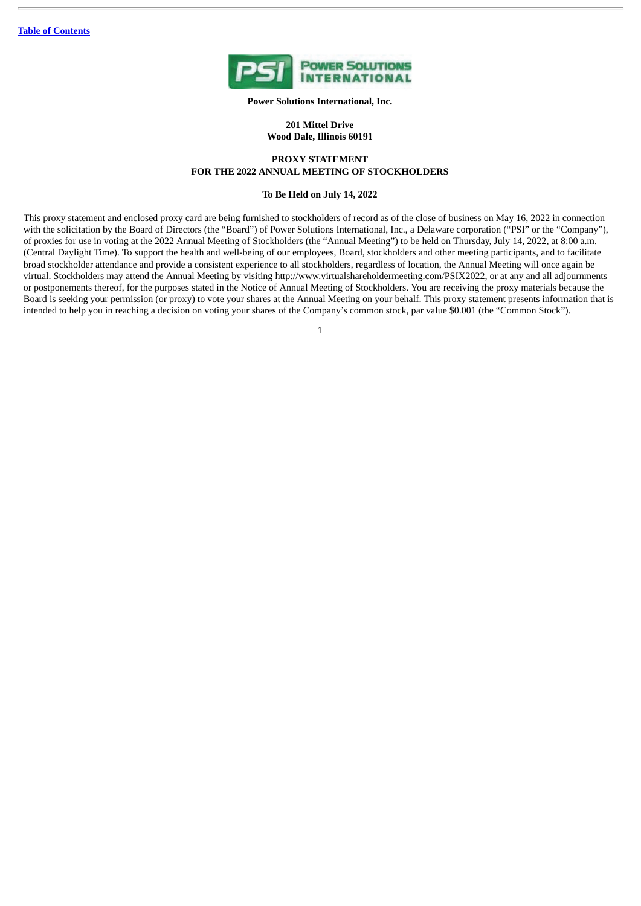

#### **Power Solutions International, Inc.**

## **201 Mittel Drive Wood Dale, Illinois 60191**

## **PROXY STATEMENT FOR THE 2022 ANNUAL MEETING OF STOCKHOLDERS**

## **To Be Held on July 14, 2022**

This proxy statement and enclosed proxy card are being furnished to stockholders of record as of the close of business on May 16, 2022 in connection with the solicitation by the Board of Directors (the "Board") of Power Solutions International, Inc., a Delaware corporation ("PSI" or the "Company"), of proxies for use in voting at the 2022 Annual Meeting of Stockholders (the "Annual Meeting") to be held on Thursday, July 14, 2022, at 8:00 a.m. (Central Daylight Time). To support the health and well-being of our employees, Board, stockholders and other meeting participants, and to facilitate broad stockholder attendance and provide a consistent experience to all stockholders, regardless of location, the Annual Meeting will once again be virtual. Stockholders may attend the Annual Meeting by visiting http://www.virtualshareholdermeeting.com/PSIX2022, or at any and all adjournments or postponements thereof, for the purposes stated in the Notice of Annual Meeting of Stockholders. You are receiving the proxy materials because the Board is seeking your permission (or proxy) to vote your shares at the Annual Meeting on your behalf. This proxy statement presents information that is intended to help you in reaching a decision on voting your shares of the Company's common stock, par value \$0.001 (the "Common Stock").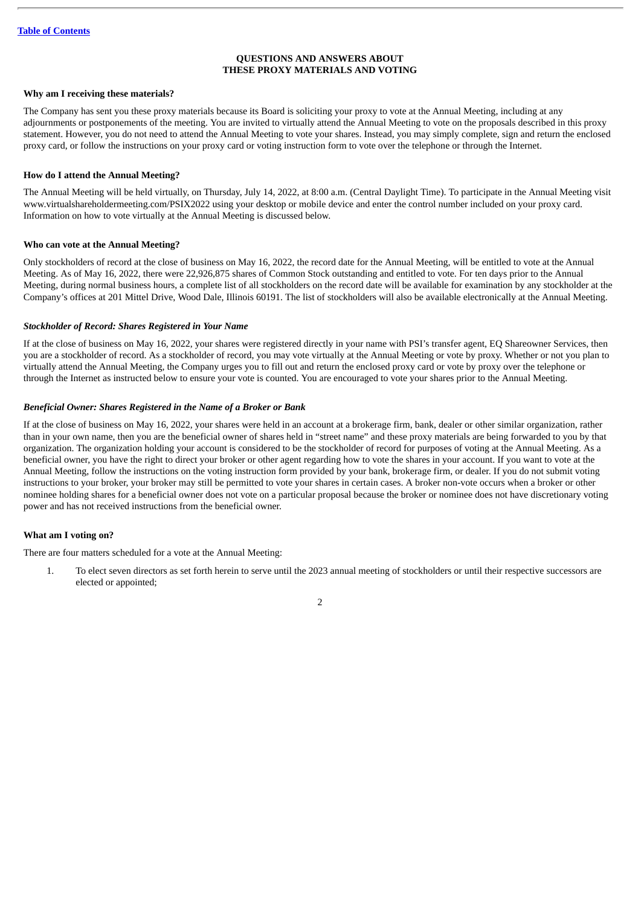## **QUESTIONS AND ANSWERS ABOUT THESE PROXY MATERIALS AND VOTING**

#### <span id="page-6-0"></span>**Why am I receiving these materials?**

The Company has sent you these proxy materials because its Board is soliciting your proxy to vote at the Annual Meeting, including at any adjournments or postponements of the meeting. You are invited to virtually attend the Annual Meeting to vote on the proposals described in this proxy statement. However, you do not need to attend the Annual Meeting to vote your shares. Instead, you may simply complete, sign and return the enclosed proxy card, or follow the instructions on your proxy card or voting instruction form to vote over the telephone or through the Internet.

#### **How do I attend the Annual Meeting?**

The Annual Meeting will be held virtually, on Thursday, July 14, 2022, at 8:00 a.m. (Central Daylight Time). To participate in the Annual Meeting visit www.virtualshareholdermeeting.com/PSIX2022 using your desktop or mobile device and enter the control number included on your proxy card. Information on how to vote virtually at the Annual Meeting is discussed below.

#### **Who can vote at the Annual Meeting?**

Only stockholders of record at the close of business on May 16, 2022, the record date for the Annual Meeting, will be entitled to vote at the Annual Meeting. As of May 16, 2022, there were 22,926,875 shares of Common Stock outstanding and entitled to vote. For ten days prior to the Annual Meeting, during normal business hours, a complete list of all stockholders on the record date will be available for examination by any stockholder at the Company's offices at 201 Mittel Drive, Wood Dale, Illinois 60191. The list of stockholders will also be available electronically at the Annual Meeting.

#### *Stockholder of Record: Shares Registered in Your Name*

If at the close of business on May 16, 2022, your shares were registered directly in your name with PSI's transfer agent, EQ Shareowner Services, then you are a stockholder of record. As a stockholder of record, you may vote virtually at the Annual Meeting or vote by proxy. Whether or not you plan to virtually attend the Annual Meeting, the Company urges you to fill out and return the enclosed proxy card or vote by proxy over the telephone or through the Internet as instructed below to ensure your vote is counted. You are encouraged to vote your shares prior to the Annual Meeting.

#### *Beneficial Owner: Shares Registered in the Name of a Broker or Bank*

If at the close of business on May 16, 2022, your shares were held in an account at a brokerage firm, bank, dealer or other similar organization, rather than in your own name, then you are the beneficial owner of shares held in "street name" and these proxy materials are being forwarded to you by that organization. The organization holding your account is considered to be the stockholder of record for purposes of voting at the Annual Meeting. As a beneficial owner, you have the right to direct your broker or other agent regarding how to vote the shares in your account. If you want to vote at the Annual Meeting, follow the instructions on the voting instruction form provided by your bank, brokerage firm, or dealer. If you do not submit voting instructions to your broker, your broker may still be permitted to vote your shares in certain cases. A broker non-vote occurs when a broker or other nominee holding shares for a beneficial owner does not vote on a particular proposal because the broker or nominee does not have discretionary voting power and has not received instructions from the beneficial owner.

#### **What am I voting on?**

There are four matters scheduled for a vote at the Annual Meeting:

1. To elect seven directors as set forth herein to serve until the 2023 annual meeting of stockholders or until their respective successors are elected or appointed;

 $\overline{2}$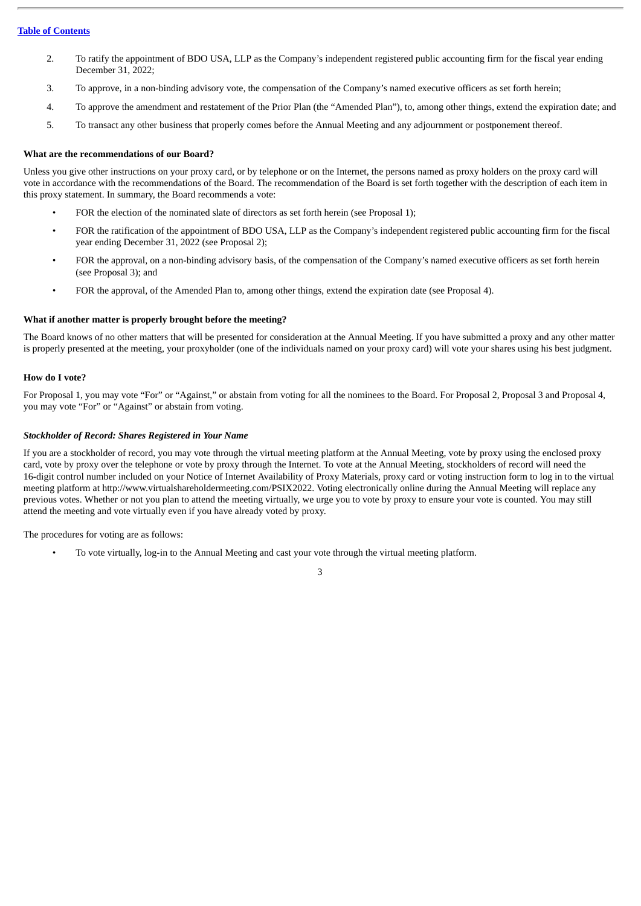- 2. To ratify the appointment of BDO USA, LLP as the Company's independent registered public accounting firm for the fiscal year ending December 31, 2022;
- 3. To approve, in a non-binding advisory vote, the compensation of the Company's named executive officers as set forth herein;
- 4. To approve the amendment and restatement of the Prior Plan (the "Amended Plan"), to, among other things, extend the expiration date; and
- 5. To transact any other business that properly comes before the Annual Meeting and any adjournment or postponement thereof.

## **What are the recommendations of our Board?**

Unless you give other instructions on your proxy card, or by telephone or on the Internet, the persons named as proxy holders on the proxy card will vote in accordance with the recommendations of the Board. The recommendation of the Board is set forth together with the description of each item in this proxy statement. In summary, the Board recommends a vote:

- FOR the election of the nominated slate of directors as set forth herein (see Proposal 1);
- FOR the ratification of the appointment of BDO USA, LLP as the Company's independent registered public accounting firm for the fiscal year ending December 31, 2022 (see Proposal 2);
- FOR the approval, on a non-binding advisory basis, of the compensation of the Company's named executive officers as set forth herein (see Proposal 3); and
- FOR the approval, of the Amended Plan to, among other things, extend the expiration date (see Proposal 4).

## **What if another matter is properly brought before the meeting?**

The Board knows of no other matters that will be presented for consideration at the Annual Meeting. If you have submitted a proxy and any other matter is properly presented at the meeting, your proxyholder (one of the individuals named on your proxy card) will vote your shares using his best judgment.

## **How do I vote?**

For Proposal 1, you may vote "For" or "Against," or abstain from voting for all the nominees to the Board. For Proposal 2, Proposal 3 and Proposal 4, you may vote "For" or "Against" or abstain from voting.

## *Stockholder of Record: Shares Registered in Your Name*

If you are a stockholder of record, you may vote through the virtual meeting platform at the Annual Meeting, vote by proxy using the enclosed proxy card, vote by proxy over the telephone or vote by proxy through the Internet. To vote at the Annual Meeting, stockholders of record will need the 16-digit control number included on your Notice of Internet Availability of Proxy Materials, proxy card or voting instruction form to log in to the virtual meeting platform at http://www.virtualshareholdermeeting.com/PSIX2022. Voting electronically online during the Annual Meeting will replace any previous votes. Whether or not you plan to attend the meeting virtually, we urge you to vote by proxy to ensure your vote is counted. You may still attend the meeting and vote virtually even if you have already voted by proxy.

The procedures for voting are as follows:

• To vote virtually, log-in to the Annual Meeting and cast your vote through the virtual meeting platform.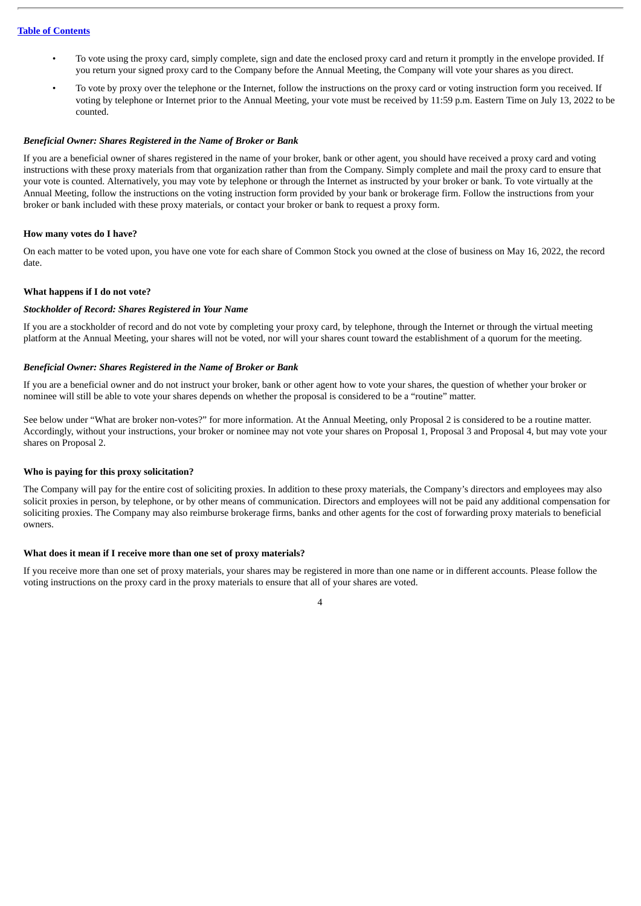- To vote using the proxy card, simply complete, sign and date the enclosed proxy card and return it promptly in the envelope provided. If you return your signed proxy card to the Company before the Annual Meeting, the Company will vote your shares as you direct.
- To vote by proxy over the telephone or the Internet, follow the instructions on the proxy card or voting instruction form you received. If voting by telephone or Internet prior to the Annual Meeting, your vote must be received by 11:59 p.m. Eastern Time on July 13, 2022 to be counted.

## *Beneficial Owner: Shares Registered in the Name of Broker or Bank*

If you are a beneficial owner of shares registered in the name of your broker, bank or other agent, you should have received a proxy card and voting instructions with these proxy materials from that organization rather than from the Company. Simply complete and mail the proxy card to ensure that your vote is counted. Alternatively, you may vote by telephone or through the Internet as instructed by your broker or bank. To vote virtually at the Annual Meeting, follow the instructions on the voting instruction form provided by your bank or brokerage firm. Follow the instructions from your broker or bank included with these proxy materials, or contact your broker or bank to request a proxy form.

## **How many votes do I have?**

On each matter to be voted upon, you have one vote for each share of Common Stock you owned at the close of business on May 16, 2022, the record date.

## **What happens if I do not vote?**

## *Stockholder of Record: Shares Registered in Your Name*

If you are a stockholder of record and do not vote by completing your proxy card, by telephone, through the Internet or through the virtual meeting platform at the Annual Meeting, your shares will not be voted, nor will your shares count toward the establishment of a quorum for the meeting.

## *Beneficial Owner: Shares Registered in the Name of Broker or Bank*

If you are a beneficial owner and do not instruct your broker, bank or other agent how to vote your shares, the question of whether your broker or nominee will still be able to vote your shares depends on whether the proposal is considered to be a "routine" matter.

See below under "What are broker non-votes?" for more information. At the Annual Meeting, only Proposal 2 is considered to be a routine matter. Accordingly, without your instructions, your broker or nominee may not vote your shares on Proposal 1, Proposal 3 and Proposal 4, but may vote your shares on Proposal 2.

## **Who is paying for this proxy solicitation?**

The Company will pay for the entire cost of soliciting proxies. In addition to these proxy materials, the Company's directors and employees may also solicit proxies in person, by telephone, or by other means of communication. Directors and employees will not be paid any additional compensation for soliciting proxies. The Company may also reimburse brokerage firms, banks and other agents for the cost of forwarding proxy materials to beneficial owners.

## **What does it mean if I receive more than one set of proxy materials?**

If you receive more than one set of proxy materials, your shares may be registered in more than one name or in different accounts. Please follow the voting instructions on the proxy card in the proxy materials to ensure that all of your shares are voted.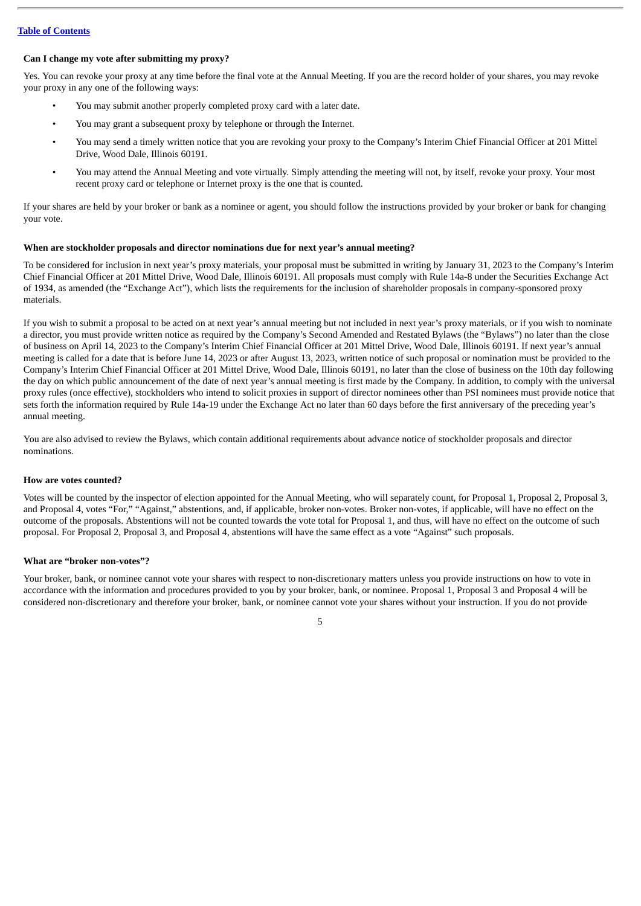## **Can I change my vote after submitting my proxy?**

Yes. You can revoke your proxy at any time before the final vote at the Annual Meeting. If you are the record holder of your shares, you may revoke your proxy in any one of the following ways:

- You may submit another properly completed proxy card with a later date.
- You may grant a subsequent proxy by telephone or through the Internet.
- You may send a timely written notice that you are revoking your proxy to the Company's Interim Chief Financial Officer at 201 Mittel Drive, Wood Dale, Illinois 60191.
- You may attend the Annual Meeting and vote virtually. Simply attending the meeting will not, by itself, revoke your proxy. Your most recent proxy card or telephone or Internet proxy is the one that is counted.

If your shares are held by your broker or bank as a nominee or agent, you should follow the instructions provided by your broker or bank for changing your vote.

## **When are stockholder proposals and director nominations due for next year's annual meeting?**

To be considered for inclusion in next year's proxy materials, your proposal must be submitted in writing by January 31, 2023 to the Company's Interim Chief Financial Officer at 201 Mittel Drive, Wood Dale, Illinois 60191. All proposals must comply with Rule 14a-8 under the Securities Exchange Act of 1934, as amended (the "Exchange Act"), which lists the requirements for the inclusion of shareholder proposals in company-sponsored proxy materials.

If you wish to submit a proposal to be acted on at next year's annual meeting but not included in next year's proxy materials, or if you wish to nominate a director, you must provide written notice as required by the Company's Second Amended and Restated Bylaws (the "Bylaws") no later than the close of business on April 14, 2023 to the Company's Interim Chief Financial Officer at 201 Mittel Drive, Wood Dale, Illinois 60191. If next year's annual meeting is called for a date that is before June 14, 2023 or after August 13, 2023, written notice of such proposal or nomination must be provided to the Company's Interim Chief Financial Officer at 201 Mittel Drive, Wood Dale, Illinois 60191, no later than the close of business on the 10th day following the day on which public announcement of the date of next year's annual meeting is first made by the Company. In addition, to comply with the universal proxy rules (once effective), stockholders who intend to solicit proxies in support of director nominees other than PSI nominees must provide notice that sets forth the information required by Rule 14a-19 under the Exchange Act no later than 60 days before the first anniversary of the preceding year's annual meeting.

You are also advised to review the Bylaws, which contain additional requirements about advance notice of stockholder proposals and director nominations.

## **How are votes counted?**

Votes will be counted by the inspector of election appointed for the Annual Meeting, who will separately count, for Proposal 1, Proposal 2, Proposal 3, and Proposal 4, votes "For," "Against," abstentions, and, if applicable, broker non-votes. Broker non-votes, if applicable, will have no effect on the outcome of the proposals. Abstentions will not be counted towards the vote total for Proposal 1, and thus, will have no effect on the outcome of such proposal. For Proposal 2, Proposal 3, and Proposal 4, abstentions will have the same effect as a vote "Against" such proposals.

## **What are "broker non-votes"?**

Your broker, bank, or nominee cannot vote your shares with respect to non-discretionary matters unless you provide instructions on how to vote in accordance with the information and procedures provided to you by your broker, bank, or nominee. Proposal 1, Proposal 3 and Proposal 4 will be considered non-discretionary and therefore your broker, bank, or nominee cannot vote your shares without your instruction. If you do not provide

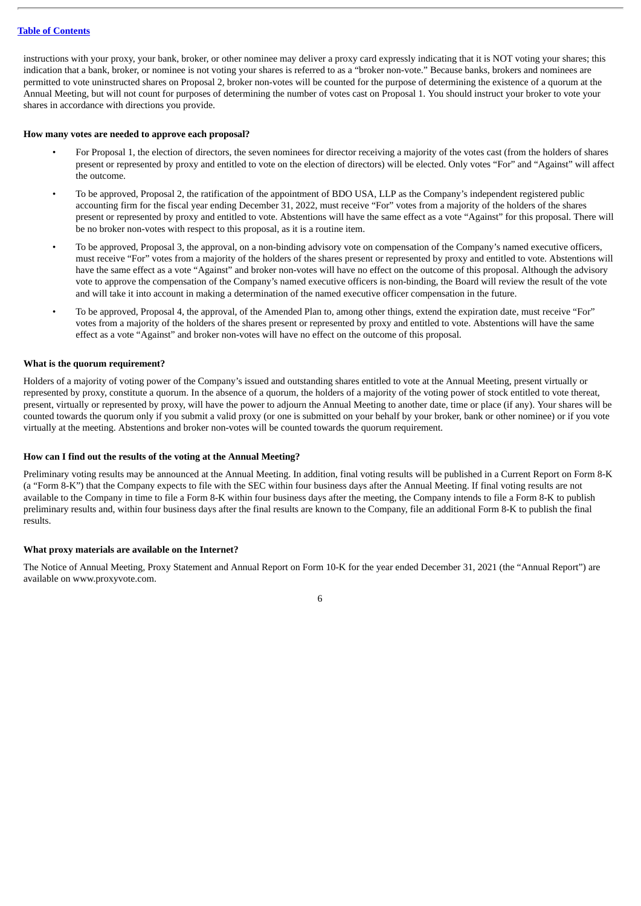instructions with your proxy, your bank, broker, or other nominee may deliver a proxy card expressly indicating that it is NOT voting your shares; this indication that a bank, broker, or nominee is not voting your shares is referred to as a "broker non-vote." Because banks, brokers and nominees are permitted to vote uninstructed shares on Proposal 2, broker non-votes will be counted for the purpose of determining the existence of a quorum at the Annual Meeting, but will not count for purposes of determining the number of votes cast on Proposal 1. You should instruct your broker to vote your shares in accordance with directions you provide.

#### **How many votes are needed to approve each proposal?**

- For Proposal 1, the election of directors, the seven nominees for director receiving a majority of the votes cast (from the holders of shares present or represented by proxy and entitled to vote on the election of directors) will be elected. Only votes "For" and "Against" will affect the outcome.
- To be approved, Proposal 2, the ratification of the appointment of BDO USA, LLP as the Company's independent registered public accounting firm for the fiscal year ending December 31, 2022, must receive "For" votes from a majority of the holders of the shares present or represented by proxy and entitled to vote. Abstentions will have the same effect as a vote "Against" for this proposal. There will be no broker non-votes with respect to this proposal, as it is a routine item.
- To be approved, Proposal 3, the approval, on a non-binding advisory vote on compensation of the Company's named executive officers, must receive "For" votes from a majority of the holders of the shares present or represented by proxy and entitled to vote. Abstentions will have the same effect as a vote "Against" and broker non-votes will have no effect on the outcome of this proposal. Although the advisory vote to approve the compensation of the Company's named executive officers is non-binding, the Board will review the result of the vote and will take it into account in making a determination of the named executive officer compensation in the future.
- To be approved, Proposal 4, the approval, of the Amended Plan to, among other things, extend the expiration date, must receive "For" votes from a majority of the holders of the shares present or represented by proxy and entitled to vote. Abstentions will have the same effect as a vote "Against" and broker non-votes will have no effect on the outcome of this proposal.

#### **What is the quorum requirement?**

Holders of a majority of voting power of the Company's issued and outstanding shares entitled to vote at the Annual Meeting, present virtually or represented by proxy, constitute a quorum. In the absence of a quorum, the holders of a majority of the voting power of stock entitled to vote thereat, present, virtually or represented by proxy, will have the power to adjourn the Annual Meeting to another date, time or place (if any). Your shares will be counted towards the quorum only if you submit a valid proxy (or one is submitted on your behalf by your broker, bank or other nominee) or if you vote virtually at the meeting. Abstentions and broker non-votes will be counted towards the quorum requirement.

#### **How can I find out the results of the voting at the Annual Meeting?**

Preliminary voting results may be announced at the Annual Meeting. In addition, final voting results will be published in a Current Report on Form 8-K (a "Form 8-K") that the Company expects to file with the SEC within four business days after the Annual Meeting. If final voting results are not available to the Company in time to file a Form 8-K within four business days after the meeting, the Company intends to file a Form 8-K to publish preliminary results and, within four business days after the final results are known to the Company, file an additional Form 8-K to publish the final results.

## **What proxy materials are available on the Internet?**

The Notice of Annual Meeting, Proxy Statement and Annual Report on Form 10-K for the year ended December 31, 2021 (the "Annual Report") are available on www.proxyvote.com.

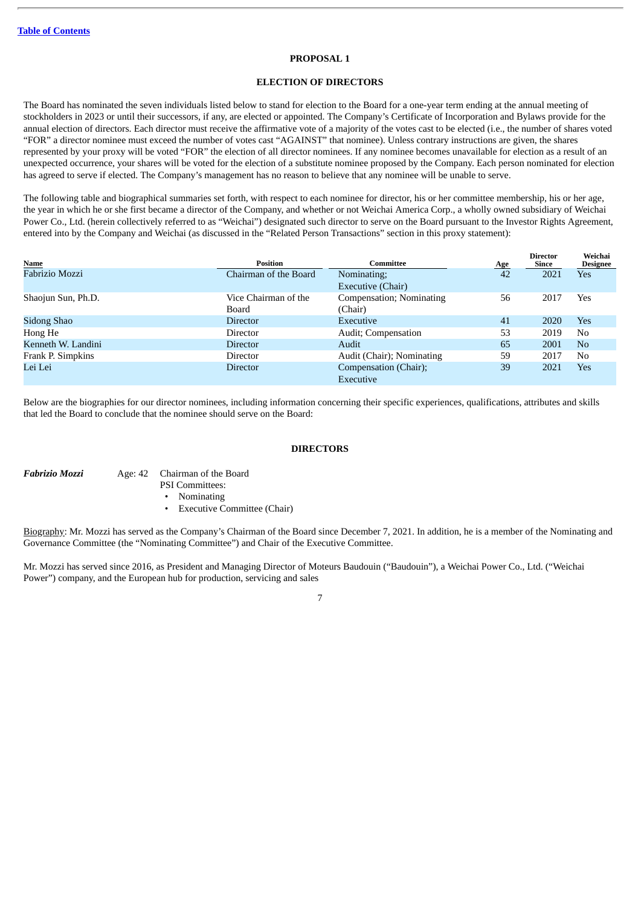## **ELECTION OF DIRECTORS**

<span id="page-11-0"></span>The Board has nominated the seven individuals listed below to stand for election to the Board for a one-year term ending at the annual meeting of stockholders in 2023 or until their successors, if any, are elected or appointed. The Company's Certificate of Incorporation and Bylaws provide for the annual election of directors. Each director must receive the affirmative vote of a majority of the votes cast to be elected (i.e., the number of shares voted "FOR" a director nominee must exceed the number of votes cast "AGAINST" that nominee). Unless contrary instructions are given, the shares represented by your proxy will be voted "FOR" the election of all director nominees. If any nominee becomes unavailable for election as a result of an unexpected occurrence, your shares will be voted for the election of a substitute nominee proposed by the Company. Each person nominated for election has agreed to serve if elected. The Company's management has no reason to believe that any nominee will be unable to serve.

The following table and biographical summaries set forth, with respect to each nominee for director, his or her committee membership, his or her age, the year in which he or she first became a director of the Company, and whether or not Weichai America Corp., a wholly owned subsidiary of Weichai Power Co., Ltd. (herein collectively referred to as "Weichai") designated such director to serve on the Board pursuant to the Investor Rights Agreement, entered into by the Company and Weichai (as discussed in the "Related Person Transactions" section in this proxy statement):

| Name               | <b>Position</b>               | Committee                           | <u>Age</u> | <b>Director</b><br>Since | Weichai<br><b>Designee</b> |
|--------------------|-------------------------------|-------------------------------------|------------|--------------------------|----------------------------|
| Fabrizio Mozzi     | Chairman of the Board         | Nominating;<br>Executive (Chair)    | 42         | 2021                     | Yes                        |
| Shaojun Sun, Ph.D. | Vice Chairman of the<br>Board | Compensation; Nominating<br>(Chair) | 56         | 2017                     | Yes                        |
| Sidong Shao        | Director                      | <b>Executive</b>                    | 41         | 2020                     | <b>Yes</b>                 |
| Hong He            | Director                      | Audit; Compensation                 | 53         | 2019                     | N <sub>0</sub>             |
| Kenneth W. Landini | <b>Director</b>               | Audit                               | 65         | 2001                     | N <sub>0</sub>             |
| Frank P. Simpkins  | Director                      | Audit (Chair); Nominating           | 59         | 2017                     | N <sub>0</sub>             |
| Lei Lei            | <b>Director</b>               | Compensation (Chair);<br>Executive  | 39         | 2021                     | Yes                        |

Below are the biographies for our director nominees, including information concerning their specific experiences, qualifications, attributes and skills that led the Board to conclude that the nominee should serve on the Board:

## **DIRECTORS**

<span id="page-11-1"></span>

| <b>Fabrizio Mozzi</b> |  | Age: 42 Chairman of the Board |  |
|-----------------------|--|-------------------------------|--|
|                       |  | <b>PSI Committees:</b>        |  |

- Nominating
- Executive Committee (Chair)

Biography: Mr. Mozzi has served as the Company's Chairman of the Board since December 7, 2021. In addition, he is a member of the Nominating and Governance Committee (the "Nominating Committee") and Chair of the Executive Committee.

Mr. Mozzi has served since 2016, as President and Managing Director of Moteurs Baudouin ("Baudouin"), a Weichai Power Co., Ltd. ("Weichai Power") company, and the European hub for production, servicing and sales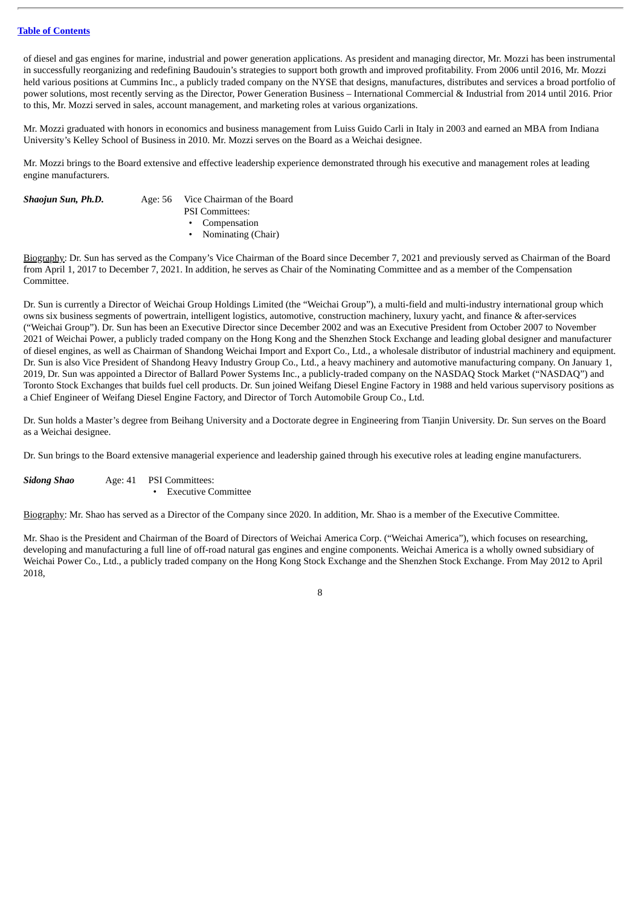of diesel and gas engines for marine, industrial and power generation applications. As president and managing director, Mr. Mozzi has been instrumental in successfully reorganizing and redefining Baudouin's strategies to support both growth and improved profitability. From 2006 until 2016, Mr. Mozzi held various positions at Cummins Inc., a publicly traded company on the NYSE that designs, manufactures, distributes and services a broad portfolio of power solutions, most recently serving as the Director, Power Generation Business – International Commercial & Industrial from 2014 until 2016. Prior to this, Mr. Mozzi served in sales, account management, and marketing roles at various organizations.

Mr. Mozzi graduated with honors in economics and business management from Luiss Guido Carli in Italy in 2003 and earned an MBA from Indiana University's Kelley School of Business in 2010. Mr. Mozzi serves on the Board as a Weichai designee.

Mr. Mozzi brings to the Board extensive and effective leadership experience demonstrated through his executive and management roles at leading engine manufacturers.

| Shaojun Sun, Ph.D. | Age: 56 | Vice Chairman of the Board |  |
|--------------------|---------|----------------------------|--|
|--------------------|---------|----------------------------|--|

PSI Committees:

- **Compensation** • Nominating (Chair)
- 

Biography: Dr. Sun has served as the Company's Vice Chairman of the Board since December 7, 2021 and previously served as Chairman of the Board from April 1, 2017 to December 7, 2021. In addition, he serves as Chair of the Nominating Committee and as a member of the Compensation Committee.

Dr. Sun is currently a Director of Weichai Group Holdings Limited (the "Weichai Group"), a multi-field and multi-industry international group which owns six business segments of powertrain, intelligent logistics, automotive, construction machinery, luxury yacht, and finance & after-services ("Weichai Group"). Dr. Sun has been an Executive Director since December 2002 and was an Executive President from October 2007 to November 2021 of Weichai Power, a publicly traded company on the Hong Kong and the Shenzhen Stock Exchange and leading global designer and manufacturer of diesel engines, as well as Chairman of Shandong Weichai Import and Export Co., Ltd., a wholesale distributor of industrial machinery and equipment. Dr. Sun is also Vice President of Shandong Heavy Industry Group Co., Ltd., a heavy machinery and automotive manufacturing company. On January 1, 2019, Dr. Sun was appointed a Director of Ballard Power Systems Inc., a publicly-traded company on the NASDAQ Stock Market ("NASDAQ") and Toronto Stock Exchanges that builds fuel cell products. Dr. Sun joined Weifang Diesel Engine Factory in 1988 and held various supervisory positions as a Chief Engineer of Weifang Diesel Engine Factory, and Director of Torch Automobile Group Co., Ltd.

Dr. Sun holds a Master's degree from Beihang University and a Doctorate degree in Engineering from Tianjin University. Dr. Sun serves on the Board as a Weichai designee.

Dr. Sun brings to the Board extensive managerial experience and leadership gained through his executive roles at leading engine manufacturers.

*Sidong Shao* Age: 41 PSI Committees:

• Executive Committee

Biography: Mr. Shao has served as a Director of the Company since 2020. In addition, Mr. Shao is a member of the Executive Committee.

Mr. Shao is the President and Chairman of the Board of Directors of Weichai America Corp. ("Weichai America"), which focuses on researching, developing and manufacturing a full line of off-road natural gas engines and engine components. Weichai America is a wholly owned subsidiary of Weichai Power Co., Ltd., a publicly traded company on the Hong Kong Stock Exchange and the Shenzhen Stock Exchange. From May 2012 to April 2018,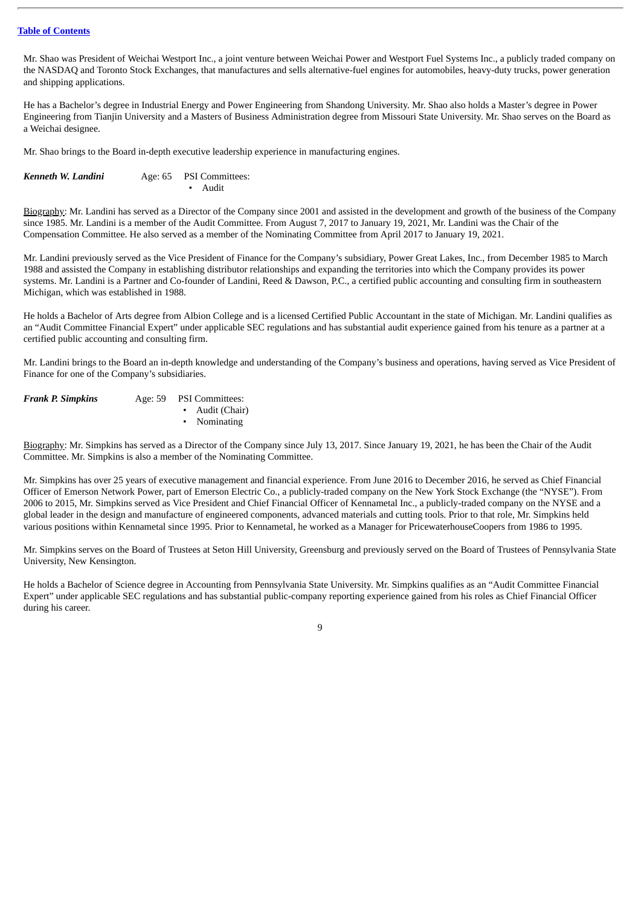Mr. Shao was President of Weichai Westport Inc., a joint venture between Weichai Power and Westport Fuel Systems Inc., a publicly traded company on the NASDAQ and Toronto Stock Exchanges, that manufactures and sells alternative-fuel engines for automobiles, heavy-duty trucks, power generation and shipping applications.

He has a Bachelor's degree in Industrial Energy and Power Engineering from Shandong University. Mr. Shao also holds a Master's degree in Power Engineering from Tianjin University and a Masters of Business Administration degree from Missouri State University. Mr. Shao serves on the Board as a Weichai designee.

Mr. Shao brings to the Board in-depth executive leadership experience in manufacturing engines.

| Kenneth W. Landini | Age: 65 PSI Committees: |
|--------------------|-------------------------|
|                    | • Audit                 |

Biography: Mr. Landini has served as a Director of the Company since 2001 and assisted in the development and growth of the business of the Company since 1985. Mr. Landini is a member of the Audit Committee. From August 7, 2017 to January 19, 2021, Mr. Landini was the Chair of the Compensation Committee. He also served as a member of the Nominating Committee from April 2017 to January 19, 2021.

Mr. Landini previously served as the Vice President of Finance for the Company's subsidiary, Power Great Lakes, Inc., from December 1985 to March 1988 and assisted the Company in establishing distributor relationships and expanding the territories into which the Company provides its power systems. Mr. Landini is a Partner and Co-founder of Landini, Reed & Dawson, P.C., a certified public accounting and consulting firm in southeastern Michigan, which was established in 1988.

He holds a Bachelor of Arts degree from Albion College and is a licensed Certified Public Accountant in the state of Michigan. Mr. Landini qualifies as an "Audit Committee Financial Expert" under applicable SEC regulations and has substantial audit experience gained from his tenure as a partner at a certified public accounting and consulting firm.

Mr. Landini brings to the Board an in-depth knowledge and understanding of the Company's business and operations, having served as Vice President of Finance for one of the Company's subsidiaries.

| <b>Frank P. Simpkins</b> | Age: 59 PSI Committees: |
|--------------------------|-------------------------|
|                          | • Audit (Chair)         |
|                          | • Nominating            |

Biography: Mr. Simpkins has served as a Director of the Company since July 13, 2017. Since January 19, 2021, he has been the Chair of the Audit Committee. Mr. Simpkins is also a member of the Nominating Committee.

Mr. Simpkins has over 25 years of executive management and financial experience. From June 2016 to December 2016, he served as Chief Financial Officer of Emerson Network Power, part of Emerson Electric Co., a publicly-traded company on the New York Stock Exchange (the "NYSE"). From 2006 to 2015, Mr. Simpkins served as Vice President and Chief Financial Officer of Kennametal Inc., a publicly-traded company on the NYSE and a global leader in the design and manufacture of engineered components, advanced materials and cutting tools. Prior to that role, Mr. Simpkins held various positions within Kennametal since 1995. Prior to Kennametal, he worked as a Manager for PricewaterhouseCoopers from 1986 to 1995.

Mr. Simpkins serves on the Board of Trustees at Seton Hill University, Greensburg and previously served on the Board of Trustees of Pennsylvania State University, New Kensington.

He holds a Bachelor of Science degree in Accounting from Pennsylvania State University. Mr. Simpkins qualifies as an "Audit Committee Financial Expert" under applicable SEC regulations and has substantial public-company reporting experience gained from his roles as Chief Financial Officer during his career.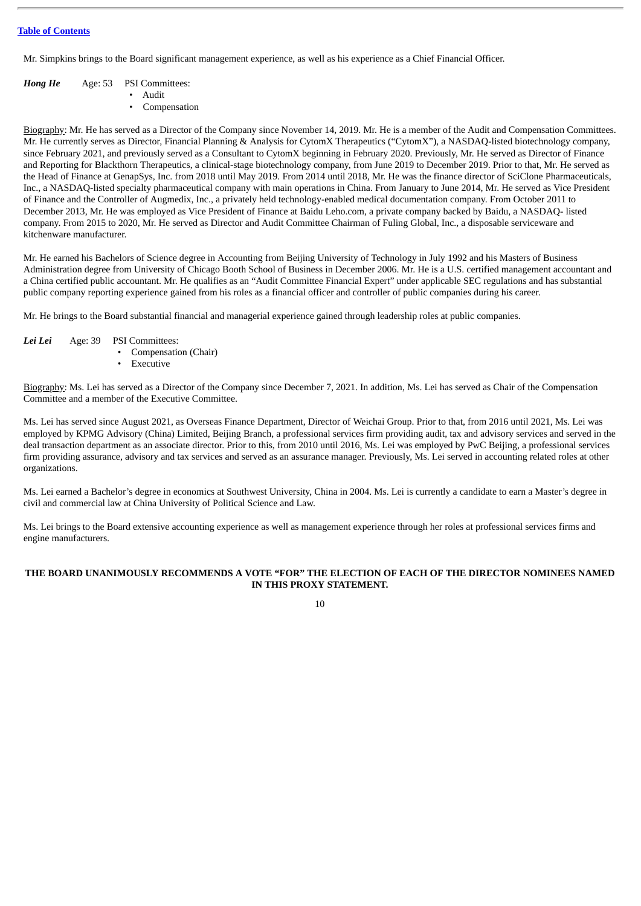Mr. Simpkins brings to the Board significant management experience, as well as his experience as a Chief Financial Officer.

#### *Hong He* Age: 53 PSI Committees:

- Audit
	- Compensation

Biography: Mr. He has served as a Director of the Company since November 14, 2019. Mr. He is a member of the Audit and Compensation Committees. Mr. He currently serves as Director, Financial Planning & Analysis for CytomX Therapeutics ("CytomX"), a NASDAQ-listed biotechnology company, since February 2021, and previously served as a Consultant to CytomX beginning in February 2020. Previously, Mr. He served as Director of Finance and Reporting for Blackthorn Therapeutics, a clinical-stage biotechnology company, from June 2019 to December 2019. Prior to that, Mr. He served as the Head of Finance at GenapSys, Inc. from 2018 until May 2019. From 2014 until 2018, Mr. He was the finance director of SciClone Pharmaceuticals, Inc., a NASDAQ-listed specialty pharmaceutical company with main operations in China. From January to June 2014, Mr. He served as Vice President of Finance and the Controller of Augmedix, Inc., a privately held technology-enabled medical documentation company. From October 2011 to December 2013, Mr. He was employed as Vice President of Finance at Baidu Leho.com, a private company backed by Baidu, a NASDAQ- listed company. From 2015 to 2020, Mr. He served as Director and Audit Committee Chairman of Fuling Global, Inc., a disposable serviceware and kitchenware manufacturer.

Mr. He earned his Bachelors of Science degree in Accounting from Beijing University of Technology in July 1992 and his Masters of Business Administration degree from University of Chicago Booth School of Business in December 2006. Mr. He is a U.S. certified management accountant and a China certified public accountant. Mr. He qualifies as an "Audit Committee Financial Expert" under applicable SEC regulations and has substantial public company reporting experience gained from his roles as a financial officer and controller of public companies during his career.

Mr. He brings to the Board substantial financial and managerial experience gained through leadership roles at public companies.

#### *Lei Lei* Age: 39 PSI Committees:

- Compensation (Chair)
- Executive

Biography: Ms. Lei has served as a Director of the Company since December 7, 2021. In addition, Ms. Lei has served as Chair of the Compensation Committee and a member of the Executive Committee.

Ms. Lei has served since August 2021, as Overseas Finance Department, Director of Weichai Group. Prior to that, from 2016 until 2021, Ms. Lei was employed by KPMG Advisory (China) Limited, Beijing Branch, a professional services firm providing audit, tax and advisory services and served in the deal transaction department as an associate director. Prior to this, from 2010 until 2016, Ms. Lei was employed by PwC Beijing, a professional services firm providing assurance, advisory and tax services and served as an assurance manager. Previously, Ms. Lei served in accounting related roles at other organizations.

Ms. Lei earned a Bachelor's degree in economics at Southwest University, China in 2004. Ms. Lei is currently a candidate to earn a Master's degree in civil and commercial law at China University of Political Science and Law.

Ms. Lei brings to the Board extensive accounting experience as well as management experience through her roles at professional services firms and engine manufacturers.

## **THE BOARD UNANIMOUSLY RECOMMENDS A VOTE "FOR" THE ELECTION OF EACH OF THE DIRECTOR NOMINEES NAMED IN THIS PROXY STATEMENT.**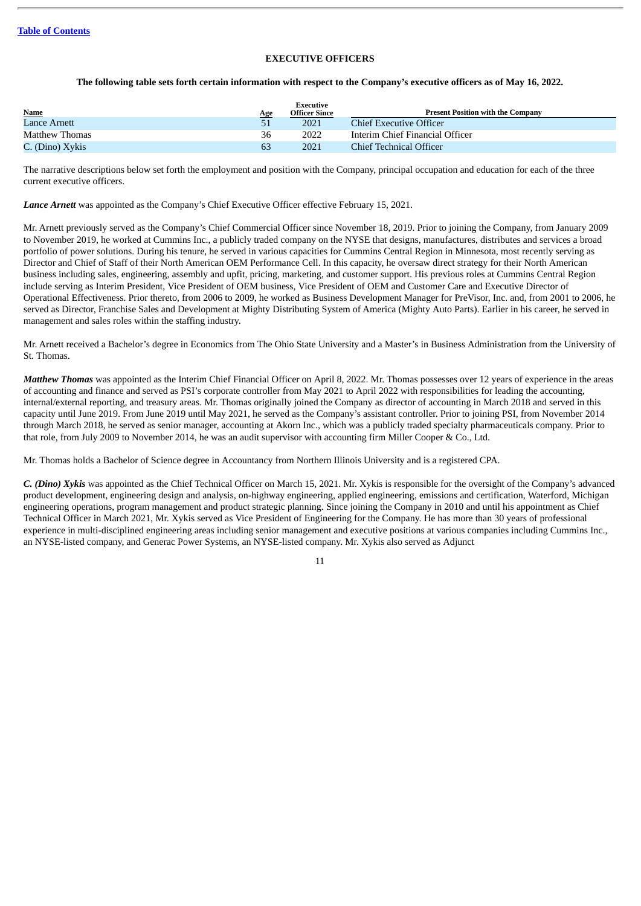## **EXECUTIVE OFFICERS**

## The following table sets forth certain information with respect to the Company's executive officers as of May 16, 2022.

<span id="page-15-0"></span>

| <b>Name</b>           | <b>Age</b> | Executive<br><b>Officer Since</b> | <b>Present Position with the Company</b> |
|-----------------------|------------|-----------------------------------|------------------------------------------|
| <b>Lance Arnett</b>   | 51         | 2021                              | Chief Executive Officer                  |
| <b>Matthew Thomas</b> | 36         | 2022                              | Interim Chief Financial Officer          |
| C. (Dino) Xykis       | 63         | 2021                              | Chief Technical Officer                  |

The narrative descriptions below set forth the employment and position with the Company, principal occupation and education for each of the three current executive officers.

*Lance Arnett* was appointed as the Company's Chief Executive Officer effective February 15, 2021.

Mr. Arnett previously served as the Company's Chief Commercial Officer since November 18, 2019. Prior to joining the Company, from January 2009 to November 2019, he worked at Cummins Inc., a publicly traded company on the NYSE that designs, manufactures, distributes and services a broad portfolio of power solutions. During his tenure, he served in various capacities for Cummins Central Region in Minnesota, most recently serving as Director and Chief of Staff of their North American OEM Performance Cell. In this capacity, he oversaw direct strategy for their North American business including sales, engineering, assembly and upfit, pricing, marketing, and customer support. His previous roles at Cummins Central Region include serving as Interim President, Vice President of OEM business, Vice President of OEM and Customer Care and Executive Director of Operational Effectiveness. Prior thereto, from 2006 to 2009, he worked as Business Development Manager for PreVisor, Inc. and, from 2001 to 2006, he served as Director, Franchise Sales and Development at Mighty Distributing System of America (Mighty Auto Parts). Earlier in his career, he served in management and sales roles within the staffing industry.

Mr. Arnett received a Bachelor's degree in Economics from The Ohio State University and a Master's in Business Administration from the University of St. Thomas.

*Matthew Thomas* was appointed as the Interim Chief Financial Officer on April 8, 2022. Mr. Thomas possesses over 12 years of experience in the areas of accounting and finance and served as PSI's corporate controller from May 2021 to April 2022 with responsibilities for leading the accounting, internal/external reporting, and treasury areas. Mr. Thomas originally joined the Company as director of accounting in March 2018 and served in this capacity until June 2019. From June 2019 until May 2021, he served as the Company's assistant controller. Prior to joining PSI, from November 2014 through March 2018, he served as senior manager, accounting at Akorn Inc., which was a publicly traded specialty pharmaceuticals company. Prior to that role, from July 2009 to November 2014, he was an audit supervisor with accounting firm Miller Cooper & Co., Ltd.

Mr. Thomas holds a Bachelor of Science degree in Accountancy from Northern Illinois University and is a registered CPA.

*C. (Dino) Xykis* was appointed as the Chief Technical Officer on March 15, 2021. Mr. Xykis is responsible for the oversight of the Company's advanced product development, engineering design and analysis, on-highway engineering, applied engineering, emissions and certification, Waterford, Michigan engineering operations, program management and product strategic planning. Since joining the Company in 2010 and until his appointment as Chief Technical Officer in March 2021, Mr. Xykis served as Vice President of Engineering for the Company. He has more than 30 years of professional experience in multi-disciplined engineering areas including senior management and executive positions at various companies including Cummins Inc., an NYSE-listed company, and Generac Power Systems, an NYSE-listed company. Mr. Xykis also served as Adjunct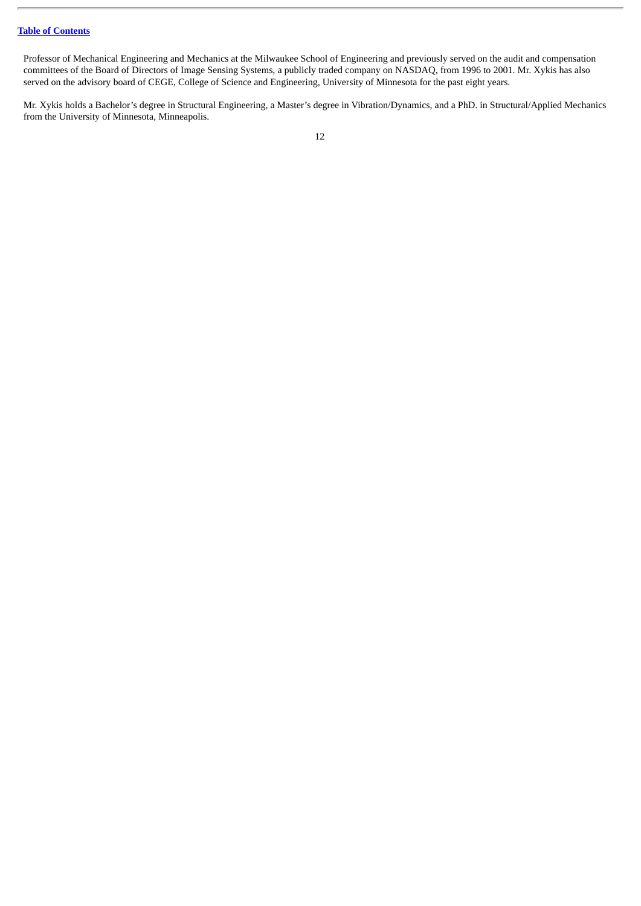Professor of Mechanical Engineering and Mechanics at the Milwaukee School of Engineering and previously served on the audit and compensation committees of the Board of Directors of Image Sensing Systems, a publicly traded company on NASDAQ, from 1996 to 2001. Mr. Xykis has also served on the advisory board of CEGE, College of Science and Engineering, University of Minnesota for the past eight years.

Mr. Xykis holds a Bachelor's degree in Structural Engineering, a Master's degree in Vibration/Dynamics, and a PhD. in Structural/Applied Mechanics from the University of Minnesota, Minneapolis.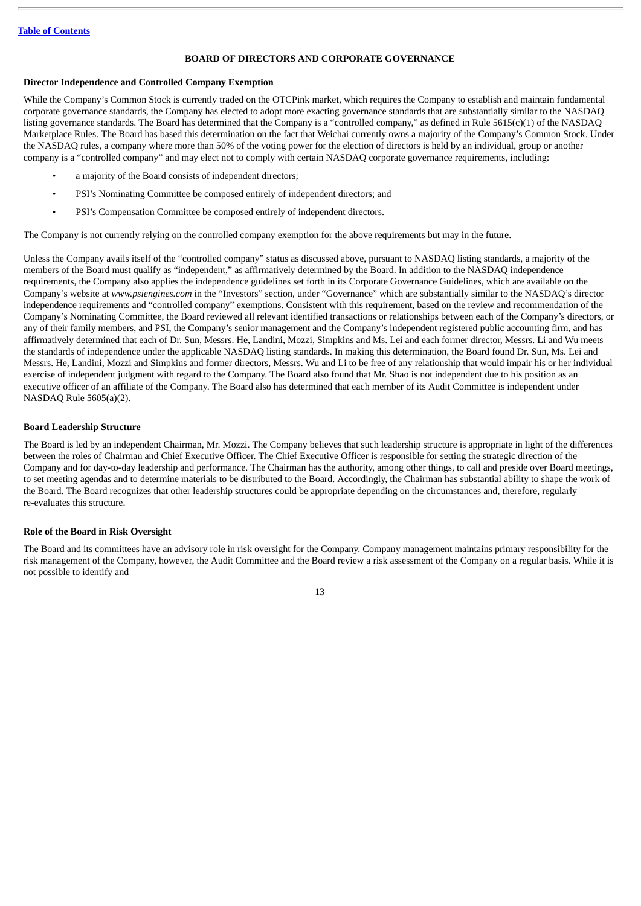## **BOARD OF DIRECTORS AND CORPORATE GOVERNANCE**

## <span id="page-17-1"></span><span id="page-17-0"></span>**Director Independence and Controlled Company Exemption**

While the Company's Common Stock is currently traded on the OTCPink market, which requires the Company to establish and maintain fundamental corporate governance standards, the Company has elected to adopt more exacting governance standards that are substantially similar to the NASDAQ listing governance standards. The Board has determined that the Company is a "controlled company," as defined in Rule 5615(c)(1) of the NASDAQ Marketplace Rules. The Board has based this determination on the fact that Weichai currently owns a majority of the Company's Common Stock. Under the NASDAQ rules, a company where more than 50% of the voting power for the election of directors is held by an individual, group or another company is a "controlled company" and may elect not to comply with certain NASDAQ corporate governance requirements, including:

- a majority of the Board consists of independent directors;
- PSI's Nominating Committee be composed entirely of independent directors; and
- PSI's Compensation Committee be composed entirely of independent directors.

The Company is not currently relying on the controlled company exemption for the above requirements but may in the future.

Unless the Company avails itself of the "controlled company" status as discussed above, pursuant to NASDAQ listing standards, a majority of the members of the Board must qualify as "independent," as affirmatively determined by the Board. In addition to the NASDAQ independence requirements, the Company also applies the independence guidelines set forth in its Corporate Governance Guidelines, which are available on the Company's website at *www.psiengines.com* in the "Investors" section, under "Governance" which are substantially similar to the NASDAQ's director independence requirements and "controlled company" exemptions. Consistent with this requirement, based on the review and recommendation of the Company's Nominating Committee, the Board reviewed all relevant identified transactions or relationships between each of the Company's directors, or any of their family members, and PSI, the Company's senior management and the Company's independent registered public accounting firm, and has affirmatively determined that each of Dr. Sun, Messrs. He, Landini, Mozzi, Simpkins and Ms. Lei and each former director, Messrs. Li and Wu meets the standards of independence under the applicable NASDAQ listing standards. In making this determination, the Board found Dr. Sun, Ms. Lei and Messrs. He, Landini, Mozzi and Simpkins and former directors, Messrs. Wu and Li to be free of any relationship that would impair his or her individual exercise of independent judgment with regard to the Company. The Board also found that Mr. Shao is not independent due to his position as an executive officer of an affiliate of the Company. The Board also has determined that each member of its Audit Committee is independent under NASDAQ Rule 5605(a)(2).

## <span id="page-17-2"></span>**Board Leadership Structure**

The Board is led by an independent Chairman, Mr. Mozzi. The Company believes that such leadership structure is appropriate in light of the differences between the roles of Chairman and Chief Executive Officer. The Chief Executive Officer is responsible for setting the strategic direction of the Company and for day-to-day leadership and performance. The Chairman has the authority, among other things, to call and preside over Board meetings, to set meeting agendas and to determine materials to be distributed to the Board. Accordingly, the Chairman has substantial ability to shape the work of the Board. The Board recognizes that other leadership structures could be appropriate depending on the circumstances and, therefore, regularly re-evaluates this structure.

## <span id="page-17-3"></span>**Role of the Board in Risk Oversight**

The Board and its committees have an advisory role in risk oversight for the Company. Company management maintains primary responsibility for the risk management of the Company, however, the Audit Committee and the Board review a risk assessment of the Company on a regular basis. While it is not possible to identify and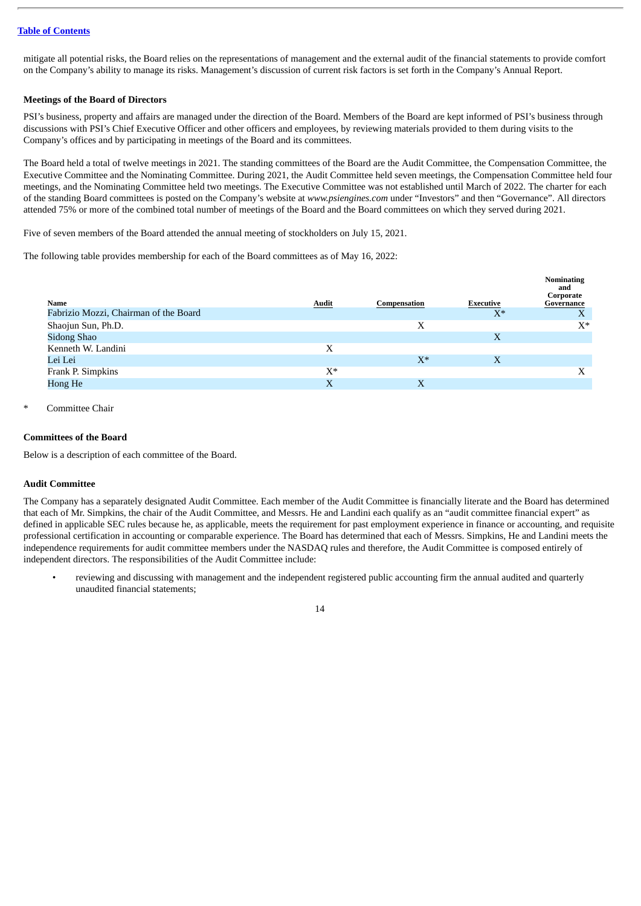mitigate all potential risks, the Board relies on the representations of management and the external audit of the financial statements to provide comfort on the Company's ability to manage its risks. Management's discussion of current risk factors is set forth in the Company's Annual Report.

## <span id="page-18-0"></span>**Meetings of the Board of Directors**

PSI's business, property and affairs are managed under the direction of the Board. Members of the Board are kept informed of PSI's business through discussions with PSI's Chief Executive Officer and other officers and employees, by reviewing materials provided to them during visits to the Company's offices and by participating in meetings of the Board and its committees.

The Board held a total of twelve meetings in 2021. The standing committees of the Board are the Audit Committee, the Compensation Committee, the Executive Committee and the Nominating Committee. During 2021, the Audit Committee held seven meetings, the Compensation Committee held four meetings, and the Nominating Committee held two meetings. The Executive Committee was not established until March of 2022. The charter for each of the standing Board committees is posted on the Company's website at *www.psiengines.com* under "Investors" and then "Governance". All directors attended 75% or more of the combined total number of meetings of the Board and the Board committees on which they served during 2021.

Five of seven members of the Board attended the annual meeting of stockholders on July 15, 2021.

The following table provides membership for each of the Board committees as of May 16, 2022:

| Name                                  | <b>Audit</b> | Compensation | Executive | <b>Nominating</b><br>and<br>Corporate<br>Governance |
|---------------------------------------|--------------|--------------|-----------|-----------------------------------------------------|
| Fabrizio Mozzi, Chairman of the Board |              |              | $X^*$     | A                                                   |
| Shaojun Sun, Ph.D.                    |              | Х            |           | $X^*$                                               |
| <b>Sidong Shao</b>                    |              |              | X         |                                                     |
| Kenneth W. Landini                    | Х            |              |           |                                                     |
| Lei Lei                               |              | $X^*$        | Χ         |                                                     |
| Frank P. Simpkins                     | X*           |              |           |                                                     |
| Hong He                               | X            | X            |           |                                                     |

Committee Chair

## <span id="page-18-1"></span>**Committees of the Board**

Below is a description of each committee of the Board.

## <span id="page-18-2"></span>**Audit Committee**

The Company has a separately designated Audit Committee. Each member of the Audit Committee is financially literate and the Board has determined that each of Mr. Simpkins, the chair of the Audit Committee, and Messrs. He and Landini each qualify as an "audit committee financial expert" as defined in applicable SEC rules because he, as applicable, meets the requirement for past employment experience in finance or accounting, and requisite professional certification in accounting or comparable experience. The Board has determined that each of Messrs. Simpkins, He and Landini meets the independence requirements for audit committee members under the NASDAQ rules and therefore, the Audit Committee is composed entirely of independent directors. The responsibilities of the Audit Committee include:

• reviewing and discussing with management and the independent registered public accounting firm the annual audited and quarterly unaudited financial statements;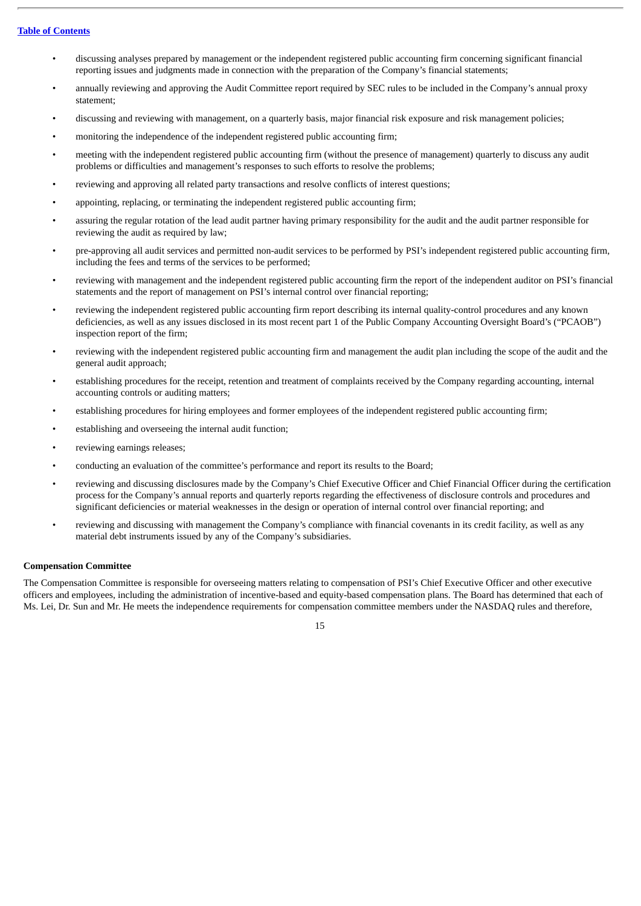- discussing analyses prepared by management or the independent registered public accounting firm concerning significant financial reporting issues and judgments made in connection with the preparation of the Company's financial statements;
- annually reviewing and approving the Audit Committee report required by SEC rules to be included in the Company's annual proxy statement;
- discussing and reviewing with management, on a quarterly basis, major financial risk exposure and risk management policies;
- monitoring the independence of the independent registered public accounting firm;
- meeting with the independent registered public accounting firm (without the presence of management) quarterly to discuss any audit problems or difficulties and management's responses to such efforts to resolve the problems;
- reviewing and approving all related party transactions and resolve conflicts of interest questions;
- appointing, replacing, or terminating the independent registered public accounting firm;
- assuring the regular rotation of the lead audit partner having primary responsibility for the audit and the audit partner responsible for reviewing the audit as required by law;
- pre-approving all audit services and permitted non-audit services to be performed by PSI's independent registered public accounting firm, including the fees and terms of the services to be performed;
- reviewing with management and the independent registered public accounting firm the report of the independent auditor on PSI's financial statements and the report of management on PSI's internal control over financial reporting;
- reviewing the independent registered public accounting firm report describing its internal quality-control procedures and any known deficiencies, as well as any issues disclosed in its most recent part 1 of the Public Company Accounting Oversight Board's ("PCAOB") inspection report of the firm;
- reviewing with the independent registered public accounting firm and management the audit plan including the scope of the audit and the general audit approach;
- establishing procedures for the receipt, retention and treatment of complaints received by the Company regarding accounting, internal accounting controls or auditing matters;
- establishing procedures for hiring employees and former employees of the independent registered public accounting firm;
- establishing and overseeing the internal audit function;
- reviewing earnings releases;
- conducting an evaluation of the committee's performance and report its results to the Board;
- reviewing and discussing disclosures made by the Company's Chief Executive Officer and Chief Financial Officer during the certification process for the Company's annual reports and quarterly reports regarding the effectiveness of disclosure controls and procedures and significant deficiencies or material weaknesses in the design or operation of internal control over financial reporting; and
- reviewing and discussing with management the Company's compliance with financial covenants in its credit facility, as well as any material debt instruments issued by any of the Company's subsidiaries.

#### <span id="page-19-0"></span>**Compensation Committee**

The Compensation Committee is responsible for overseeing matters relating to compensation of PSI's Chief Executive Officer and other executive officers and employees, including the administration of incentive-based and equity-based compensation plans. The Board has determined that each of Ms. Lei, Dr. Sun and Mr. He meets the independence requirements for compensation committee members under the NASDAQ rules and therefore,

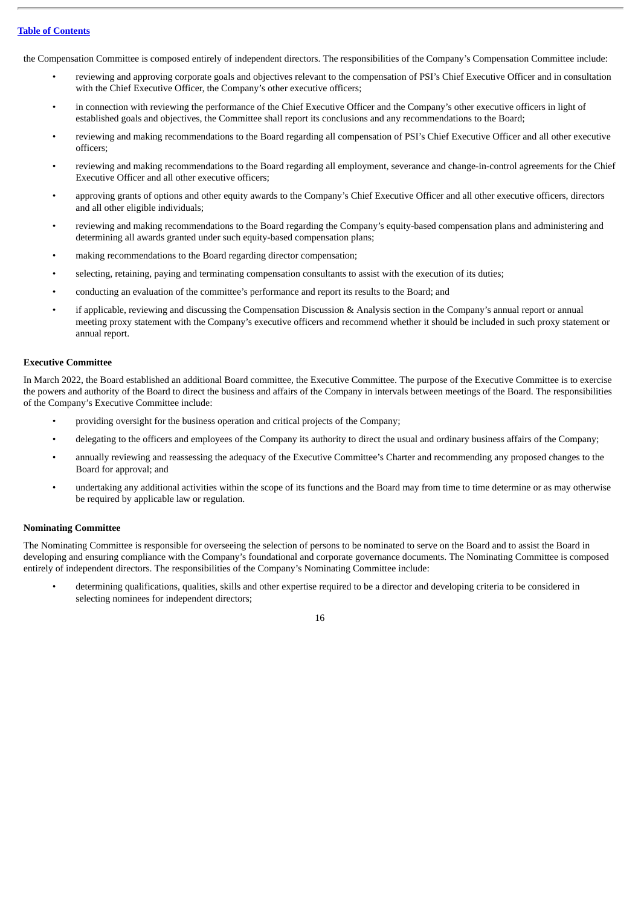the Compensation Committee is composed entirely of independent directors. The responsibilities of the Company's Compensation Committee include:

- reviewing and approving corporate goals and objectives relevant to the compensation of PSI's Chief Executive Officer and in consultation with the Chief Executive Officer, the Company's other executive officers;
- in connection with reviewing the performance of the Chief Executive Officer and the Company's other executive officers in light of established goals and objectives, the Committee shall report its conclusions and any recommendations to the Board;
- reviewing and making recommendations to the Board regarding all compensation of PSI's Chief Executive Officer and all other executive officers;
- reviewing and making recommendations to the Board regarding all employment, severance and change-in-control agreements for the Chief Executive Officer and all other executive officers;
- approving grants of options and other equity awards to the Company's Chief Executive Officer and all other executive officers, directors and all other eligible individuals;
- reviewing and making recommendations to the Board regarding the Company's equity-based compensation plans and administering and determining all awards granted under such equity-based compensation plans;
- making recommendations to the Board regarding director compensation;
- selecting, retaining, paying and terminating compensation consultants to assist with the execution of its duties;
- conducting an evaluation of the committee's performance and report its results to the Board; and
- if applicable, reviewing and discussing the Compensation Discussion & Analysis section in the Company's annual report or annual meeting proxy statement with the Company's executive officers and recommend whether it should be included in such proxy statement or annual report.

#### <span id="page-20-0"></span>**Executive Committee**

In March 2022, the Board established an additional Board committee, the Executive Committee. The purpose of the Executive Committee is to exercise the powers and authority of the Board to direct the business and affairs of the Company in intervals between meetings of the Board. The responsibilities of the Company's Executive Committee include:

- providing oversight for the business operation and critical projects of the Company;
- delegating to the officers and employees of the Company its authority to direct the usual and ordinary business affairs of the Company;
- annually reviewing and reassessing the adequacy of the Executive Committee's Charter and recommending any proposed changes to the Board for approval; and
- undertaking any additional activities within the scope of its functions and the Board may from time to time determine or as may otherwise be required by applicable law or regulation.

#### <span id="page-20-1"></span>**Nominating Committee**

The Nominating Committee is responsible for overseeing the selection of persons to be nominated to serve on the Board and to assist the Board in developing and ensuring compliance with the Company's foundational and corporate governance documents. The Nominating Committee is composed entirely of independent directors. The responsibilities of the Company's Nominating Committee include:

• determining qualifications, qualities, skills and other expertise required to be a director and developing criteria to be considered in selecting nominees for independent directors;

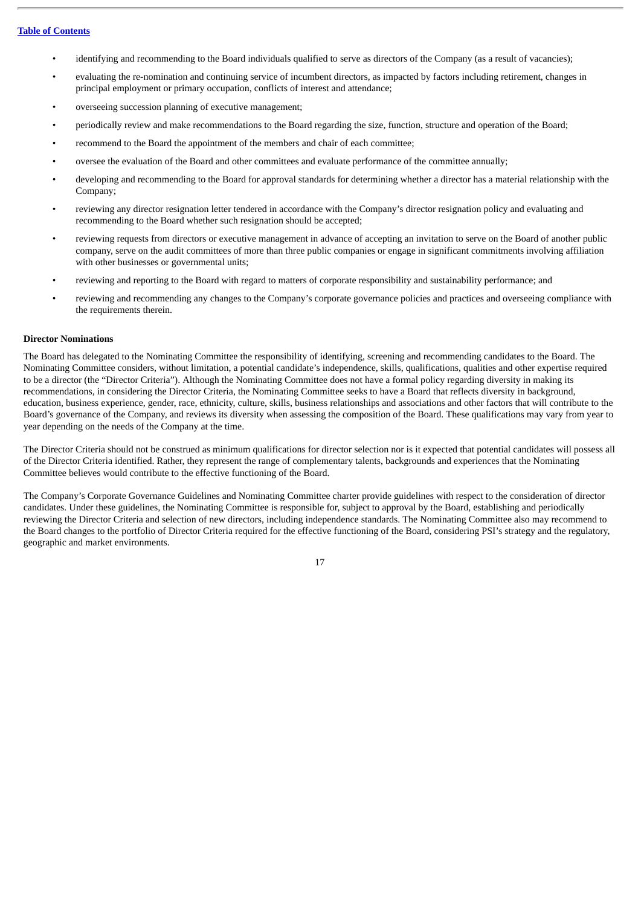- identifying and recommending to the Board individuals qualified to serve as directors of the Company (as a result of vacancies);
- evaluating the re-nomination and continuing service of incumbent directors, as impacted by factors including retirement, changes in principal employment or primary occupation, conflicts of interest and attendance;
- overseeing succession planning of executive management;
- periodically review and make recommendations to the Board regarding the size, function, structure and operation of the Board;
- recommend to the Board the appointment of the members and chair of each committee;
- oversee the evaluation of the Board and other committees and evaluate performance of the committee annually;
- developing and recommending to the Board for approval standards for determining whether a director has a material relationship with the Company;
- reviewing any director resignation letter tendered in accordance with the Company's director resignation policy and evaluating and recommending to the Board whether such resignation should be accepted;
- reviewing requests from directors or executive management in advance of accepting an invitation to serve on the Board of another public company, serve on the audit committees of more than three public companies or engage in significant commitments involving affiliation with other businesses or governmental units;
- reviewing and reporting to the Board with regard to matters of corporate responsibility and sustainability performance; and
- reviewing and recommending any changes to the Company's corporate governance policies and practices and overseeing compliance with the requirements therein.

## <span id="page-21-0"></span>**Director Nominations**

The Board has delegated to the Nominating Committee the responsibility of identifying, screening and recommending candidates to the Board. The Nominating Committee considers, without limitation, a potential candidate's independence, skills, qualifications, qualities and other expertise required to be a director (the "Director Criteria"). Although the Nominating Committee does not have a formal policy regarding diversity in making its recommendations, in considering the Director Criteria, the Nominating Committee seeks to have a Board that reflects diversity in background, education, business experience, gender, race, ethnicity, culture, skills, business relationships and associations and other factors that will contribute to the Board's governance of the Company, and reviews its diversity when assessing the composition of the Board. These qualifications may vary from year to year depending on the needs of the Company at the time.

The Director Criteria should not be construed as minimum qualifications for director selection nor is it expected that potential candidates will possess all of the Director Criteria identified. Rather, they represent the range of complementary talents, backgrounds and experiences that the Nominating Committee believes would contribute to the effective functioning of the Board.

The Company's Corporate Governance Guidelines and Nominating Committee charter provide guidelines with respect to the consideration of director candidates. Under these guidelines, the Nominating Committee is responsible for, subject to approval by the Board, establishing and periodically reviewing the Director Criteria and selection of new directors, including independence standards. The Nominating Committee also may recommend to the Board changes to the portfolio of Director Criteria required for the effective functioning of the Board, considering PSI's strategy and the regulatory, geographic and market environments.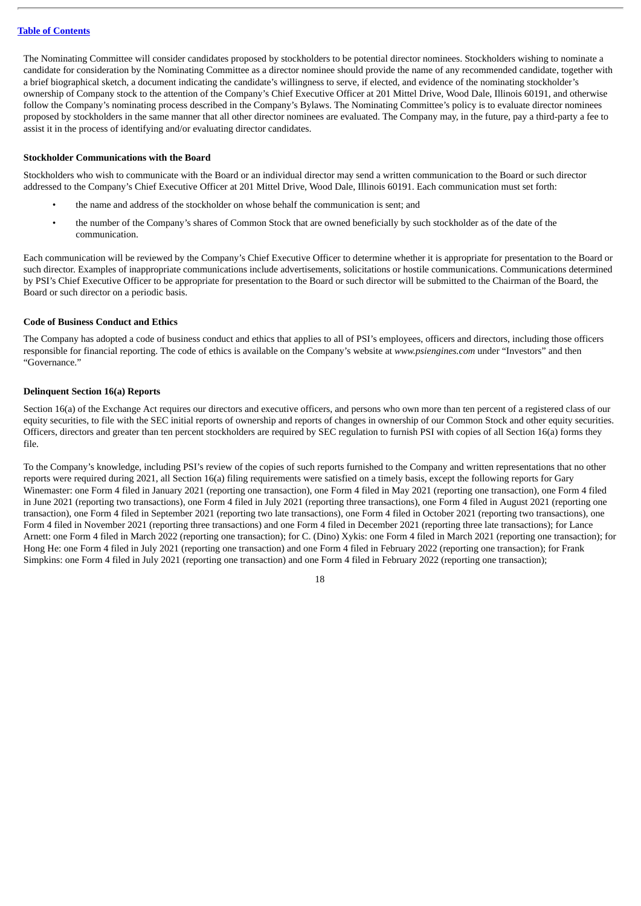The Nominating Committee will consider candidates proposed by stockholders to be potential director nominees. Stockholders wishing to nominate a candidate for consideration by the Nominating Committee as a director nominee should provide the name of any recommended candidate, together with a brief biographical sketch, a document indicating the candidate's willingness to serve, if elected, and evidence of the nominating stockholder's ownership of Company stock to the attention of the Company's Chief Executive Officer at 201 Mittel Drive, Wood Dale, Illinois 60191, and otherwise follow the Company's nominating process described in the Company's Bylaws. The Nominating Committee's policy is to evaluate director nominees proposed by stockholders in the same manner that all other director nominees are evaluated. The Company may, in the future, pay a third-party a fee to assist it in the process of identifying and/or evaluating director candidates.

## <span id="page-22-0"></span>**Stockholder Communications with the Board**

Stockholders who wish to communicate with the Board or an individual director may send a written communication to the Board or such director addressed to the Company's Chief Executive Officer at 201 Mittel Drive, Wood Dale, Illinois 60191. Each communication must set forth:

- the name and address of the stockholder on whose behalf the communication is sent; and
- the number of the Company's shares of Common Stock that are owned beneficially by such stockholder as of the date of the communication.

Each communication will be reviewed by the Company's Chief Executive Officer to determine whether it is appropriate for presentation to the Board or such director. Examples of inappropriate communications include advertisements, solicitations or hostile communications. Communications determined by PSI's Chief Executive Officer to be appropriate for presentation to the Board or such director will be submitted to the Chairman of the Board, the Board or such director on a periodic basis.

## <span id="page-22-1"></span>**Code of Business Conduct and Ethics**

The Company has adopted a code of business conduct and ethics that applies to all of PSI's employees, officers and directors, including those officers responsible for financial reporting. The code of ethics is available on the Company's website at *www.psiengines.com* under "Investors" and then "Governance."

## <span id="page-22-2"></span>**Delinquent Section 16(a) Reports**

Section 16(a) of the Exchange Act requires our directors and executive officers, and persons who own more than ten percent of a registered class of our equity securities, to file with the SEC initial reports of ownership and reports of changes in ownership of our Common Stock and other equity securities. Officers, directors and greater than ten percent stockholders are required by SEC regulation to furnish PSI with copies of all Section 16(a) forms they file.

To the Company's knowledge, including PSI's review of the copies of such reports furnished to the Company and written representations that no other reports were required during 2021, all Section 16(a) filing requirements were satisfied on a timely basis, except the following reports for Gary Winemaster: one Form 4 filed in January 2021 (reporting one transaction), one Form 4 filed in May 2021 (reporting one transaction), one Form 4 filed in June 2021 (reporting two transactions), one Form 4 filed in July 2021 (reporting three transactions), one Form 4 filed in August 2021 (reporting one transaction), one Form 4 filed in September 2021 (reporting two late transactions), one Form 4 filed in October 2021 (reporting two transactions), one Form 4 filed in November 2021 (reporting three transactions) and one Form 4 filed in December 2021 (reporting three late transactions); for Lance Arnett: one Form 4 filed in March 2022 (reporting one transaction); for C. (Dino) Xykis: one Form 4 filed in March 2021 (reporting one transaction); for Hong He: one Form 4 filed in July 2021 (reporting one transaction) and one Form 4 filed in February 2022 (reporting one transaction); for Frank Simpkins: one Form 4 filed in July 2021 (reporting one transaction) and one Form 4 filed in February 2022 (reporting one transaction);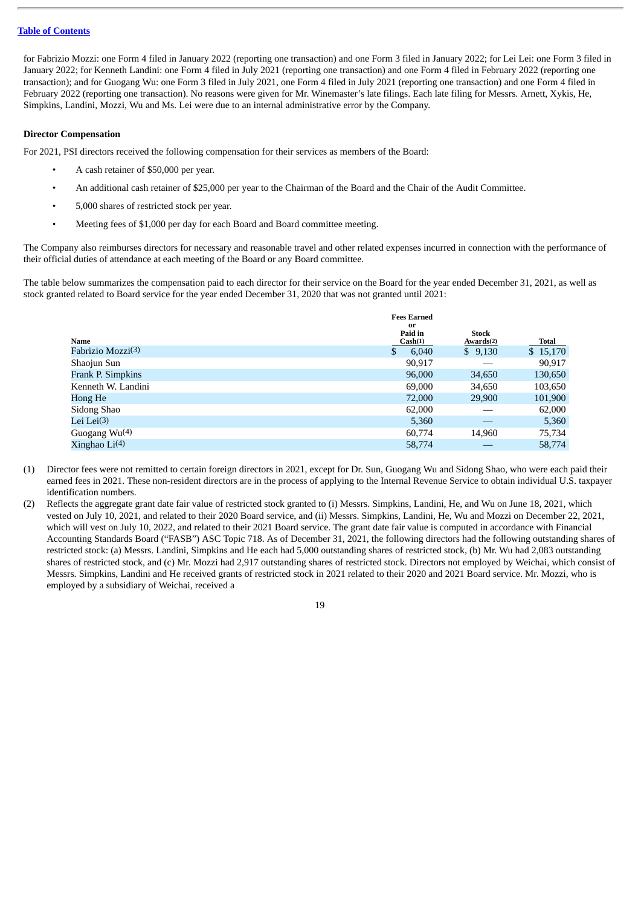for Fabrizio Mozzi: one Form 4 filed in January 2022 (reporting one transaction) and one Form 3 filed in January 2022; for Lei Lei: one Form 3 filed in January 2022; for Kenneth Landini: one Form 4 filed in July 2021 (reporting one transaction) and one Form 4 filed in February 2022 (reporting one transaction); and for Guogang Wu: one Form 3 filed in July 2021, one Form 4 filed in July 2021 (reporting one transaction) and one Form 4 filed in February 2022 (reporting one transaction). No reasons were given for Mr. Winemaster's late filings. Each late filing for Messrs. Arnett, Xykis, He, Simpkins, Landini, Mozzi, Wu and Ms. Lei were due to an internal administrative error by the Company.

## <span id="page-23-0"></span>**Director Compensation**

For 2021, PSI directors received the following compensation for their services as members of the Board:

- A cash retainer of \$50,000 per year.
- An additional cash retainer of \$25,000 per year to the Chairman of the Board and the Chair of the Audit Committee.
- 5,000 shares of restricted stock per year.
- Meeting fees of \$1,000 per day for each Board and Board committee meeting.

The Company also reimburses directors for necessary and reasonable travel and other related expenses incurred in connection with the performance of their official duties of attendance at each meeting of the Board or any Board committee.

The table below summarizes the compensation paid to each director for their service on the Board for the year ended December 31, 2021, as well as stock granted related to Board service for the year ended December 31, 2020 that was not granted until 2021:

|                               | <b>Fees Earned</b>       |                           |              |
|-------------------------------|--------------------------|---------------------------|--------------|
| Name                          | 0r<br>Paid in<br>Cash(1) | <b>Stock</b><br>Awards(2) | <b>Total</b> |
| Fabrizio Mozzi <sup>(3)</sup> | 6,040<br>S.              | \$9,130                   | \$15,170     |
| Shaojun Sun                   | 90,917                   |                           | 90,917       |
| Frank P. Simpkins             | 96,000                   | 34,650                    | 130,650      |
| Kenneth W. Landini            | 69,000                   | 34,650                    | 103,650      |
| Hong He                       | 72,000                   | 29,900                    | 101,900      |
| Sidong Shao                   | 62,000                   |                           | 62,000       |
| Lei Lei(3)                    | 5,360                    |                           | 5,360        |
| Guogang Wu(4)                 | 60,774                   | 14,960                    | 75,734       |
| Xinghao $Li(4)$               | 58,774                   |                           | 58,774       |

- (1) Director fees were not remitted to certain foreign directors in 2021, except for Dr. Sun, Guogang Wu and Sidong Shao, who were each paid their earned fees in 2021. These non-resident directors are in the process of applying to the Internal Revenue Service to obtain individual U.S. taxpayer identification numbers.
- (2) Reflects the aggregate grant date fair value of restricted stock granted to (i) Messrs. Simpkins, Landini, He, and Wu on June 18, 2021, which vested on July 10, 2021, and related to their 2020 Board service, and (ii) Messrs. Simpkins, Landini, He, Wu and Mozzi on December 22, 2021, which will vest on July 10, 2022, and related to their 2021 Board service. The grant date fair value is computed in accordance with Financial Accounting Standards Board ("FASB") ASC Topic 718. As of December 31, 2021, the following directors had the following outstanding shares of restricted stock: (a) Messrs. Landini, Simpkins and He each had 5,000 outstanding shares of restricted stock, (b) Mr. Wu had 2,083 outstanding shares of restricted stock, and (c) Mr. Mozzi had 2,917 outstanding shares of restricted stock. Directors not employed by Weichai, which consist of Messrs. Simpkins, Landini and He received grants of restricted stock in 2021 related to their 2020 and 2021 Board service. Mr. Mozzi, who is employed by a subsidiary of Weichai, received a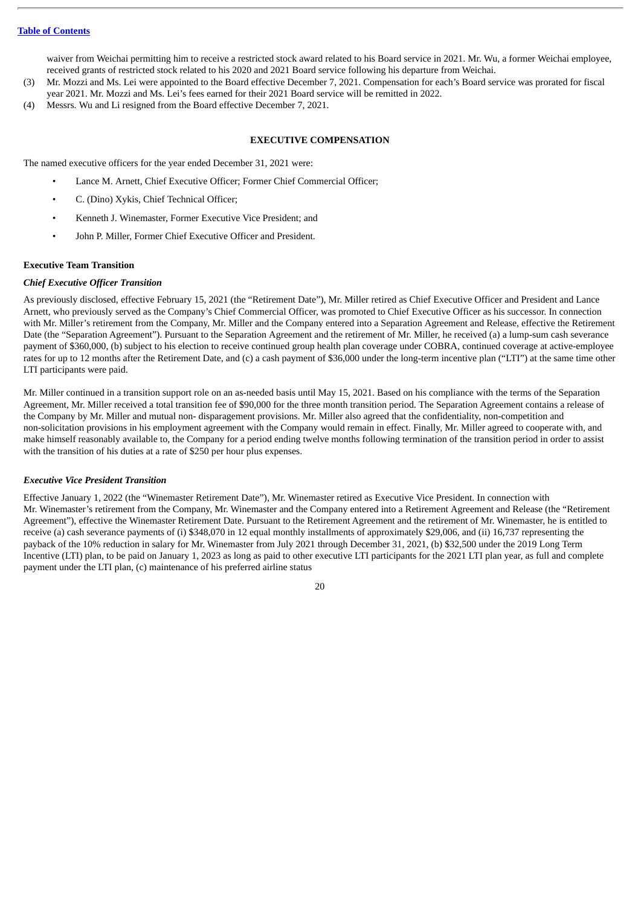waiver from Weichai permitting him to receive a restricted stock award related to his Board service in 2021. Mr. Wu, a former Weichai employee, received grants of restricted stock related to his 2020 and 2021 Board service following his departure from Weichai.

- (3) Mr. Mozzi and Ms. Lei were appointed to the Board effective December 7, 2021. Compensation for each's Board service was prorated for fiscal year 2021. Mr. Mozzi and Ms. Lei's fees earned for their 2021 Board service will be remitted in 2022.
- (4) Messrs. Wu and Li resigned from the Board effective December 7, 2021.

## **EXECUTIVE COMPENSATION**

<span id="page-24-0"></span>The named executive officers for the year ended December 31, 2021 were:

- Lance M. Arnett, Chief Executive Officer; Former Chief Commercial Officer;
- C. (Dino) Xykis, Chief Technical Officer;
- Kenneth J. Winemaster, Former Executive Vice President; and
- John P. Miller, Former Chief Executive Officer and President.

## <span id="page-24-1"></span>**Executive Team Transition**

## *Chief Executive Officer Transition*

As previously disclosed, effective February 15, 2021 (the "Retirement Date"), Mr. Miller retired as Chief Executive Officer and President and Lance Arnett, who previously served as the Company's Chief Commercial Officer, was promoted to Chief Executive Officer as his successor. In connection with Mr. Miller's retirement from the Company, Mr. Miller and the Company entered into a Separation Agreement and Release, effective the Retirement Date (the "Separation Agreement"). Pursuant to the Separation Agreement and the retirement of Mr. Miller, he received (a) a lump-sum cash severance payment of \$360,000, (b) subject to his election to receive continued group health plan coverage under COBRA, continued coverage at active-employee rates for up to 12 months after the Retirement Date, and (c) a cash payment of \$36,000 under the long-term incentive plan ("LTI") at the same time other LTI participants were paid.

Mr. Miller continued in a transition support role on an as-needed basis until May 15, 2021. Based on his compliance with the terms of the Separation Agreement, Mr. Miller received a total transition fee of \$90,000 for the three month transition period. The Separation Agreement contains a release of the Company by Mr. Miller and mutual non- disparagement provisions. Mr. Miller also agreed that the confidentiality, non-competition and non-solicitation provisions in his employment agreement with the Company would remain in effect. Finally, Mr. Miller agreed to cooperate with, and make himself reasonably available to, the Company for a period ending twelve months following termination of the transition period in order to assist with the transition of his duties at a rate of \$250 per hour plus expenses.

#### *Executive Vice President Transition*

Effective January 1, 2022 (the "Winemaster Retirement Date"), Mr. Winemaster retired as Executive Vice President. In connection with Mr. Winemaster's retirement from the Company, Mr. Winemaster and the Company entered into a Retirement Agreement and Release (the "Retirement Agreement"), effective the Winemaster Retirement Date. Pursuant to the Retirement Agreement and the retirement of Mr. Winemaster, he is entitled to receive (a) cash severance payments of (i) \$348,070 in 12 equal monthly installments of approximately \$29,006, and (ii) 16,737 representing the payback of the 10% reduction in salary for Mr. Winemaster from July 2021 through December 31, 2021, (b) \$32,500 under the 2019 Long Term Incentive (LTI) plan, to be paid on January 1, 2023 as long as paid to other executive LTI participants for the 2021 LTI plan year, as full and complete payment under the LTI plan, (c) maintenance of his preferred airline status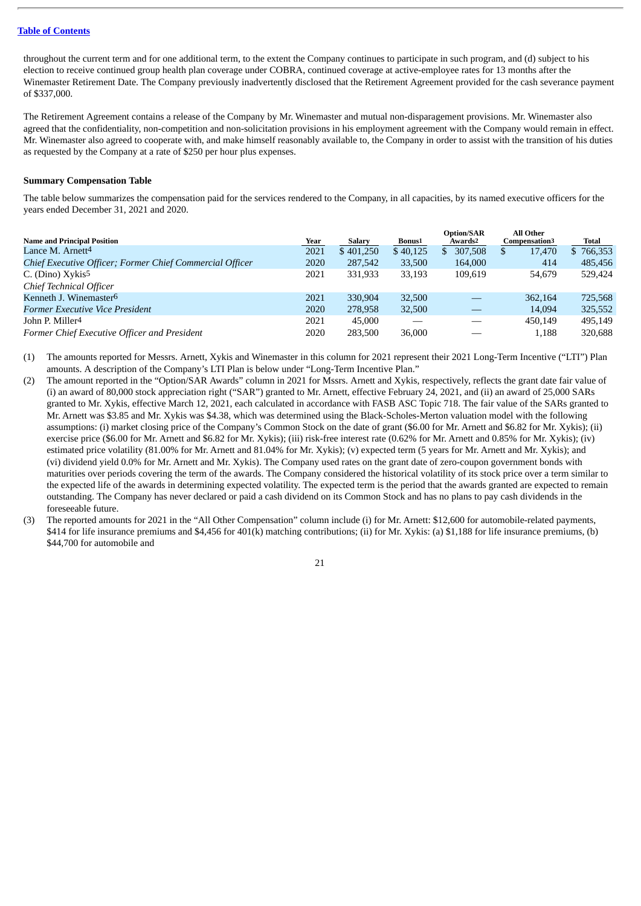throughout the current term and for one additional term, to the extent the Company continues to participate in such program, and (d) subject to his election to receive continued group health plan coverage under COBRA, continued coverage at active-employee rates for 13 months after the Winemaster Retirement Date. The Company previously inadvertently disclosed that the Retirement Agreement provided for the cash severance payment of \$337,000.

The Retirement Agreement contains a release of the Company by Mr. Winemaster and mutual non-disparagement provisions. Mr. Winemaster also agreed that the confidentiality, non-competition and non-solicitation provisions in his employment agreement with the Company would remain in effect. Mr. Winemaster also agreed to cooperate with, and make himself reasonably available to, the Company in order to assist with the transition of his duties as requested by the Company at a rate of \$250 per hour plus expenses.

## <span id="page-25-0"></span>**Summary Compensation Table**

The table below summarizes the compensation paid for the services rendered to the Company, in all capacities, by its named executive officers for the years ended December 31, 2021 and 2020.

| <b>Name and Principal Position</b>                       | Year | Salary    | Bonus <sup>1</sup> | <b>Option/SAR</b><br>Awards <sup>2</sup> | <b>All Other</b><br>Compensation <sup>3</sup> | Total          |
|----------------------------------------------------------|------|-----------|--------------------|------------------------------------------|-----------------------------------------------|----------------|
| Lance M. Arnett <sup>4</sup>                             | 2021 | \$401,250 | \$40,125           | 307,508<br>S.                            | 17,470<br><b>S</b>                            | 766,353<br>\$. |
| Chief Executive Officer; Former Chief Commercial Officer | 2020 | 287,542   | 33,500             | 164,000                                  | 414                                           | 485,456        |
| $C.$ (Dino) Xykis $5$                                    | 2021 | 331,933   | 33,193             | 109.619                                  | 54.679                                        | 529.424        |
| Chief Technical Officer                                  |      |           |                    |                                          |                                               |                |
| Kenneth J. Winemaster <sup>6</sup>                       | 2021 | 330,904   | 32,500             |                                          | 362,164                                       | 725,568        |
| <b>Former Executive Vice President</b>                   | 2020 | 278,958   | 32,500             |                                          | 14,094                                        | 325,552        |
| John P. Miller <sup>4</sup>                              | 2021 | 45.000    |                    |                                          | 450.149                                       | 495.149        |
| Former Chief Executive Officer and President             | 2020 | 283,500   | 36,000             |                                          | 1,188                                         | 320,688        |

- (1) The amounts reported for Messrs. Arnett, Xykis and Winemaster in this column for 2021 represent their 2021 Long-Term Incentive ("LTI") Plan amounts. A description of the Company's LTI Plan is below under "Long-Term Incentive Plan."
- (2) The amount reported in the "Option/SAR Awards" column in 2021 for Mssrs. Arnett and Xykis, respectively, reflects the grant date fair value of (i) an award of 80,000 stock appreciation right ("SAR") granted to Mr. Arnett, effective February 24, 2021, and (ii) an award of 25,000 SARs granted to Mr. Xykis, effective March 12, 2021, each calculated in accordance with FASB ASC Topic 718. The fair value of the SARs granted to Mr. Arnett was \$3.85 and Mr. Xykis was \$4.38, which was determined using the Black-Scholes-Merton valuation model with the following assumptions: (i) market closing price of the Company's Common Stock on the date of grant (\$6.00 for Mr. Arnett and \$6.82 for Mr. Xykis); (ii) exercise price (\$6.00 for Mr. Arnett and \$6.82 for Mr. Xykis); (iii) risk-free interest rate (0.62% for Mr. Arnett and 0.85% for Mr. Xykis); (iv) estimated price volatility (81.00% for Mr. Arnett and 81.04% for Mr. Xykis); (v) expected term (5 years for Mr. Arnett and Mr. Xykis); and (vi) dividend yield 0.0% for Mr. Arnett and Mr. Xykis). The Company used rates on the grant date of zero-coupon government bonds with maturities over periods covering the term of the awards. The Company considered the historical volatility of its stock price over a term similar to the expected life of the awards in determining expected volatility. The expected term is the period that the awards granted are expected to remain outstanding. The Company has never declared or paid a cash dividend on its Common Stock and has no plans to pay cash dividends in the foreseeable future.
- (3) The reported amounts for 2021 in the "All Other Compensation" column include (i) for Mr. Arnett: \$12,600 for automobile-related payments, \$414 for life insurance premiums and \$4,456 for 401(k) matching contributions; (ii) for Mr. Xykis: (a) \$1,188 for life insurance premiums, (b) \$44,700 for automobile and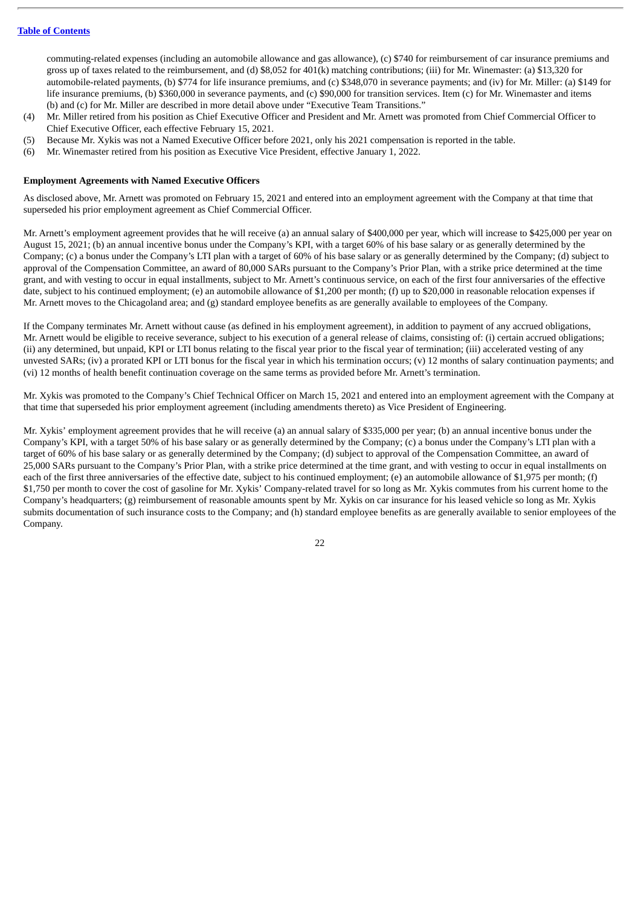commuting-related expenses (including an automobile allowance and gas allowance), (c) \$740 for reimbursement of car insurance premiums and gross up of taxes related to the reimbursement, and (d) \$8,052 for 401(k) matching contributions; (iii) for Mr. Winemaster: (a) \$13,320 for automobile-related payments, (b) \$774 for life insurance premiums, and (c) \$348,070 in severance payments; and (iv) for Mr. Miller: (a) \$149 for life insurance premiums, (b) \$360,000 in severance payments, and (c) \$90,000 for transition services. Item (c) for Mr. Winemaster and items (b) and (c) for Mr. Miller are described in more detail above under "Executive Team Transitions."

- (4) Mr. Miller retired from his position as Chief Executive Officer and President and Mr. Arnett was promoted from Chief Commercial Officer to Chief Executive Officer, each effective February 15, 2021.
- (5) Because Mr. Xykis was not a Named Executive Officer before 2021, only his 2021 compensation is reported in the table.
- (6) Mr. Winemaster retired from his position as Executive Vice President, effective January 1, 2022.

## <span id="page-26-0"></span>**Employment Agreements with Named Executive Officers**

As disclosed above, Mr. Arnett was promoted on February 15, 2021 and entered into an employment agreement with the Company at that time that superseded his prior employment agreement as Chief Commercial Officer.

Mr. Arnett's employment agreement provides that he will receive (a) an annual salary of \$400,000 per year, which will increase to \$425,000 per year on August 15, 2021; (b) an annual incentive bonus under the Company's KPI, with a target 60% of his base salary or as generally determined by the Company; (c) a bonus under the Company's LTI plan with a target of 60% of his base salary or as generally determined by the Company; (d) subject to approval of the Compensation Committee, an award of 80,000 SARs pursuant to the Company's Prior Plan, with a strike price determined at the time grant, and with vesting to occur in equal installments, subject to Mr. Arnett's continuous service, on each of the first four anniversaries of the effective date, subject to his continued employment; (e) an automobile allowance of \$1,200 per month; (f) up to \$20,000 in reasonable relocation expenses if Mr. Arnett moves to the Chicagoland area; and (g) standard employee benefits as are generally available to employees of the Company.

If the Company terminates Mr. Arnett without cause (as defined in his employment agreement), in addition to payment of any accrued obligations, Mr. Arnett would be eligible to receive severance, subject to his execution of a general release of claims, consisting of: (i) certain accrued obligations; (ii) any determined, but unpaid, KPI or LTI bonus relating to the fiscal year prior to the fiscal year of termination; (iii) accelerated vesting of any unvested SARs; (iv) a prorated KPI or LTI bonus for the fiscal year in which his termination occurs; (v) 12 months of salary continuation payments; and (vi) 12 months of health benefit continuation coverage on the same terms as provided before Mr. Arnett's termination.

Mr. Xykis was promoted to the Company's Chief Technical Officer on March 15, 2021 and entered into an employment agreement with the Company at that time that superseded his prior employment agreement (including amendments thereto) as Vice President of Engineering.

Mr. Xykis' employment agreement provides that he will receive (a) an annual salary of \$335,000 per year; (b) an annual incentive bonus under the Company's KPI, with a target 50% of his base salary or as generally determined by the Company; (c) a bonus under the Company's LTI plan with a target of 60% of his base salary or as generally determined by the Company; (d) subject to approval of the Compensation Committee, an award of 25,000 SARs pursuant to the Company's Prior Plan, with a strike price determined at the time grant, and with vesting to occur in equal installments on each of the first three anniversaries of the effective date, subject to his continued employment; (e) an automobile allowance of \$1,975 per month; (f) \$1,750 per month to cover the cost of gasoline for Mr. Xykis' Company-related travel for so long as Mr. Xykis commutes from his current home to the Company's headquarters; (g) reimbursement of reasonable amounts spent by Mr. Xykis on car insurance for his leased vehicle so long as Mr. Xykis submits documentation of such insurance costs to the Company; and (h) standard employee benefits as are generally available to senior employees of the Company.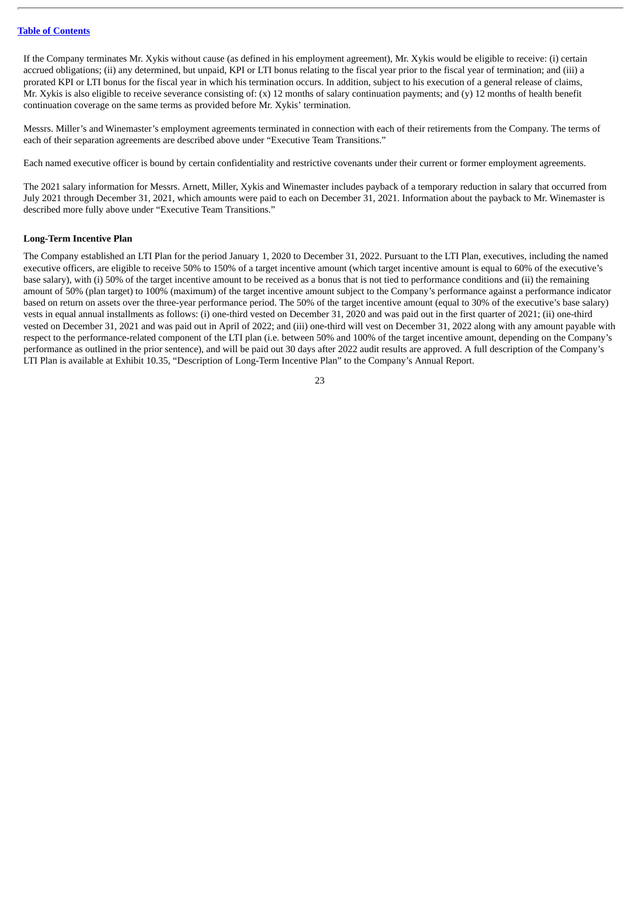If the Company terminates Mr. Xykis without cause (as defined in his employment agreement), Mr. Xykis would be eligible to receive: (i) certain accrued obligations; (ii) any determined, but unpaid, KPI or LTI bonus relating to the fiscal year prior to the fiscal year of termination; and (iii) a prorated KPI or LTI bonus for the fiscal year in which his termination occurs. In addition, subject to his execution of a general release of claims, Mr. Xykis is also eligible to receive severance consisting of: (x) 12 months of salary continuation payments; and (y) 12 months of health benefit continuation coverage on the same terms as provided before Mr. Xykis' termination.

Messrs. Miller's and Winemaster's employment agreements terminated in connection with each of their retirements from the Company. The terms of each of their separation agreements are described above under "Executive Team Transitions."

Each named executive officer is bound by certain confidentiality and restrictive covenants under their current or former employment agreements.

The 2021 salary information for Messrs. Arnett, Miller, Xykis and Winemaster includes payback of a temporary reduction in salary that occurred from July 2021 through December 31, 2021, which amounts were paid to each on December 31, 2021. Information about the payback to Mr. Winemaster is described more fully above under "Executive Team Transitions."

#### <span id="page-27-0"></span>**Long-Term Incentive Plan**

The Company established an LTI Plan for the period January 1, 2020 to December 31, 2022. Pursuant to the LTI Plan, executives, including the named executive officers, are eligible to receive 50% to 150% of a target incentive amount (which target incentive amount is equal to 60% of the executive's base salary), with (i) 50% of the target incentive amount to be received as a bonus that is not tied to performance conditions and (ii) the remaining amount of 50% (plan target) to 100% (maximum) of the target incentive amount subject to the Company's performance against a performance indicator based on return on assets over the three-year performance period. The 50% of the target incentive amount (equal to 30% of the executive's base salary) vests in equal annual installments as follows: (i) one-third vested on December 31, 2020 and was paid out in the first quarter of 2021; (ii) one-third vested on December 31, 2021 and was paid out in April of 2022; and (iii) one-third will vest on December 31, 2022 along with any amount payable with respect to the performance-related component of the LTI plan (i.e. between 50% and 100% of the target incentive amount, depending on the Company's performance as outlined in the prior sentence), and will be paid out 30 days after 2022 audit results are approved. A full description of the Company's LTI Plan is available at Exhibit 10.35, "Description of Long-Term Incentive Plan" to the Company's Annual Report.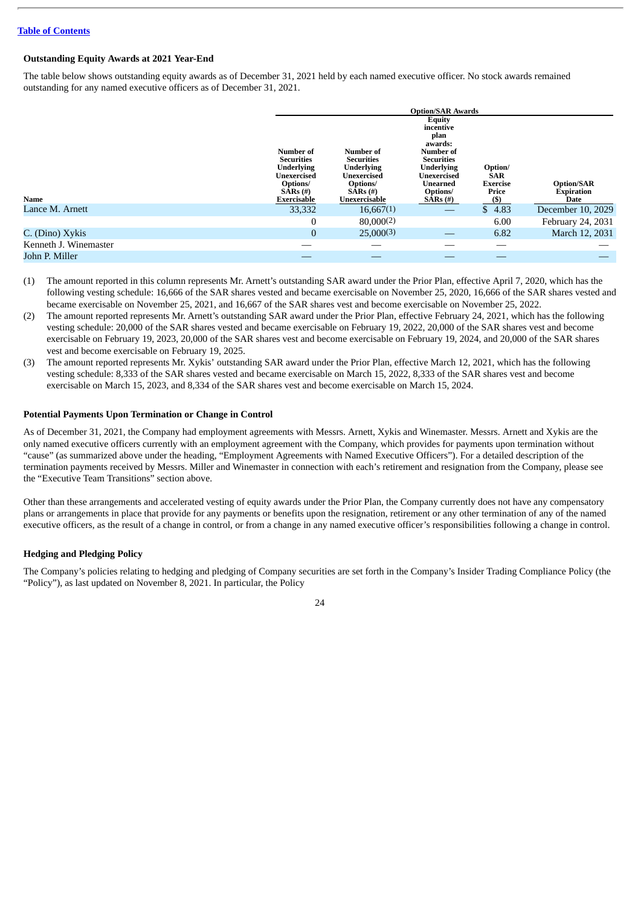## <span id="page-28-0"></span>**Outstanding Equity Awards at 2021 Year-End**

The table below shows outstanding equity awards as of December 31, 2021 held by each named executive officer. No stock awards remained outstanding for any named executive officers as of December 31, 2021.

|                       | Number of<br><b>Securities</b><br><b>Underlying</b><br><b>Unexercised</b><br>Options/<br>$SARS$ (#) | <b>Number of</b><br><b>Securities</b><br><b>Underlying</b><br>Unexercised<br>Options/<br>$SARs$ $(\#)$ | <b>Option/SAR Awards</b><br><b>Equity</b><br>incentive<br>plan<br>awards:<br><b>Number of</b><br><b>Securities</b><br><b>Underlying</b><br><b>Unexercised</b><br>Unearned<br>Options/ | Option/<br><b>SAR</b><br><b>Exercise</b><br>Price | <b>Option/SAR</b><br><b>Expiration</b> |
|-----------------------|-----------------------------------------------------------------------------------------------------|--------------------------------------------------------------------------------------------------------|---------------------------------------------------------------------------------------------------------------------------------------------------------------------------------------|---------------------------------------------------|----------------------------------------|
| Name                  | Exercisable                                                                                         | Unexercisable                                                                                          | SARs (#)                                                                                                                                                                              | <u>(\$)</u>                                       | Date                                   |
| Lance M. Arnett       | 33,332                                                                                              | 16,667(1)                                                                                              |                                                                                                                                                                                       | \$4.83                                            | December 10, 2029                      |
|                       | 0                                                                                                   | 80,000(2)                                                                                              |                                                                                                                                                                                       | 6.00                                              | February 24, 2031                      |
| C. (Dino) Xykis       | $\mathbf{0}$                                                                                        | 25,000(3)                                                                                              |                                                                                                                                                                                       | 6.82                                              | March 12, 2031                         |
| Kenneth J. Winemaster |                                                                                                     |                                                                                                        |                                                                                                                                                                                       |                                                   |                                        |
| John P. Miller        |                                                                                                     |                                                                                                        |                                                                                                                                                                                       |                                                   |                                        |

(1) The amount reported in this column represents Mr. Arnett's outstanding SAR award under the Prior Plan, effective April 7, 2020, which has the following vesting schedule: 16,666 of the SAR shares vested and became exercisable on November 25, 2020, 16,666 of the SAR shares vested and became exercisable on November 25, 2021, and 16,667 of the SAR shares vest and become exercisable on November 25, 2022.

- (2) The amount reported represents Mr. Arnett's outstanding SAR award under the Prior Plan, effective February 24, 2021, which has the following vesting schedule: 20,000 of the SAR shares vested and became exercisable on February 19, 2022, 20,000 of the SAR shares vest and become exercisable on February 19, 2023, 20,000 of the SAR shares vest and become exercisable on February 19, 2024, and 20,000 of the SAR shares vest and become exercisable on February 19, 2025.
- (3) The amount reported represents Mr. Xykis' outstanding SAR award under the Prior Plan, effective March 12, 2021, which has the following vesting schedule: 8,333 of the SAR shares vested and became exercisable on March 15, 2022, 8,333 of the SAR shares vest and become exercisable on March 15, 2023, and 8,334 of the SAR shares vest and become exercisable on March 15, 2024.

## <span id="page-28-1"></span>**Potential Payments Upon Termination or Change in Control**

As of December 31, 2021, the Company had employment agreements with Messrs. Arnett, Xykis and Winemaster. Messrs. Arnett and Xykis are the only named executive officers currently with an employment agreement with the Company, which provides for payments upon termination without "cause" (as summarized above under the heading, "Employment Agreements with Named Executive Officers"). For a detailed description of the termination payments received by Messrs. Miller and Winemaster in connection with each's retirement and resignation from the Company, please see the "Executive Team Transitions" section above.

Other than these arrangements and accelerated vesting of equity awards under the Prior Plan, the Company currently does not have any compensatory plans or arrangements in place that provide for any payments or benefits upon the resignation, retirement or any other termination of any of the named executive officers, as the result of a change in control, or from a change in any named executive officer's responsibilities following a change in control.

## <span id="page-28-2"></span>**Hedging and Pledging Policy**

The Company's policies relating to hedging and pledging of Company securities are set forth in the Company's Insider Trading Compliance Policy (the "Policy"), as last updated on November 8, 2021. In particular, the Policy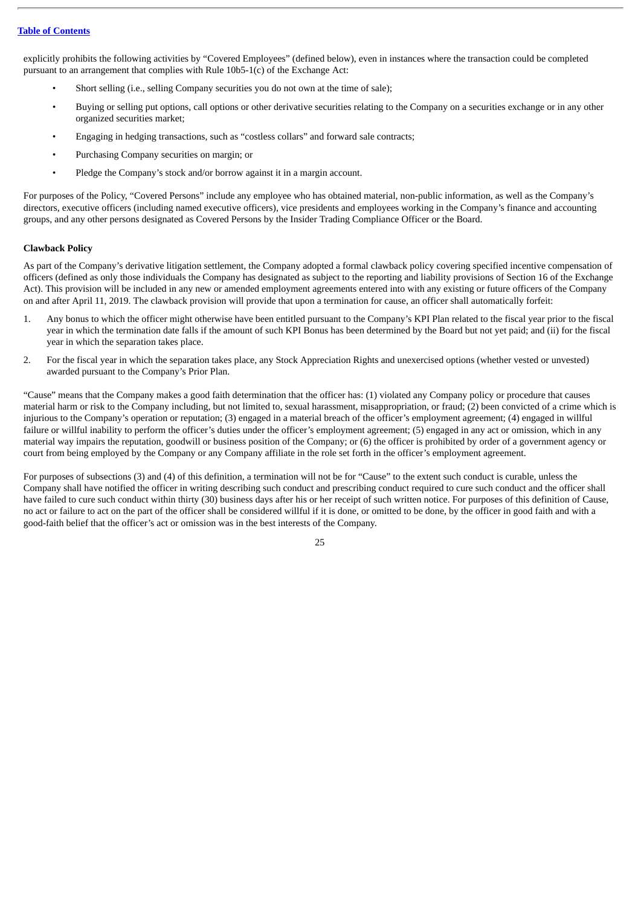explicitly prohibits the following activities by "Covered Employees" (defined below), even in instances where the transaction could be completed pursuant to an arrangement that complies with Rule 10b5-1(c) of the Exchange Act:

- Short selling (i.e., selling Company securities you do not own at the time of sale);
- Buying or selling put options, call options or other derivative securities relating to the Company on a securities exchange or in any other organized securities market;
- Engaging in hedging transactions, such as "costless collars" and forward sale contracts;
- Purchasing Company securities on margin; or
- Pledge the Company's stock and/or borrow against it in a margin account.

For purposes of the Policy, "Covered Persons" include any employee who has obtained material, non-public information, as well as the Company's directors, executive officers (including named executive officers), vice presidents and employees working in the Company's finance and accounting groups, and any other persons designated as Covered Persons by the Insider Trading Compliance Officer or the Board.

## <span id="page-29-0"></span>**Clawback Policy**

As part of the Company's derivative litigation settlement, the Company adopted a formal clawback policy covering specified incentive compensation of officers (defined as only those individuals the Company has designated as subject to the reporting and liability provisions of Section 16 of the Exchange Act). This provision will be included in any new or amended employment agreements entered into with any existing or future officers of the Company on and after April 11, 2019. The clawback provision will provide that upon a termination for cause, an officer shall automatically forfeit:

- 1. Any bonus to which the officer might otherwise have been entitled pursuant to the Company's KPI Plan related to the fiscal year prior to the fiscal year in which the termination date falls if the amount of such KPI Bonus has been determined by the Board but not yet paid; and (ii) for the fiscal year in which the separation takes place.
- 2. For the fiscal year in which the separation takes place, any Stock Appreciation Rights and unexercised options (whether vested or unvested) awarded pursuant to the Company's Prior Plan.

"Cause" means that the Company makes a good faith determination that the officer has: (1) violated any Company policy or procedure that causes material harm or risk to the Company including, but not limited to, sexual harassment, misappropriation, or fraud; (2) been convicted of a crime which is injurious to the Company's operation or reputation; (3) engaged in a material breach of the officer's employment agreement; (4) engaged in willful failure or willful inability to perform the officer's duties under the officer's employment agreement; (5) engaged in any act or omission, which in any material way impairs the reputation, goodwill or business position of the Company; or (6) the officer is prohibited by order of a government agency or court from being employed by the Company or any Company affiliate in the role set forth in the officer's employment agreement.

For purposes of subsections (3) and (4) of this definition, a termination will not be for "Cause" to the extent such conduct is curable, unless the Company shall have notified the officer in writing describing such conduct and prescribing conduct required to cure such conduct and the officer shall have failed to cure such conduct within thirty (30) business days after his or her receipt of such written notice. For purposes of this definition of Cause, no act or failure to act on the part of the officer shall be considered willful if it is done, or omitted to be done, by the officer in good faith and with a good-faith belief that the officer's act or omission was in the best interests of the Company.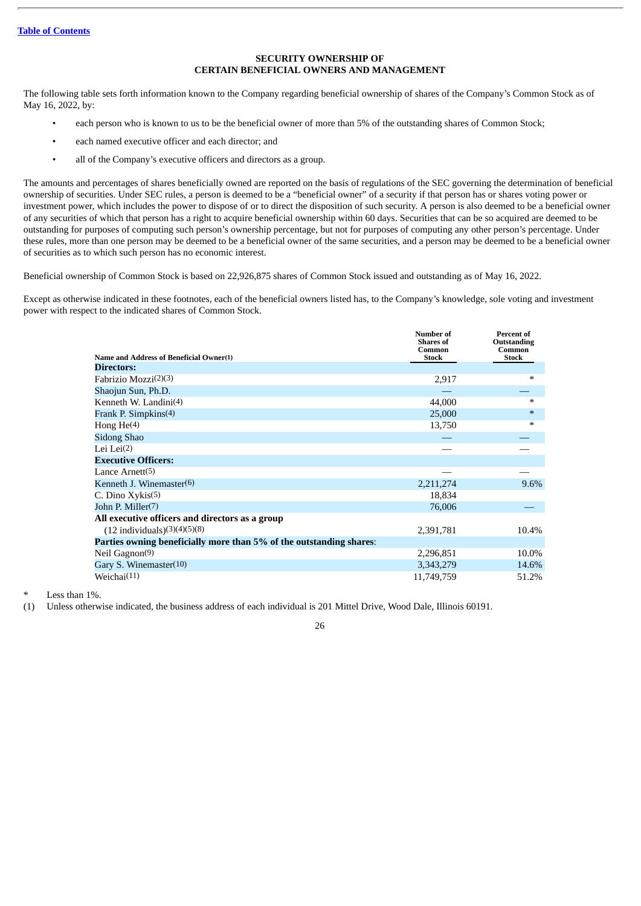## **SECURITY OWNERSHIP OF CERTAIN BENEFICIAL OWNERS AND MANAGEMENT**

<span id="page-30-0"></span>The following table sets forth information known to the Company regarding beneficial ownership of shares of the Company's Common Stock as of May 16, 2022, by:

- each person who is known to us to be the beneficial owner of more than 5% of the outstanding shares of Common Stock;
- each named executive officer and each director; and
- all of the Company's executive officers and directors as a group.

The amounts and percentages of shares beneficially owned are reported on the basis of regulations of the SEC governing the determination of beneficial ownership of securities. Under SEC rules, a person is deemed to be a "beneficial owner" of a security if that person has or shares voting power or investment power, which includes the power to dispose of or to direct the disposition of such security. A person is also deemed to be a beneficial owner of any securities of which that person has a right to acquire beneficial ownership within 60 days. Securities that can be so acquired are deemed to be outstanding for purposes of computing such person's ownership percentage, but not for purposes of computing any other person's percentage. Under these rules, more than one person may be deemed to be a beneficial owner of the same securities, and a person may be deemed to be a beneficial owner of securities as to which such person has no economic interest.

Beneficial ownership of Common Stock is based on 22,926,875 shares of Common Stock issued and outstanding as of May 16, 2022.

Except as otherwise indicated in these footnotes, each of the beneficial owners listed has, to the Company's knowledge, sole voting and investment power with respect to the indicated shares of Common Stock.

|                                                                     | Number of<br><b>Shares</b> of<br>Common | <b>Percent of</b><br>Outstanding<br>Common |
|---------------------------------------------------------------------|-----------------------------------------|--------------------------------------------|
| Name and Address of Beneficial Owner(1)                             | <b>Stock</b>                            | <b>Stock</b>                               |
| <b>Directors:</b>                                                   |                                         |                                            |
| Fabrizio Mozzi $(2)(3)$                                             | 2,917                                   | ∗                                          |
| Shaojun Sun, Ph.D.                                                  |                                         |                                            |
| Kenneth W. Landini(4)                                               | 44,000                                  | ∗                                          |
| Frank P. Simpkins(4)                                                | 25,000                                  | ∗                                          |
| Hong $He(4)$                                                        | 13,750                                  | $\ast$                                     |
| Sidong Shao                                                         |                                         |                                            |
| Lei Lei(2)                                                          |                                         |                                            |
| <b>Executive Officers:</b>                                          |                                         |                                            |
| Lance Arnett <sup>(5)</sup>                                         |                                         |                                            |
| Kenneth J. Winemaster(6)                                            | 2,211,274                               | 9.6%                                       |
| C. Dino $Xykis(5)$                                                  | 18,834                                  |                                            |
| John P. Miller(7)                                                   | 76,006                                  |                                            |
| All executive officers and directors as a group                     |                                         |                                            |
| $(12$ individuals $)(3)(4)(5)(8)$                                   | 2,391,781                               | 10.4%                                      |
| Parties owning beneficially more than 5% of the outstanding shares: |                                         |                                            |
| Neil Gagnon $(9)$                                                   | 2,296,851                               | 10.0%                                      |
| Gary S. Winemaster(10)                                              | 3,343,279                               | 14.6%                                      |
| Weichai <sup>(11)</sup>                                             | 11,749,759                              | 51.2%                                      |

Less than 1%.

(1) Unless otherwise indicated, the business address of each individual is 201 Mittel Drive, Wood Dale, Illinois 60191.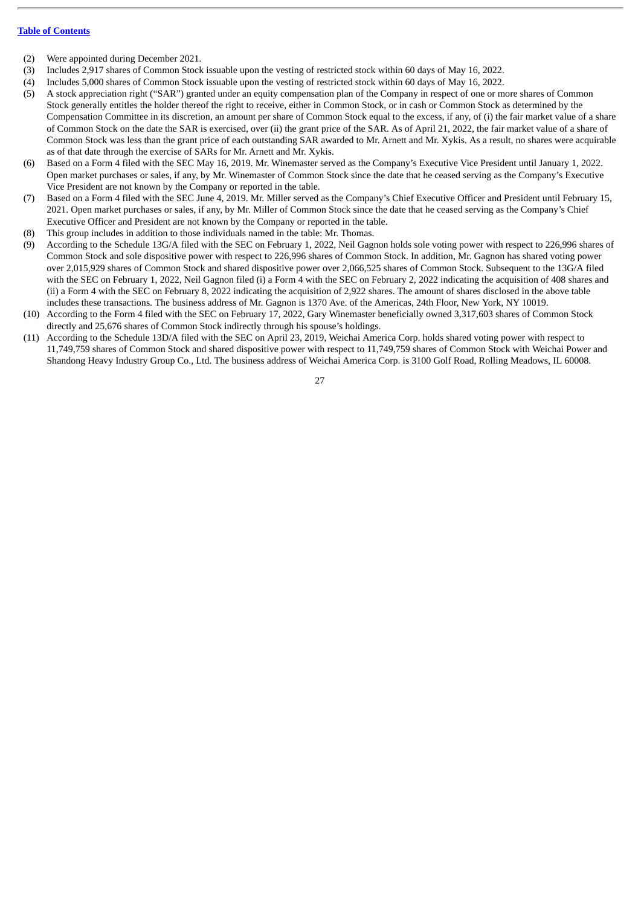- (2) Were appointed during December 2021.
- (3) Includes 2,917 shares of Common Stock issuable upon the vesting of restricted stock within 60 days of May 16, 2022.
- (4) Includes 5,000 shares of Common Stock issuable upon the vesting of restricted stock within 60 days of May 16, 2022.
- (5) A stock appreciation right ("SAR") granted under an equity compensation plan of the Company in respect of one or more shares of Common Stock generally entitles the holder thereof the right to receive, either in Common Stock, or in cash or Common Stock as determined by the Compensation Committee in its discretion, an amount per share of Common Stock equal to the excess, if any, of (i) the fair market value of a share of Common Stock on the date the SAR is exercised, over (ii) the grant price of the SAR. As of April 21, 2022, the fair market value of a share of Common Stock was less than the grant price of each outstanding SAR awarded to Mr. Arnett and Mr. Xykis. As a result, no shares were acquirable as of that date through the exercise of SARs for Mr. Arnett and Mr. Xykis.
- (6) Based on a Form 4 filed with the SEC May 16, 2019. Mr. Winemaster served as the Company's Executive Vice President until January 1, 2022. Open market purchases or sales, if any, by Mr. Winemaster of Common Stock since the date that he ceased serving as the Company's Executive Vice President are not known by the Company or reported in the table.
- (7) Based on a Form 4 filed with the SEC June 4, 2019. Mr. Miller served as the Company's Chief Executive Officer and President until February 15, 2021. Open market purchases or sales, if any, by Mr. Miller of Common Stock since the date that he ceased serving as the Company's Chief Executive Officer and President are not known by the Company or reported in the table.
- (8) This group includes in addition to those individuals named in the table: Mr. Thomas.
- (9) According to the Schedule 13G/A filed with the SEC on February 1, 2022, Neil Gagnon holds sole voting power with respect to 226,996 shares of Common Stock and sole dispositive power with respect to 226,996 shares of Common Stock. In addition, Mr. Gagnon has shared voting power over 2,015,929 shares of Common Stock and shared dispositive power over 2,066,525 shares of Common Stock. Subsequent to the 13G/A filed with the SEC on February 1, 2022, Neil Gagnon filed (i) a Form 4 with the SEC on February 2, 2022 indicating the acquisition of 408 shares and (ii) a Form 4 with the SEC on February 8, 2022 indicating the acquisition of 2,922 shares. The amount of shares disclosed in the above table includes these transactions. The business address of Mr. Gagnon is 1370 Ave. of the Americas, 24th Floor, New York, NY 10019.
- (10) According to the Form 4 filed with the SEC on February 17, 2022, Gary Winemaster beneficially owned 3,317,603 shares of Common Stock directly and 25,676 shares of Common Stock indirectly through his spouse's holdings.
- (11) According to the Schedule 13D/A filed with the SEC on April 23, 2019, Weichai America Corp. holds shared voting power with respect to 11,749,759 shares of Common Stock and shared dispositive power with respect to 11,749,759 shares of Common Stock with Weichai Power and Shandong Heavy Industry Group Co., Ltd. The business address of Weichai America Corp. is 3100 Golf Road, Rolling Meadows, IL 60008.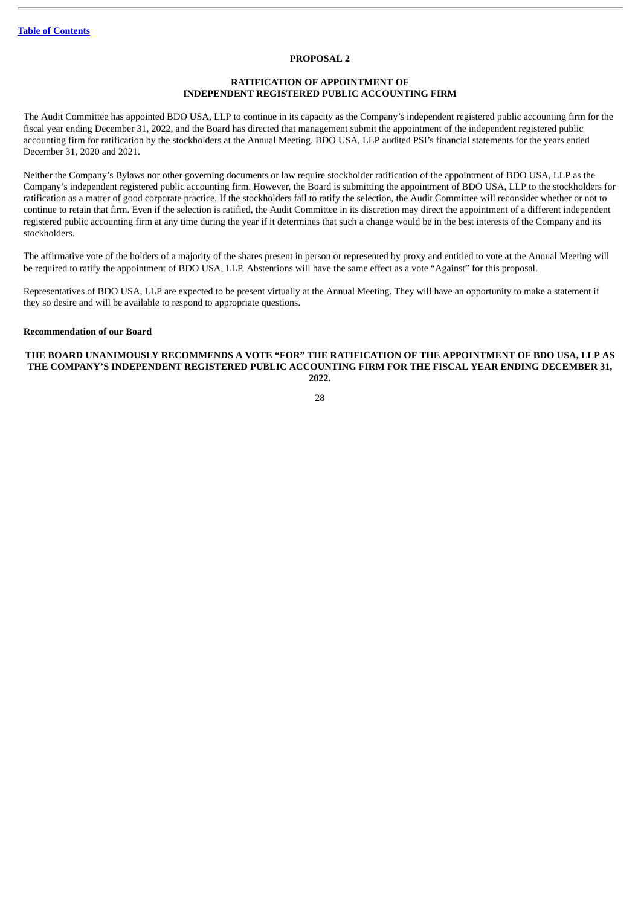## **RATIFICATION OF APPOINTMENT OF INDEPENDENT REGISTERED PUBLIC ACCOUNTING FIRM**

<span id="page-32-0"></span>The Audit Committee has appointed BDO USA, LLP to continue in its capacity as the Company's independent registered public accounting firm for the fiscal year ending December 31, 2022, and the Board has directed that management submit the appointment of the independent registered public accounting firm for ratification by the stockholders at the Annual Meeting. BDO USA, LLP audited PSI's financial statements for the years ended December 31, 2020 and 2021.

Neither the Company's Bylaws nor other governing documents or law require stockholder ratification of the appointment of BDO USA, LLP as the Company's independent registered public accounting firm. However, the Board is submitting the appointment of BDO USA, LLP to the stockholders for ratification as a matter of good corporate practice. If the stockholders fail to ratify the selection, the Audit Committee will reconsider whether or not to continue to retain that firm. Even if the selection is ratified, the Audit Committee in its discretion may direct the appointment of a different independent registered public accounting firm at any time during the year if it determines that such a change would be in the best interests of the Company and its stockholders.

The affirmative vote of the holders of a majority of the shares present in person or represented by proxy and entitled to vote at the Annual Meeting will be required to ratify the appointment of BDO USA, LLP. Abstentions will have the same effect as a vote "Against" for this proposal.

Representatives of BDO USA, LLP are expected to be present virtually at the Annual Meeting. They will have an opportunity to make a statement if they so desire and will be available to respond to appropriate questions.

#### **Recommendation of our Board**

#### **THE BOARD UNANIMOUSLY RECOMMENDS A VOTE "FOR" THE RATIFICATION OF THE APPOINTMENT OF BDO USA, LLP AS THE COMPANY'S INDEPENDENT REGISTERED PUBLIC ACCOUNTING FIRM FOR THE FISCAL YEAR ENDING DECEMBER 31, 2022.**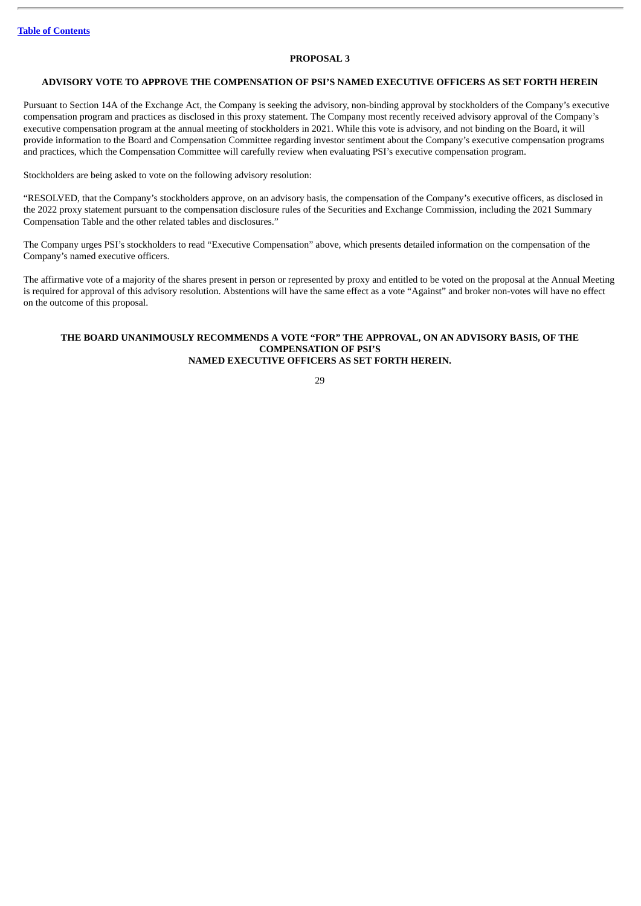## <span id="page-33-0"></span>**ADVISORY VOTE TO APPROVE THE COMPENSATION OF PSI'S NAMED EXECUTIVE OFFICERS AS SET FORTH HEREIN**

Pursuant to Section 14A of the Exchange Act, the Company is seeking the advisory, non-binding approval by stockholders of the Company's executive compensation program and practices as disclosed in this proxy statement. The Company most recently received advisory approval of the Company's executive compensation program at the annual meeting of stockholders in 2021. While this vote is advisory, and not binding on the Board, it will provide information to the Board and Compensation Committee regarding investor sentiment about the Company's executive compensation programs and practices, which the Compensation Committee will carefully review when evaluating PSI's executive compensation program.

Stockholders are being asked to vote on the following advisory resolution:

"RESOLVED, that the Company's stockholders approve, on an advisory basis, the compensation of the Company's executive officers, as disclosed in the 2022 proxy statement pursuant to the compensation disclosure rules of the Securities and Exchange Commission, including the 2021 Summary Compensation Table and the other related tables and disclosures."

The Company urges PSI's stockholders to read "Executive Compensation" above, which presents detailed information on the compensation of the Company's named executive officers.

The affirmative vote of a majority of the shares present in person or represented by proxy and entitled to be voted on the proposal at the Annual Meeting is required for approval of this advisory resolution. Abstentions will have the same effect as a vote "Against" and broker non-votes will have no effect on the outcome of this proposal.

## **THE BOARD UNANIMOUSLY RECOMMENDS A VOTE "FOR" THE APPROVAL, ON AN ADVISORY BASIS, OF THE COMPENSATION OF PSI'S NAMED EXECUTIVE OFFICERS AS SET FORTH HEREIN.**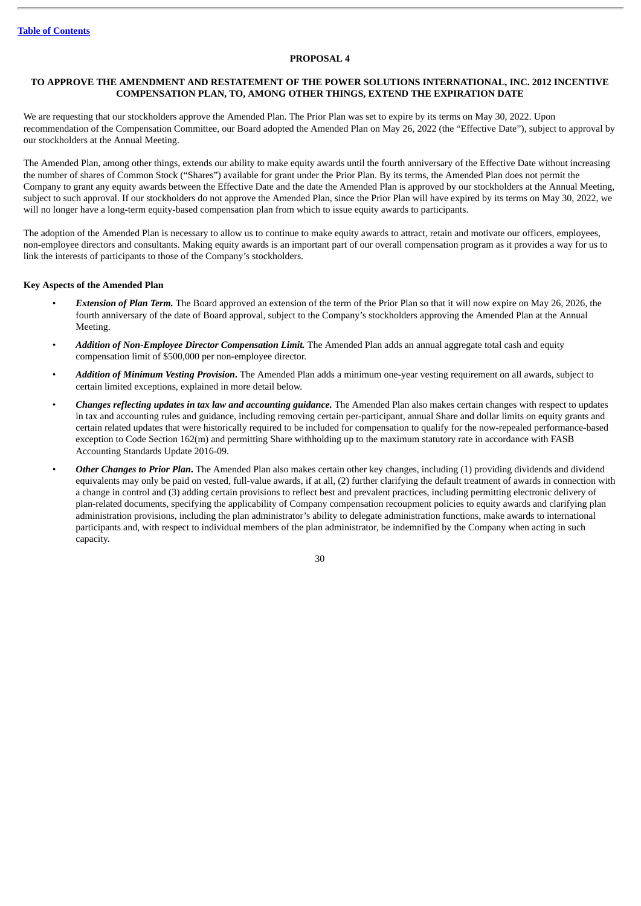## <span id="page-34-0"></span>**TO APPROVE THE AMENDMENT AND RESTATEMENT OF THE POWER SOLUTIONS INTERNATIONAL, INC. 2012 INCENTIVE COMPENSATION PLAN, TO, AMONG OTHER THINGS, EXTEND THE EXPIRATION DATE**

We are requesting that our stockholders approve the Amended Plan. The Prior Plan was set to expire by its terms on May 30, 2022. Upon recommendation of the Compensation Committee, our Board adopted the Amended Plan on May 26, 2022 (the "Effective Date"), subject to approval by our stockholders at the Annual Meeting.

The Amended Plan, among other things, extends our ability to make equity awards until the fourth anniversary of the Effective Date without increasing the number of shares of Common Stock ("Shares") available for grant under the Prior Plan. By its terms, the Amended Plan does not permit the Company to grant any equity awards between the Effective Date and the date the Amended Plan is approved by our stockholders at the Annual Meeting, subject to such approval. If our stockholders do not approve the Amended Plan, since the Prior Plan will have expired by its terms on May 30, 2022, we will no longer have a long-term equity-based compensation plan from which to issue equity awards to participants.

The adoption of the Amended Plan is necessary to allow us to continue to make equity awards to attract, retain and motivate our officers, employees, non-employee directors and consultants. Making equity awards is an important part of our overall compensation program as it provides a way for us to link the interests of participants to those of the Company's stockholders.

## <span id="page-34-1"></span>**Key Aspects of the Amended Plan**

- *Extension of Plan Term.* The Board approved an extension of the term of the Prior Plan so that it will now expire on May 26, 2026, the fourth anniversary of the date of Board approval, subject to the Company's stockholders approving the Amended Plan at the Annual Meeting.
- *Addition of Non-Employee Director Compensation Limit.* The Amended Plan adds an annual aggregate total cash and equity compensation limit of \$500,000 per non-employee director.
- *Addition of Minimum Vesting Provision***.** The Amended Plan adds a minimum one-year vesting requirement on all awards, subject to certain limited exceptions, explained in more detail below.
- *Changes reflecting updates in tax law and accounting guidance.* The Amended Plan also makes certain changes with respect to updates in tax and accounting rules and guidance, including removing certain per-participant, annual Share and dollar limits on equity grants and certain related updates that were historically required to be included for compensation to qualify for the now-repealed performance-based exception to Code Section 162(m) and permitting Share withholding up to the maximum statutory rate in accordance with FASB Accounting Standards Update 2016-09.
- *Other Changes to Prior Plan***.** The Amended Plan also makes certain other key changes, including (1) providing dividends and dividend equivalents may only be paid on vested, full-value awards, if at all, (2) further clarifying the default treatment of awards in connection with a change in control and (3) adding certain provisions to reflect best and prevalent practices, including permitting electronic delivery of plan-related documents, specifying the applicability of Company compensation recoupment policies to equity awards and clarifying plan administration provisions, including the plan administrator's ability to delegate administration functions, make awards to international participants and, with respect to individual members of the plan administrator, be indemnified by the Company when acting in such capacity.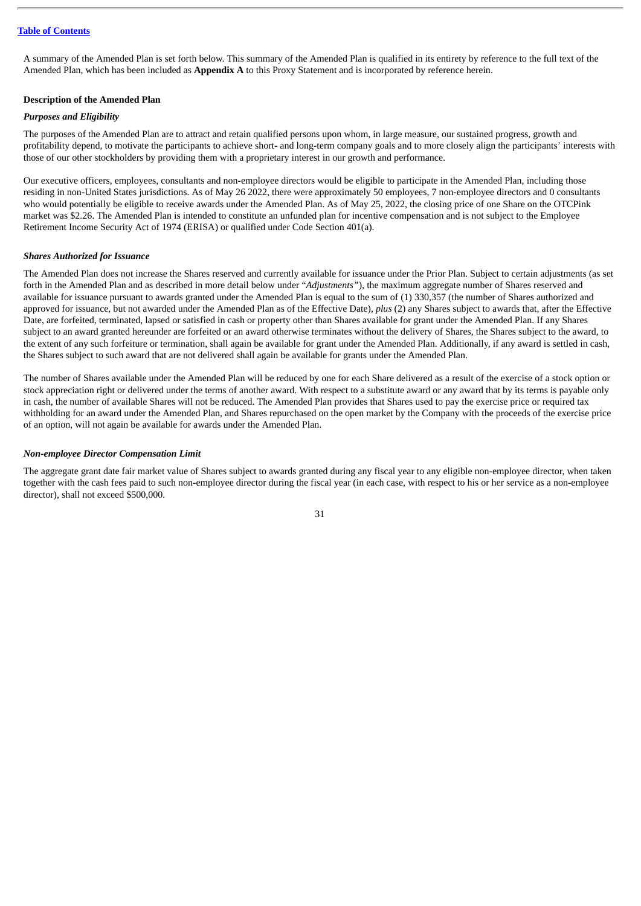A summary of the Amended Plan is set forth below. This summary of the Amended Plan is qualified in its entirety by reference to the full text of the Amended Plan, which has been included as **Appendix A** to this Proxy Statement and is incorporated by reference herein.

## <span id="page-35-0"></span>**Description of the Amended Plan**

#### *Purposes and Eligibility*

The purposes of the Amended Plan are to attract and retain qualified persons upon whom, in large measure, our sustained progress, growth and profitability depend, to motivate the participants to achieve short- and long-term company goals and to more closely align the participants' interests with those of our other stockholders by providing them with a proprietary interest in our growth and performance.

Our executive officers, employees, consultants and non-employee directors would be eligible to participate in the Amended Plan, including those residing in non-United States jurisdictions. As of May 26 2022, there were approximately 50 employees, 7 non-employee directors and 0 consultants who would potentially be eligible to receive awards under the Amended Plan. As of May 25, 2022, the closing price of one Share on the OTCPink market was \$2.26. The Amended Plan is intended to constitute an unfunded plan for incentive compensation and is not subject to the Employee Retirement Income Security Act of 1974 (ERISA) or qualified under Code Section 401(a).

#### *Shares Authorized for Issuance*

The Amended Plan does not increase the Shares reserved and currently available for issuance under the Prior Plan. Subject to certain adjustments (as set forth in the Amended Plan and as described in more detail below under "*Adjustments"*), the maximum aggregate number of Shares reserved and available for issuance pursuant to awards granted under the Amended Plan is equal to the sum of (1) 330,357 (the number of Shares authorized and approved for issuance, but not awarded under the Amended Plan as of the Effective Date), *plus* (2) any Shares subject to awards that, after the Effective Date, are forfeited, terminated, lapsed or satisfied in cash or property other than Shares available for grant under the Amended Plan. If any Shares subject to an award granted hereunder are forfeited or an award otherwise terminates without the delivery of Shares, the Shares subject to the award, to the extent of any such forfeiture or termination, shall again be available for grant under the Amended Plan. Additionally, if any award is settled in cash, the Shares subject to such award that are not delivered shall again be available for grants under the Amended Plan.

The number of Shares available under the Amended Plan will be reduced by one for each Share delivered as a result of the exercise of a stock option or stock appreciation right or delivered under the terms of another award. With respect to a substitute award or any award that by its terms is payable only in cash, the number of available Shares will not be reduced. The Amended Plan provides that Shares used to pay the exercise price or required tax withholding for an award under the Amended Plan, and Shares repurchased on the open market by the Company with the proceeds of the exercise price of an option, will not again be available for awards under the Amended Plan.

## *Non-employee Director Compensation Limit*

The aggregate grant date fair market value of Shares subject to awards granted during any fiscal year to any eligible non-employee director, when taken together with the cash fees paid to such non-employee director during the fiscal year (in each case, with respect to his or her service as a non-employee director), shall not exceed \$500,000.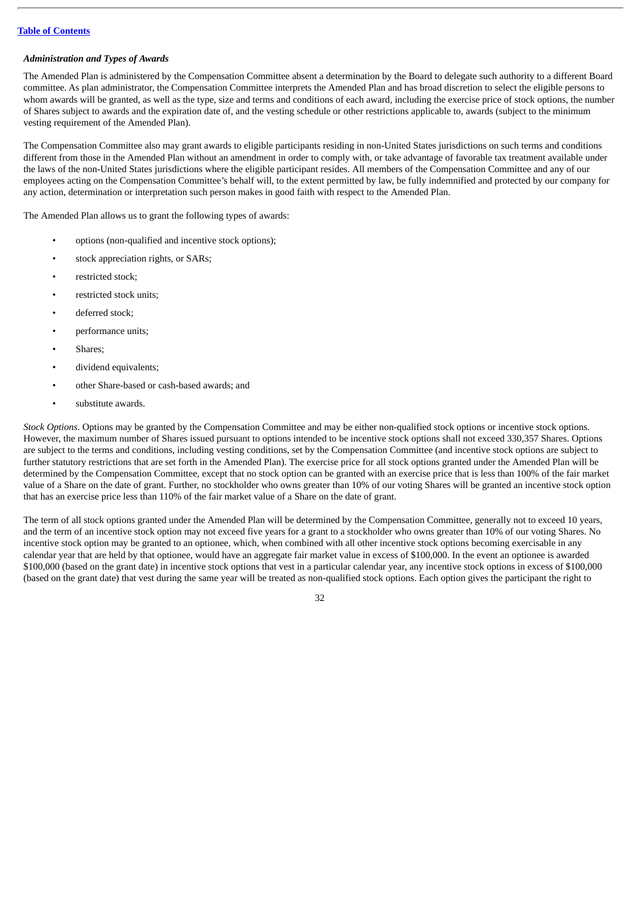# *Administration and Types of Awards*

The Amended Plan is administered by the Compensation Committee absent a determination by the Board to delegate such authority to a different Board committee. As plan administrator, the Compensation Committee interprets the Amended Plan and has broad discretion to select the eligible persons to whom awards will be granted, as well as the type, size and terms and conditions of each award, including the exercise price of stock options, the number of Shares subject to awards and the expiration date of, and the vesting schedule or other restrictions applicable to, awards (subject to the minimum vesting requirement of the Amended Plan).

The Compensation Committee also may grant awards to eligible participants residing in non-United States jurisdictions on such terms and conditions different from those in the Amended Plan without an amendment in order to comply with, or take advantage of favorable tax treatment available under the laws of the non-United States jurisdictions where the eligible participant resides. All members of the Compensation Committee and any of our employees acting on the Compensation Committee's behalf will, to the extent permitted by law, be fully indemnified and protected by our company for any action, determination or interpretation such person makes in good faith with respect to the Amended Plan.

The Amended Plan allows us to grant the following types of awards:

- options (non-qualified and incentive stock options);
- stock appreciation rights, or SARs;
- restricted stock;
- restricted stock units;
- deferred stock;
- performance units;
- Shares;
- dividend equivalents;
- other Share-based or cash-based awards; and
- substitute awards.

*Stock Options*. Options may be granted by the Compensation Committee and may be either non-qualified stock options or incentive stock options. However, the maximum number of Shares issued pursuant to options intended to be incentive stock options shall not exceed 330,357 Shares. Options are subject to the terms and conditions, including vesting conditions, set by the Compensation Committee (and incentive stock options are subject to further statutory restrictions that are set forth in the Amended Plan). The exercise price for all stock options granted under the Amended Plan will be determined by the Compensation Committee, except that no stock option can be granted with an exercise price that is less than 100% of the fair market value of a Share on the date of grant. Further, no stockholder who owns greater than 10% of our voting Shares will be granted an incentive stock option that has an exercise price less than 110% of the fair market value of a Share on the date of grant.

The term of all stock options granted under the Amended Plan will be determined by the Compensation Committee, generally not to exceed 10 years, and the term of an incentive stock option may not exceed five years for a grant to a stockholder who owns greater than 10% of our voting Shares. No incentive stock option may be granted to an optionee, which, when combined with all other incentive stock options becoming exercisable in any calendar year that are held by that optionee, would have an aggregate fair market value in excess of \$100,000. In the event an optionee is awarded \$100,000 (based on the grant date) in incentive stock options that vest in a particular calendar year, any incentive stock options in excess of \$100,000 (based on the grant date) that vest during the same year will be treated as non-qualified stock options. Each option gives the participant the right to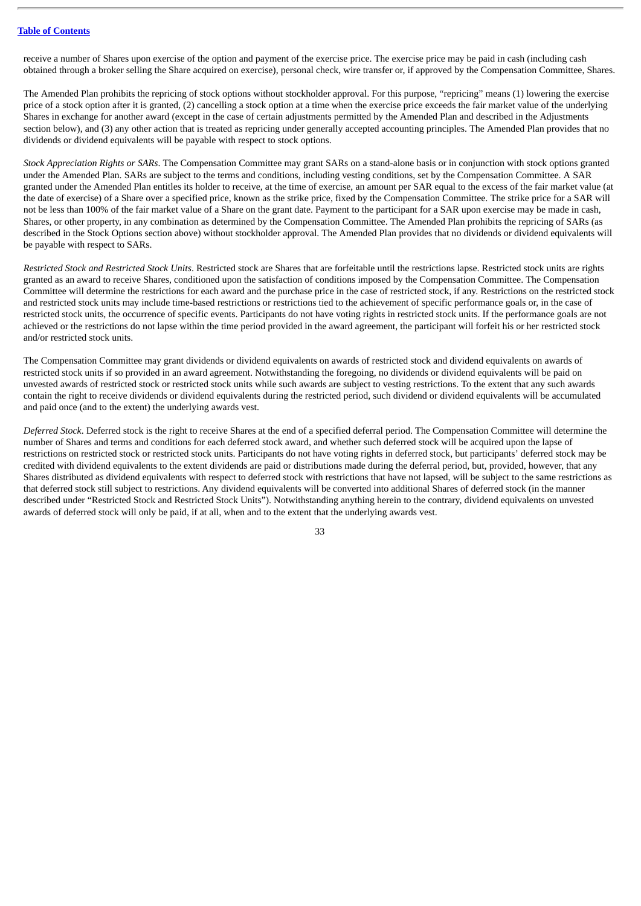receive a number of Shares upon exercise of the option and payment of the exercise price. The exercise price may be paid in cash (including cash obtained through a broker selling the Share acquired on exercise), personal check, wire transfer or, if approved by the Compensation Committee, Shares.

The Amended Plan prohibits the repricing of stock options without stockholder approval. For this purpose, "repricing" means (1) lowering the exercise price of a stock option after it is granted, (2) cancelling a stock option at a time when the exercise price exceeds the fair market value of the underlying Shares in exchange for another award (except in the case of certain adjustments permitted by the Amended Plan and described in the Adjustments section below), and (3) any other action that is treated as repricing under generally accepted accounting principles. The Amended Plan provides that no dividends or dividend equivalents will be payable with respect to stock options.

*Stock Appreciation Rights or SARs*. The Compensation Committee may grant SARs on a stand-alone basis or in conjunction with stock options granted under the Amended Plan. SARs are subject to the terms and conditions, including vesting conditions, set by the Compensation Committee. A SAR granted under the Amended Plan entitles its holder to receive, at the time of exercise, an amount per SAR equal to the excess of the fair market value (at the date of exercise) of a Share over a specified price, known as the strike price, fixed by the Compensation Committee. The strike price for a SAR will not be less than 100% of the fair market value of a Share on the grant date. Payment to the participant for a SAR upon exercise may be made in cash, Shares, or other property, in any combination as determined by the Compensation Committee. The Amended Plan prohibits the repricing of SARs (as described in the Stock Options section above) without stockholder approval. The Amended Plan provides that no dividends or dividend equivalents will be payable with respect to SARs.

*Restricted Stock and Restricted Stock Units*. Restricted stock are Shares that are forfeitable until the restrictions lapse. Restricted stock units are rights granted as an award to receive Shares, conditioned upon the satisfaction of conditions imposed by the Compensation Committee. The Compensation Committee will determine the restrictions for each award and the purchase price in the case of restricted stock, if any. Restrictions on the restricted stock and restricted stock units may include time-based restrictions or restrictions tied to the achievement of specific performance goals or, in the case of restricted stock units, the occurrence of specific events. Participants do not have voting rights in restricted stock units. If the performance goals are not achieved or the restrictions do not lapse within the time period provided in the award agreement, the participant will forfeit his or her restricted stock and/or restricted stock units.

The Compensation Committee may grant dividends or dividend equivalents on awards of restricted stock and dividend equivalents on awards of restricted stock units if so provided in an award agreement. Notwithstanding the foregoing, no dividends or dividend equivalents will be paid on unvested awards of restricted stock or restricted stock units while such awards are subject to vesting restrictions. To the extent that any such awards contain the right to receive dividends or dividend equivalents during the restricted period, such dividend or dividend equivalents will be accumulated and paid once (and to the extent) the underlying awards vest.

*Deferred Stock*. Deferred stock is the right to receive Shares at the end of a specified deferral period. The Compensation Committee will determine the number of Shares and terms and conditions for each deferred stock award, and whether such deferred stock will be acquired upon the lapse of restrictions on restricted stock or restricted stock units. Participants do not have voting rights in deferred stock, but participants' deferred stock may be credited with dividend equivalents to the extent dividends are paid or distributions made during the deferral period, but, provided, however, that any Shares distributed as dividend equivalents with respect to deferred stock with restrictions that have not lapsed, will be subject to the same restrictions as that deferred stock still subject to restrictions. Any dividend equivalents will be converted into additional Shares of deferred stock (in the manner described under "Restricted Stock and Restricted Stock Units"). Notwithstanding anything herein to the contrary, dividend equivalents on unvested awards of deferred stock will only be paid, if at all, when and to the extent that the underlying awards vest.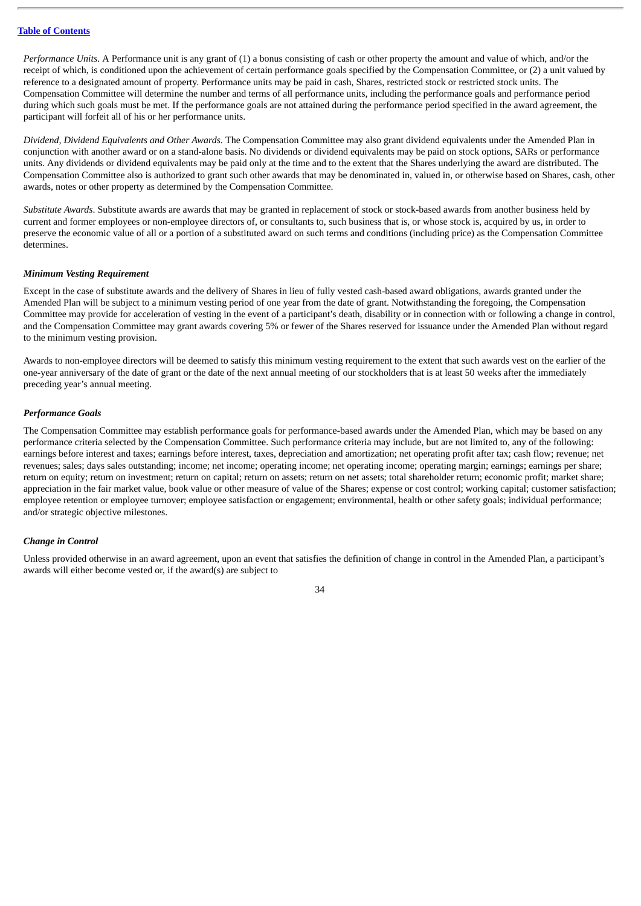*Performance Units*. A Performance unit is any grant of (1) a bonus consisting of cash or other property the amount and value of which, and/or the receipt of which, is conditioned upon the achievement of certain performance goals specified by the Compensation Committee, or (2) a unit valued by reference to a designated amount of property. Performance units may be paid in cash, Shares, restricted stock or restricted stock units. The Compensation Committee will determine the number and terms of all performance units, including the performance goals and performance period during which such goals must be met. If the performance goals are not attained during the performance period specified in the award agreement, the participant will forfeit all of his or her performance units.

*Dividend, Dividend Equivalents and Other Awards*. The Compensation Committee may also grant dividend equivalents under the Amended Plan in conjunction with another award or on a stand-alone basis. No dividends or dividend equivalents may be paid on stock options, SARs or performance units. Any dividends or dividend equivalents may be paid only at the time and to the extent that the Shares underlying the award are distributed. The Compensation Committee also is authorized to grant such other awards that may be denominated in, valued in, or otherwise based on Shares, cash, other awards, notes or other property as determined by the Compensation Committee.

*Substitute Awards*. Substitute awards are awards that may be granted in replacement of stock or stock-based awards from another business held by current and former employees or non-employee directors of, or consultants to, such business that is, or whose stock is, acquired by us, in order to preserve the economic value of all or a portion of a substituted award on such terms and conditions (including price) as the Compensation Committee determines.

### *Minimum Vesting Requirement*

Except in the case of substitute awards and the delivery of Shares in lieu of fully vested cash-based award obligations, awards granted under the Amended Plan will be subject to a minimum vesting period of one year from the date of grant. Notwithstanding the foregoing, the Compensation Committee may provide for acceleration of vesting in the event of a participant's death, disability or in connection with or following a change in control, and the Compensation Committee may grant awards covering 5% or fewer of the Shares reserved for issuance under the Amended Plan without regard to the minimum vesting provision.

Awards to non-employee directors will be deemed to satisfy this minimum vesting requirement to the extent that such awards vest on the earlier of the one-year anniversary of the date of grant or the date of the next annual meeting of our stockholders that is at least 50 weeks after the immediately preceding year's annual meeting.

### *Performance Goals*

The Compensation Committee may establish performance goals for performance-based awards under the Amended Plan, which may be based on any performance criteria selected by the Compensation Committee. Such performance criteria may include, but are not limited to, any of the following: earnings before interest and taxes; earnings before interest, taxes, depreciation and amortization; net operating profit after tax; cash flow; revenue; net revenues; sales; days sales outstanding; income; net income; operating income; net operating income; operating margin; earnings; earnings per share; return on equity; return on investment; return on capital; return on assets; return on net assets; total shareholder return; economic profit; market share; appreciation in the fair market value, book value or other measure of value of the Shares; expense or cost control; working capital; customer satisfaction; employee retention or employee turnover; employee satisfaction or engagement; environmental, health or other safety goals; individual performance; and/or strategic objective milestones.

# *Change in Control*

Unless provided otherwise in an award agreement, upon an event that satisfies the definition of change in control in the Amended Plan, a participant's awards will either become vested or, if the award(s) are subject to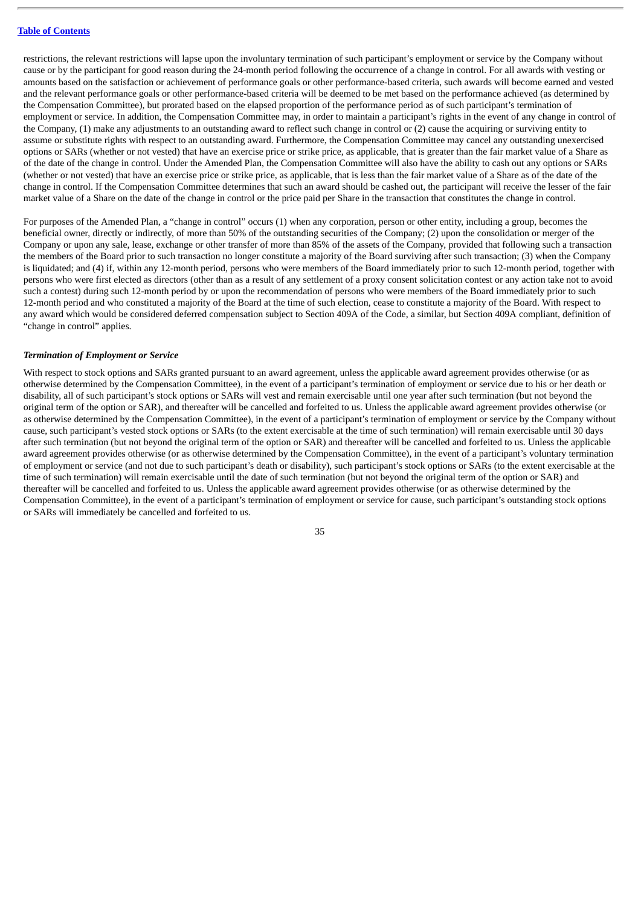restrictions, the relevant restrictions will lapse upon the involuntary termination of such participant's employment or service by the Company without cause or by the participant for good reason during the 24-month period following the occurrence of a change in control. For all awards with vesting or amounts based on the satisfaction or achievement of performance goals or other performance-based criteria, such awards will become earned and vested and the relevant performance goals or other performance-based criteria will be deemed to be met based on the performance achieved (as determined by the Compensation Committee), but prorated based on the elapsed proportion of the performance period as of such participant's termination of employment or service. In addition, the Compensation Committee may, in order to maintain a participant's rights in the event of any change in control of the Company, (1) make any adjustments to an outstanding award to reflect such change in control or (2) cause the acquiring or surviving entity to assume or substitute rights with respect to an outstanding award. Furthermore, the Compensation Committee may cancel any outstanding unexercised options or SARs (whether or not vested) that have an exercise price or strike price, as applicable, that is greater than the fair market value of a Share as of the date of the change in control. Under the Amended Plan, the Compensation Committee will also have the ability to cash out any options or SARs (whether or not vested) that have an exercise price or strike price, as applicable, that is less than the fair market value of a Share as of the date of the change in control. If the Compensation Committee determines that such an award should be cashed out, the participant will receive the lesser of the fair market value of a Share on the date of the change in control or the price paid per Share in the transaction that constitutes the change in control.

For purposes of the Amended Plan, a "change in control" occurs (1) when any corporation, person or other entity, including a group, becomes the beneficial owner, directly or indirectly, of more than 50% of the outstanding securities of the Company; (2) upon the consolidation or merger of the Company or upon any sale, lease, exchange or other transfer of more than 85% of the assets of the Company, provided that following such a transaction the members of the Board prior to such transaction no longer constitute a majority of the Board surviving after such transaction; (3) when the Company is liquidated; and (4) if, within any 12-month period, persons who were members of the Board immediately prior to such 12-month period, together with persons who were first elected as directors (other than as a result of any settlement of a proxy consent solicitation contest or any action take not to avoid such a contest) during such 12-month period by or upon the recommendation of persons who were members of the Board immediately prior to such 12-month period and who constituted a majority of the Board at the time of such election, cease to constitute a majority of the Board. With respect to any award which would be considered deferred compensation subject to Section 409A of the Code, a similar, but Section 409A compliant, definition of "change in control" applies.

### *Termination of Employment or Service*

With respect to stock options and SARs granted pursuant to an award agreement, unless the applicable award agreement provides otherwise (or as otherwise determined by the Compensation Committee), in the event of a participant's termination of employment or service due to his or her death or disability, all of such participant's stock options or SARs will vest and remain exercisable until one year after such termination (but not beyond the original term of the option or SAR), and thereafter will be cancelled and forfeited to us. Unless the applicable award agreement provides otherwise (or as otherwise determined by the Compensation Committee), in the event of a participant's termination of employment or service by the Company without cause, such participant's vested stock options or SARs (to the extent exercisable at the time of such termination) will remain exercisable until 30 days after such termination (but not beyond the original term of the option or SAR) and thereafter will be cancelled and forfeited to us. Unless the applicable award agreement provides otherwise (or as otherwise determined by the Compensation Committee), in the event of a participant's voluntary termination of employment or service (and not due to such participant's death or disability), such participant's stock options or SARs (to the extent exercisable at the time of such termination) will remain exercisable until the date of such termination (but not beyond the original term of the option or SAR) and thereafter will be cancelled and forfeited to us. Unless the applicable award agreement provides otherwise (or as otherwise determined by the Compensation Committee), in the event of a participant's termination of employment or service for cause, such participant's outstanding stock options or SARs will immediately be cancelled and forfeited to us.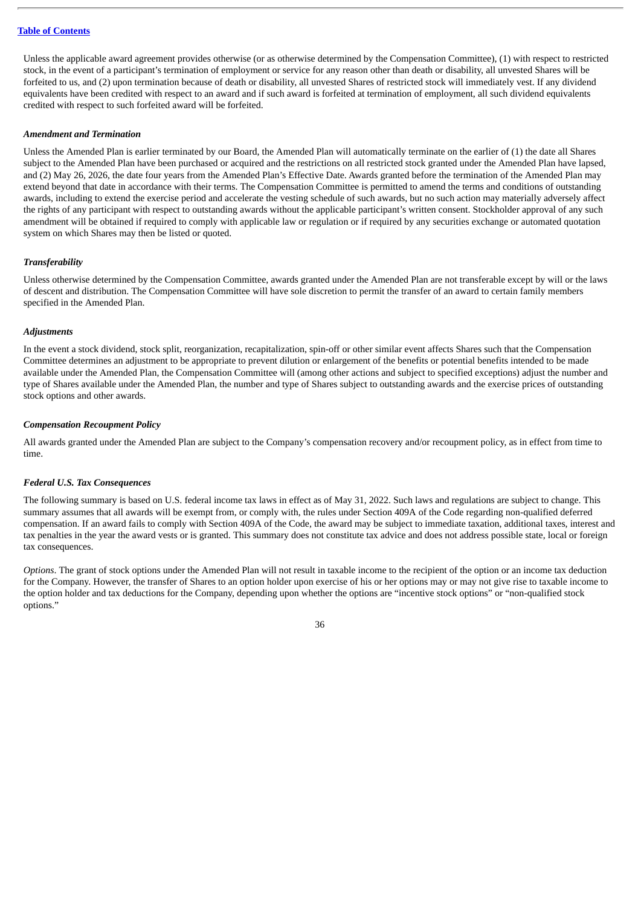Unless the applicable award agreement provides otherwise (or as otherwise determined by the Compensation Committee), (1) with respect to restricted stock, in the event of a participant's termination of employment or service for any reason other than death or disability, all unvested Shares will be forfeited to us, and (2) upon termination because of death or disability, all unvested Shares of restricted stock will immediately vest. If any dividend equivalents have been credited with respect to an award and if such award is forfeited at termination of employment, all such dividend equivalents credited with respect to such forfeited award will be forfeited.

### *Amendment and Termination*

Unless the Amended Plan is earlier terminated by our Board, the Amended Plan will automatically terminate on the earlier of (1) the date all Shares subject to the Amended Plan have been purchased or acquired and the restrictions on all restricted stock granted under the Amended Plan have lapsed, and (2) May 26, 2026, the date four years from the Amended Plan's Effective Date. Awards granted before the termination of the Amended Plan may extend beyond that date in accordance with their terms. The Compensation Committee is permitted to amend the terms and conditions of outstanding awards, including to extend the exercise period and accelerate the vesting schedule of such awards, but no such action may materially adversely affect the rights of any participant with respect to outstanding awards without the applicable participant's written consent. Stockholder approval of any such amendment will be obtained if required to comply with applicable law or regulation or if required by any securities exchange or automated quotation system on which Shares may then be listed or quoted.

# *Transferability*

Unless otherwise determined by the Compensation Committee, awards granted under the Amended Plan are not transferable except by will or the laws of descent and distribution. The Compensation Committee will have sole discretion to permit the transfer of an award to certain family members specified in the Amended Plan.

### *Adjustments*

In the event a stock dividend, stock split, reorganization, recapitalization, spin-off or other similar event affects Shares such that the Compensation Committee determines an adjustment to be appropriate to prevent dilution or enlargement of the benefits or potential benefits intended to be made available under the Amended Plan, the Compensation Committee will (among other actions and subject to specified exceptions) adjust the number and type of Shares available under the Amended Plan, the number and type of Shares subject to outstanding awards and the exercise prices of outstanding stock options and other awards.

### *Compensation Recoupment Policy*

All awards granted under the Amended Plan are subject to the Company's compensation recovery and/or recoupment policy, as in effect from time to time.

#### *Federal U.S. Tax Consequences*

The following summary is based on U.S. federal income tax laws in effect as of May 31, 2022. Such laws and regulations are subject to change. This summary assumes that all awards will be exempt from, or comply with, the rules under Section 409A of the Code regarding non-qualified deferred compensation. If an award fails to comply with Section 409A of the Code, the award may be subject to immediate taxation, additional taxes, interest and tax penalties in the year the award vests or is granted. This summary does not constitute tax advice and does not address possible state, local or foreign tax consequences.

*Options*. The grant of stock options under the Amended Plan will not result in taxable income to the recipient of the option or an income tax deduction for the Company. However, the transfer of Shares to an option holder upon exercise of his or her options may or may not give rise to taxable income to the option holder and tax deductions for the Company, depending upon whether the options are "incentive stock options" or "non-qualified stock options."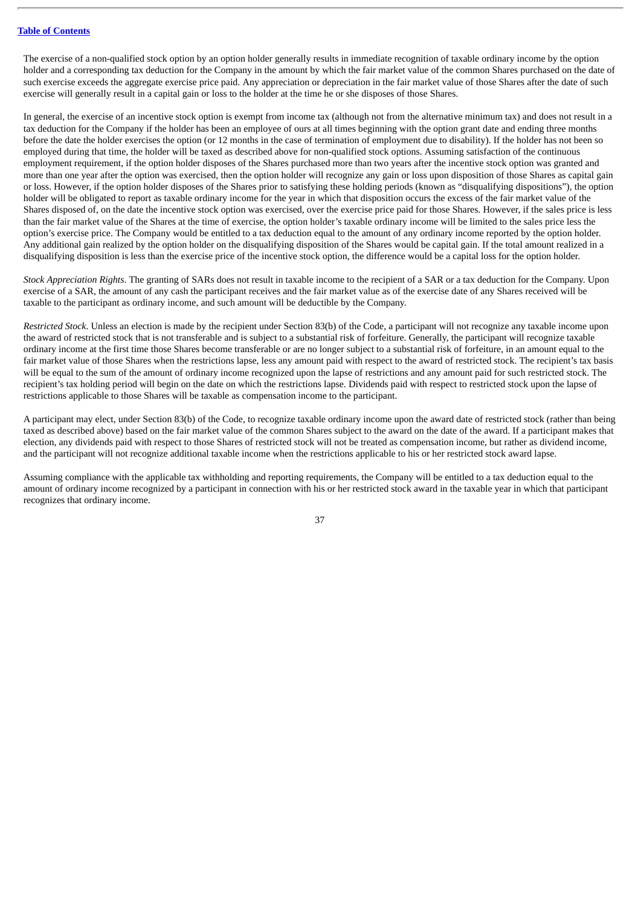The exercise of a non-qualified stock option by an option holder generally results in immediate recognition of taxable ordinary income by the option holder and a corresponding tax deduction for the Company in the amount by which the fair market value of the common Shares purchased on the date of such exercise exceeds the aggregate exercise price paid. Any appreciation or depreciation in the fair market value of those Shares after the date of such exercise will generally result in a capital gain or loss to the holder at the time he or she disposes of those Shares.

In general, the exercise of an incentive stock option is exempt from income tax (although not from the alternative minimum tax) and does not result in a tax deduction for the Company if the holder has been an employee of ours at all times beginning with the option grant date and ending three months before the date the holder exercises the option (or 12 months in the case of termination of employment due to disability). If the holder has not been so employed during that time, the holder will be taxed as described above for non-qualified stock options. Assuming satisfaction of the continuous employment requirement, if the option holder disposes of the Shares purchased more than two years after the incentive stock option was granted and more than one year after the option was exercised, then the option holder will recognize any gain or loss upon disposition of those Shares as capital gain or loss. However, if the option holder disposes of the Shares prior to satisfying these holding periods (known as "disqualifying dispositions"), the option holder will be obligated to report as taxable ordinary income for the year in which that disposition occurs the excess of the fair market value of the Shares disposed of, on the date the incentive stock option was exercised, over the exercise price paid for those Shares. However, if the sales price is less than the fair market value of the Shares at the time of exercise, the option holder's taxable ordinary income will be limited to the sales price less the option's exercise price. The Company would be entitled to a tax deduction equal to the amount of any ordinary income reported by the option holder. Any additional gain realized by the option holder on the disqualifying disposition of the Shares would be capital gain. If the total amount realized in a disqualifying disposition is less than the exercise price of the incentive stock option, the difference would be a capital loss for the option holder.

*Stock Appreciation Rights*. The granting of SARs does not result in taxable income to the recipient of a SAR or a tax deduction for the Company. Upon exercise of a SAR, the amount of any cash the participant receives and the fair market value as of the exercise date of any Shares received will be taxable to the participant as ordinary income, and such amount will be deductible by the Company.

*Restricted Stock*. Unless an election is made by the recipient under Section 83(b) of the Code, a participant will not recognize any taxable income upon the award of restricted stock that is not transferable and is subject to a substantial risk of forfeiture. Generally, the participant will recognize taxable ordinary income at the first time those Shares become transferable or are no longer subject to a substantial risk of forfeiture, in an amount equal to the fair market value of those Shares when the restrictions lapse, less any amount paid with respect to the award of restricted stock. The recipient's tax basis will be equal to the sum of the amount of ordinary income recognized upon the lapse of restrictions and any amount paid for such restricted stock. The recipient's tax holding period will begin on the date on which the restrictions lapse. Dividends paid with respect to restricted stock upon the lapse of restrictions applicable to those Shares will be taxable as compensation income to the participant.

A participant may elect, under Section 83(b) of the Code, to recognize taxable ordinary income upon the award date of restricted stock (rather than being taxed as described above) based on the fair market value of the common Shares subject to the award on the date of the award. If a participant makes that election, any dividends paid with respect to those Shares of restricted stock will not be treated as compensation income, but rather as dividend income, and the participant will not recognize additional taxable income when the restrictions applicable to his or her restricted stock award lapse.

Assuming compliance with the applicable tax withholding and reporting requirements, the Company will be entitled to a tax deduction equal to the amount of ordinary income recognized by a participant in connection with his or her restricted stock award in the taxable year in which that participant recognizes that ordinary income.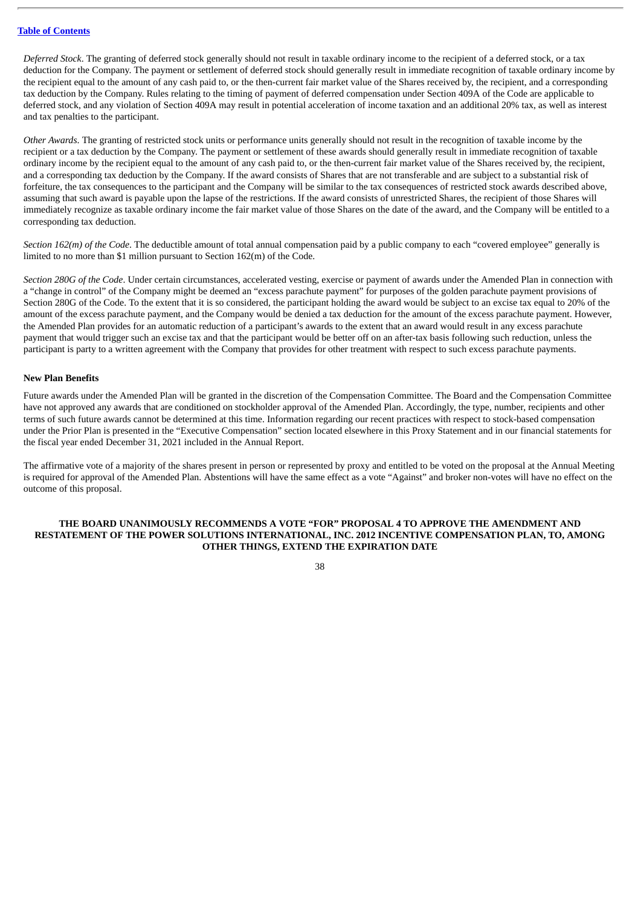*Deferred Stock*. The granting of deferred stock generally should not result in taxable ordinary income to the recipient of a deferred stock, or a tax deduction for the Company. The payment or settlement of deferred stock should generally result in immediate recognition of taxable ordinary income by the recipient equal to the amount of any cash paid to, or the then-current fair market value of the Shares received by, the recipient, and a corresponding tax deduction by the Company. Rules relating to the timing of payment of deferred compensation under Section 409A of the Code are applicable to deferred stock, and any violation of Section 409A may result in potential acceleration of income taxation and an additional 20% tax, as well as interest and tax penalties to the participant.

*Other Awards*. The granting of restricted stock units or performance units generally should not result in the recognition of taxable income by the recipient or a tax deduction by the Company. The payment or settlement of these awards should generally result in immediate recognition of taxable ordinary income by the recipient equal to the amount of any cash paid to, or the then-current fair market value of the Shares received by, the recipient, and a corresponding tax deduction by the Company. If the award consists of Shares that are not transferable and are subject to a substantial risk of forfeiture, the tax consequences to the participant and the Company will be similar to the tax consequences of restricted stock awards described above, assuming that such award is payable upon the lapse of the restrictions. If the award consists of unrestricted Shares, the recipient of those Shares will immediately recognize as taxable ordinary income the fair market value of those Shares on the date of the award, and the Company will be entitled to a corresponding tax deduction.

*Section 162(m) of the Code*. The deductible amount of total annual compensation paid by a public company to each "covered employee" generally is limited to no more than \$1 million pursuant to Section 162(m) of the Code.

*Section 280G of the Code*. Under certain circumstances, accelerated vesting, exercise or payment of awards under the Amended Plan in connection with a "change in control" of the Company might be deemed an "excess parachute payment" for purposes of the golden parachute payment provisions of Section 280G of the Code. To the extent that it is so considered, the participant holding the award would be subject to an excise tax equal to 20% of the amount of the excess parachute payment, and the Company would be denied a tax deduction for the amount of the excess parachute payment. However, the Amended Plan provides for an automatic reduction of a participant's awards to the extent that an award would result in any excess parachute payment that would trigger such an excise tax and that the participant would be better off on an after-tax basis following such reduction, unless the participant is party to a written agreement with the Company that provides for other treatment with respect to such excess parachute payments.

### **New Plan Benefits**

Future awards under the Amended Plan will be granted in the discretion of the Compensation Committee. The Board and the Compensation Committee have not approved any awards that are conditioned on stockholder approval of the Amended Plan. Accordingly, the type, number, recipients and other terms of such future awards cannot be determined at this time. Information regarding our recent practices with respect to stock-based compensation under the Prior Plan is presented in the "Executive Compensation" section located elsewhere in this Proxy Statement and in our financial statements for the fiscal year ended December 31, 2021 included in the Annual Report.

The affirmative vote of a majority of the shares present in person or represented by proxy and entitled to be voted on the proposal at the Annual Meeting is required for approval of the Amended Plan. Abstentions will have the same effect as a vote "Against" and broker non-votes will have no effect on the outcome of this proposal.

# **THE BOARD UNANIMOUSLY RECOMMENDS A VOTE "FOR" PROPOSAL 4 TO APPROVE THE AMENDMENT AND RESTATEMENT OF THE POWER SOLUTIONS INTERNATIONAL, INC. 2012 INCENTIVE COMPENSATION PLAN, TO, AMONG OTHER THINGS, EXTEND THE EXPIRATION DATE**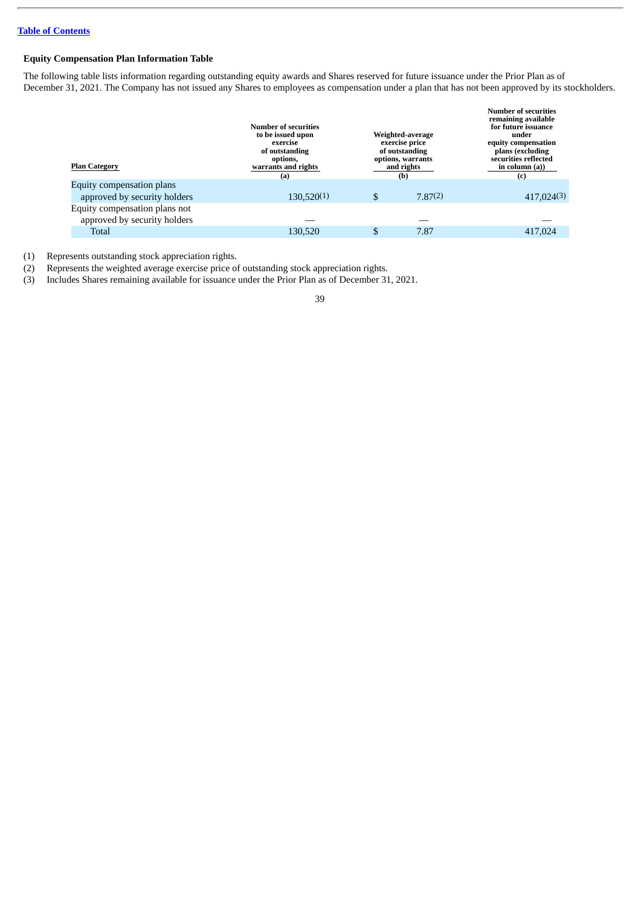# **Equity Compensation Plan Information Table**

The following table lists information regarding outstanding equity awards and Shares reserved for future issuance under the Prior Plan as of December 31, 2021. The Company has not issued any Shares to employees as compensation under a plan that has not been approved by its stockholders.

| <b>Plan Category</b>          | Number of securities<br>to be issued upon<br>exercise<br>of outstanding<br>options,<br>warrants and rights<br>(a) | Weighted-average<br>exercise price<br>of outstanding<br>options, warrants<br>and rights<br>(b) |         | Number of securities<br>remaining available<br>for future issuance<br>under<br>equity compensation<br>plans (excluding<br>securities reflected<br>in column (a))<br>(c) |
|-------------------------------|-------------------------------------------------------------------------------------------------------------------|------------------------------------------------------------------------------------------------|---------|-------------------------------------------------------------------------------------------------------------------------------------------------------------------------|
| Equity compensation plans     |                                                                                                                   |                                                                                                |         |                                                                                                                                                                         |
| approved by security holders  | 130,520(1)                                                                                                        | \$.                                                                                            | 7.87(2) | 417,024(3)                                                                                                                                                              |
| Equity compensation plans not |                                                                                                                   |                                                                                                |         |                                                                                                                                                                         |
| approved by security holders  |                                                                                                                   |                                                                                                |         |                                                                                                                                                                         |
| Total                         | 130,520                                                                                                           | D                                                                                              | 7.87    | 417,024                                                                                                                                                                 |

(1) Represents outstanding stock appreciation rights.

(2) Represents the weighted average exercise price of outstanding stock appreciation rights.

(3) Includes Shares remaining available for issuance under the Prior Plan as of December 31, 2021.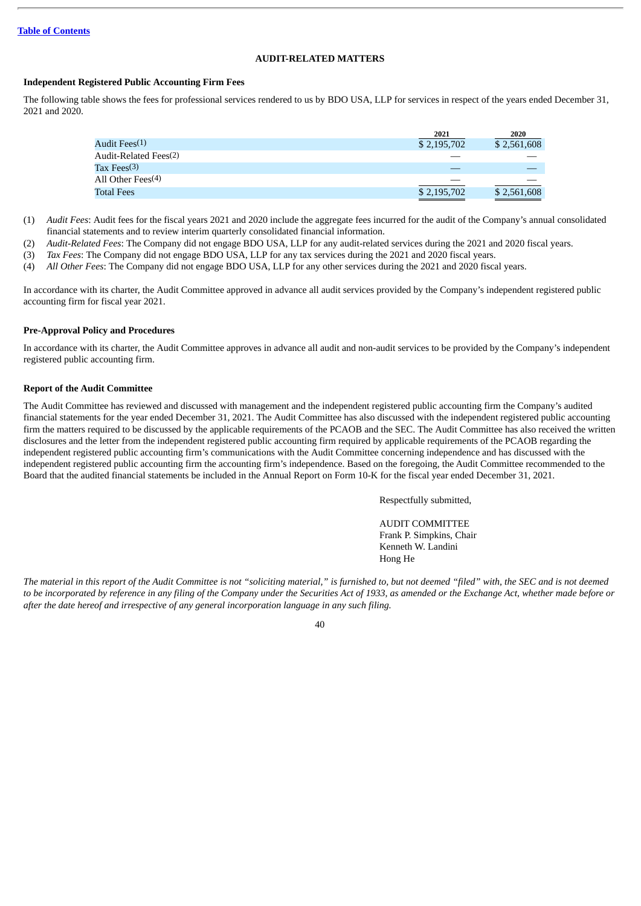# **AUDIT-RELATED MATTERS**

# **Independent Registered Public Accounting Firm Fees**

The following table shows the fees for professional services rendered to us by BDO USA, LLP for services in respect of the years ended December 31, 2021 and 2020.

| 2021        | 2020        |
|-------------|-------------|
| \$2,195,702 | \$2,561,608 |
|             |             |
|             |             |
|             |             |
| \$2,195,702 | \$2,561,608 |
|             |             |

- (1) *Audit Fees*: Audit fees for the fiscal years 2021 and 2020 include the aggregate fees incurred for the audit of the Company's annual consolidated financial statements and to review interim quarterly consolidated financial information.
- (2) *Audit*-*Related Fees*: The Company did not engage BDO USA, LLP for any audit-related services during the 2021 and 2020 fiscal years.
- (3) *Tax Fees*: The Company did not engage BDO USA, LLP for any tax services during the 2021 and 2020 fiscal years.
- (4) *All Other Fees*: The Company did not engage BDO USA, LLP for any other services during the 2021 and 2020 fiscal years.

In accordance with its charter, the Audit Committee approved in advance all audit services provided by the Company's independent registered public accounting firm for fiscal year 2021.

#### **Pre-Approval Policy and Procedures**

In accordance with its charter, the Audit Committee approves in advance all audit and non-audit services to be provided by the Company's independent registered public accounting firm.

#### **Report of the Audit Committee**

The Audit Committee has reviewed and discussed with management and the independent registered public accounting firm the Company's audited financial statements for the year ended December 31, 2021. The Audit Committee has also discussed with the independent registered public accounting firm the matters required to be discussed by the applicable requirements of the PCAOB and the SEC. The Audit Committee has also received the written disclosures and the letter from the independent registered public accounting firm required by applicable requirements of the PCAOB regarding the independent registered public accounting firm's communications with the Audit Committee concerning independence and has discussed with the independent registered public accounting firm the accounting firm's independence. Based on the foregoing, the Audit Committee recommended to the Board that the audited financial statements be included in the Annual Report on Form 10-K for the fiscal year ended December 31, 2021.

Respectfully submitted,

AUDIT COMMITTEE Frank P. Simpkins, Chair Kenneth W. Landini Hong He

The material in this report of the Audit Committee is not "soliciting material," is furnished to, but not deemed "filed" with, the SEC and is not deemed to be incorporated by reference in any filing of the Company under the Securities Act of 1933, as amended or the Exchange Act, whether made before or *after the date hereof and irrespective of any general incorporation language in any such filing.*

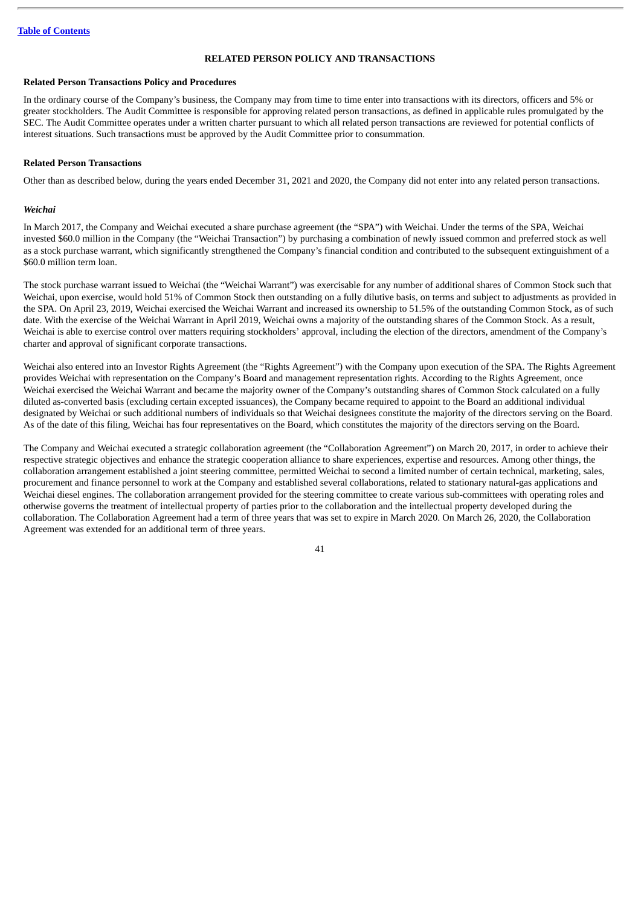### **RELATED PERSON POLICY AND TRANSACTIONS**

# **Related Person Transactions Policy and Procedures**

In the ordinary course of the Company's business, the Company may from time to time enter into transactions with its directors, officers and 5% or greater stockholders. The Audit Committee is responsible for approving related person transactions, as defined in applicable rules promulgated by the SEC. The Audit Committee operates under a written charter pursuant to which all related person transactions are reviewed for potential conflicts of interest situations. Such transactions must be approved by the Audit Committee prior to consummation.

#### **Related Person Transactions**

Other than as described below, during the years ended December 31, 2021 and 2020, the Company did not enter into any related person transactions.

#### *Weichai*

In March 2017, the Company and Weichai executed a share purchase agreement (the "SPA") with Weichai. Under the terms of the SPA, Weichai invested \$60.0 million in the Company (the "Weichai Transaction") by purchasing a combination of newly issued common and preferred stock as well as a stock purchase warrant, which significantly strengthened the Company's financial condition and contributed to the subsequent extinguishment of a \$60.0 million term loan.

The stock purchase warrant issued to Weichai (the "Weichai Warrant") was exercisable for any number of additional shares of Common Stock such that Weichai, upon exercise, would hold 51% of Common Stock then outstanding on a fully dilutive basis, on terms and subject to adjustments as provided in the SPA. On April 23, 2019, Weichai exercised the Weichai Warrant and increased its ownership to 51.5% of the outstanding Common Stock, as of such date. With the exercise of the Weichai Warrant in April 2019, Weichai owns a majority of the outstanding shares of the Common Stock. As a result, Weichai is able to exercise control over matters requiring stockholders' approval, including the election of the directors, amendment of the Company's charter and approval of significant corporate transactions.

Weichai also entered into an Investor Rights Agreement (the "Rights Agreement") with the Company upon execution of the SPA. The Rights Agreement provides Weichai with representation on the Company's Board and management representation rights. According to the Rights Agreement, once Weichai exercised the Weichai Warrant and became the majority owner of the Company's outstanding shares of Common Stock calculated on a fully diluted as-converted basis (excluding certain excepted issuances), the Company became required to appoint to the Board an additional individual designated by Weichai or such additional numbers of individuals so that Weichai designees constitute the majority of the directors serving on the Board. As of the date of this filing, Weichai has four representatives on the Board, which constitutes the majority of the directors serving on the Board.

The Company and Weichai executed a strategic collaboration agreement (the "Collaboration Agreement") on March 20, 2017, in order to achieve their respective strategic objectives and enhance the strategic cooperation alliance to share experiences, expertise and resources. Among other things, the collaboration arrangement established a joint steering committee, permitted Weichai to second a limited number of certain technical, marketing, sales, procurement and finance personnel to work at the Company and established several collaborations, related to stationary natural-gas applications and Weichai diesel engines. The collaboration arrangement provided for the steering committee to create various sub-committees with operating roles and otherwise governs the treatment of intellectual property of parties prior to the collaboration and the intellectual property developed during the collaboration. The Collaboration Agreement had a term of three years that was set to expire in March 2020. On March 26, 2020, the Collaboration Agreement was extended for an additional term of three years.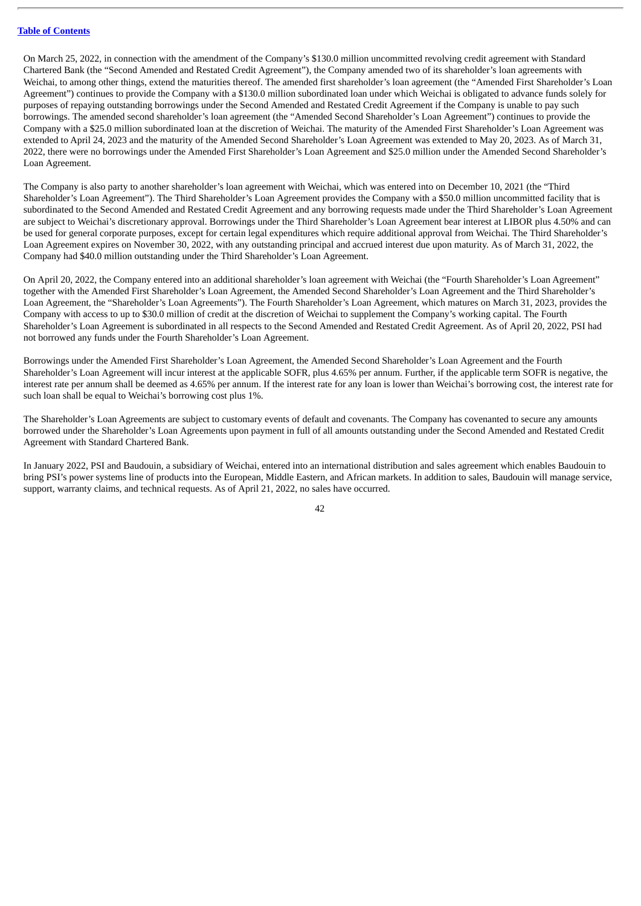On March 25, 2022, in connection with the amendment of the Company's \$130.0 million uncommitted revolving credit agreement with Standard Chartered Bank (the "Second Amended and Restated Credit Agreement"), the Company amended two of its shareholder's loan agreements with Weichai, to among other things, extend the maturities thereof. The amended first shareholder's loan agreement (the "Amended First Shareholder's Loan Agreement") continues to provide the Company with a \$130.0 million subordinated loan under which Weichai is obligated to advance funds solely for purposes of repaying outstanding borrowings under the Second Amended and Restated Credit Agreement if the Company is unable to pay such borrowings. The amended second shareholder's loan agreement (the "Amended Second Shareholder's Loan Agreement") continues to provide the Company with a \$25.0 million subordinated loan at the discretion of Weichai. The maturity of the Amended First Shareholder's Loan Agreement was extended to April 24, 2023 and the maturity of the Amended Second Shareholder's Loan Agreement was extended to May 20, 2023. As of March 31, 2022, there were no borrowings under the Amended First Shareholder's Loan Agreement and \$25.0 million under the Amended Second Shareholder's Loan Agreement.

The Company is also party to another shareholder's loan agreement with Weichai, which was entered into on December 10, 2021 (the "Third Shareholder's Loan Agreement"). The Third Shareholder's Loan Agreement provides the Company with a \$50.0 million uncommitted facility that is subordinated to the Second Amended and Restated Credit Agreement and any borrowing requests made under the Third Shareholder's Loan Agreement are subject to Weichai's discretionary approval. Borrowings under the Third Shareholder's Loan Agreement bear interest at LIBOR plus 4.50% and can be used for general corporate purposes, except for certain legal expenditures which require additional approval from Weichai. The Third Shareholder's Loan Agreement expires on November 30, 2022, with any outstanding principal and accrued interest due upon maturity. As of March 31, 2022, the Company had \$40.0 million outstanding under the Third Shareholder's Loan Agreement.

On April 20, 2022, the Company entered into an additional shareholder's loan agreement with Weichai (the "Fourth Shareholder's Loan Agreement" together with the Amended First Shareholder's Loan Agreement, the Amended Second Shareholder's Loan Agreement and the Third Shareholder's Loan Agreement, the "Shareholder's Loan Agreements"). The Fourth Shareholder's Loan Agreement, which matures on March 31, 2023, provides the Company with access to up to \$30.0 million of credit at the discretion of Weichai to supplement the Company's working capital. The Fourth Shareholder's Loan Agreement is subordinated in all respects to the Second Amended and Restated Credit Agreement. As of April 20, 2022, PSI had not borrowed any funds under the Fourth Shareholder's Loan Agreement.

Borrowings under the Amended First Shareholder's Loan Agreement, the Amended Second Shareholder's Loan Agreement and the Fourth Shareholder's Loan Agreement will incur interest at the applicable SOFR, plus 4.65% per annum. Further, if the applicable term SOFR is negative, the interest rate per annum shall be deemed as 4.65% per annum. If the interest rate for any loan is lower than Weichai's borrowing cost, the interest rate for such loan shall be equal to Weichai's borrowing cost plus 1%.

The Shareholder's Loan Agreements are subject to customary events of default and covenants. The Company has covenanted to secure any amounts borrowed under the Shareholder's Loan Agreements upon payment in full of all amounts outstanding under the Second Amended and Restated Credit Agreement with Standard Chartered Bank.

In January 2022, PSI and Baudouin, a subsidiary of Weichai, entered into an international distribution and sales agreement which enables Baudouin to bring PSI's power systems line of products into the European, Middle Eastern, and African markets. In addition to sales, Baudouin will manage service, support, warranty claims, and technical requests. As of April 21, 2022, no sales have occurred.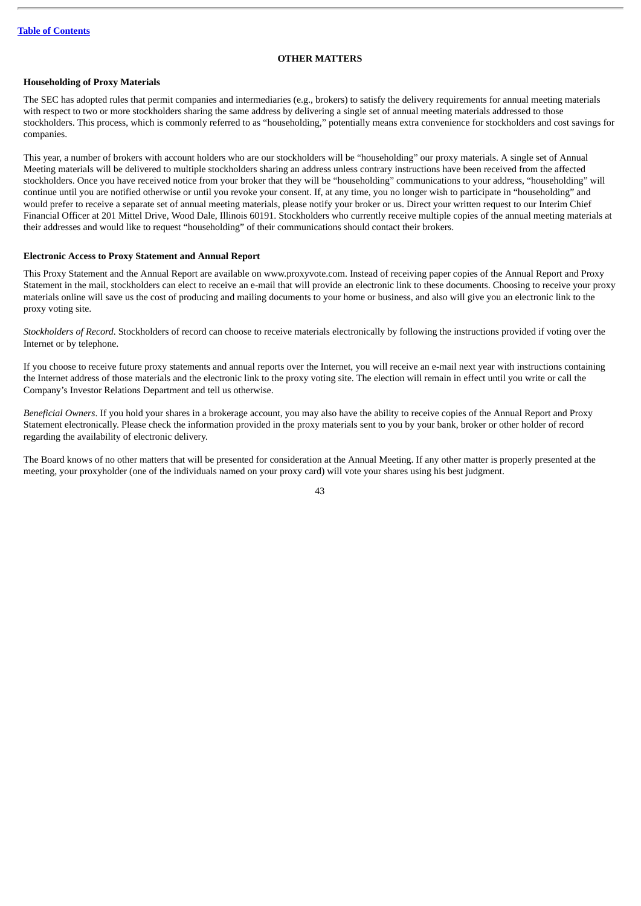### **OTHER MATTERS**

# **Householding of Proxy Materials**

The SEC has adopted rules that permit companies and intermediaries (e.g., brokers) to satisfy the delivery requirements for annual meeting materials with respect to two or more stockholders sharing the same address by delivering a single set of annual meeting materials addressed to those stockholders. This process, which is commonly referred to as "householding," potentially means extra convenience for stockholders and cost savings for companies.

This year, a number of brokers with account holders who are our stockholders will be "householding" our proxy materials. A single set of Annual Meeting materials will be delivered to multiple stockholders sharing an address unless contrary instructions have been received from the affected stockholders. Once you have received notice from your broker that they will be "householding" communications to your address, "householding" will continue until you are notified otherwise or until you revoke your consent. If, at any time, you no longer wish to participate in "householding" and would prefer to receive a separate set of annual meeting materials, please notify your broker or us. Direct your written request to our Interim Chief Financial Officer at 201 Mittel Drive, Wood Dale, Illinois 60191. Stockholders who currently receive multiple copies of the annual meeting materials at their addresses and would like to request "householding" of their communications should contact their brokers.

## **Electronic Access to Proxy Statement and Annual Report**

This Proxy Statement and the Annual Report are available on www.proxyvote.com. Instead of receiving paper copies of the Annual Report and Proxy Statement in the mail, stockholders can elect to receive an e-mail that will provide an electronic link to these documents. Choosing to receive your proxy materials online will save us the cost of producing and mailing documents to your home or business, and also will give you an electronic link to the proxy voting site.

*Stockholders of Record*. Stockholders of record can choose to receive materials electronically by following the instructions provided if voting over the Internet or by telephone.

If you choose to receive future proxy statements and annual reports over the Internet, you will receive an e-mail next year with instructions containing the Internet address of those materials and the electronic link to the proxy voting site. The election will remain in effect until you write or call the Company's Investor Relations Department and tell us otherwise.

*Beneficial Owners*. If you hold your shares in a brokerage account, you may also have the ability to receive copies of the Annual Report and Proxy Statement electronically. Please check the information provided in the proxy materials sent to you by your bank, broker or other holder of record regarding the availability of electronic delivery.

The Board knows of no other matters that will be presented for consideration at the Annual Meeting. If any other matter is properly presented at the meeting, your proxyholder (one of the individuals named on your proxy card) will vote your shares using his best judgment.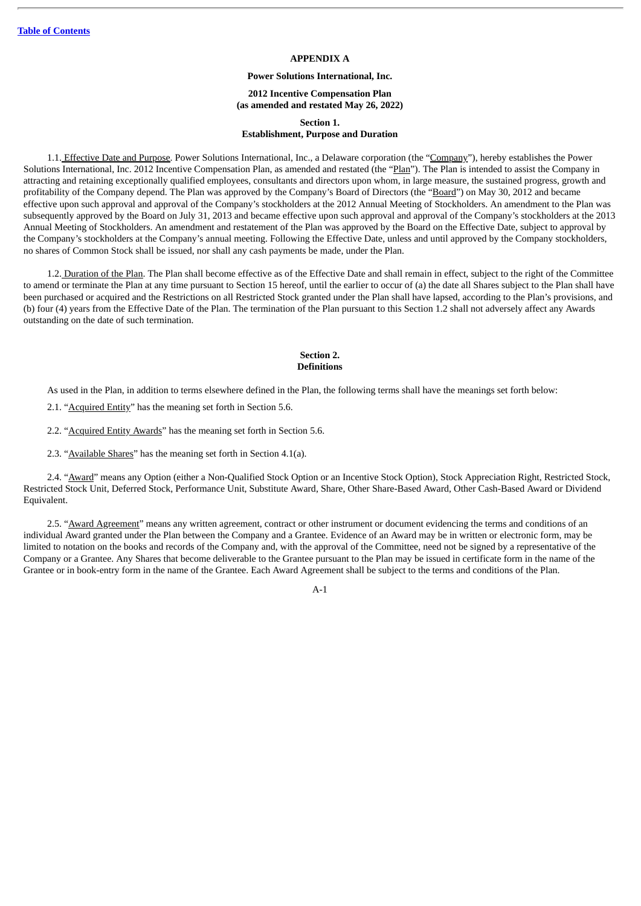# **APPENDIX A**

### **Power Solutions International, Inc.**

**2012 Incentive Compensation Plan (as amended and restated May 26, 2022)**

**Section 1.**

#### **Establishment, Purpose and Duration**

1.1. Effective Date and Purpose. Power Solutions International, Inc., a Delaware corporation (the "Company"), hereby establishes the Power Solutions International, Inc. 2012 Incentive Compensation Plan, as amended and restated (the "Plan"). The Plan is intended to assist the Company in attracting and retaining exceptionally qualified employees, consultants and directors upon whom, in large measure, the sustained progress, growth and profitability of the Company depend. The Plan was approved by the Company's Board of Directors (the "Board") on May 30, 2012 and became effective upon such approval and approval of the Company's stockholders at the 2012 Annual Meeting of Stockholders. An amendment to the Plan was subsequently approved by the Board on July 31, 2013 and became effective upon such approval and approval of the Company's stockholders at the 2013 Annual Meeting of Stockholders. An amendment and restatement of the Plan was approved by the Board on the Effective Date, subject to approval by the Company's stockholders at the Company's annual meeting. Following the Effective Date, unless and until approved by the Company stockholders, no shares of Common Stock shall be issued, nor shall any cash payments be made, under the Plan.

1.2. Duration of the Plan. The Plan shall become effective as of the Effective Date and shall remain in effect, subject to the right of the Committee to amend or terminate the Plan at any time pursuant to Section 15 hereof, until the earlier to occur of (a) the date all Shares subject to the Plan shall have been purchased or acquired and the Restrictions on all Restricted Stock granted under the Plan shall have lapsed, according to the Plan's provisions, and (b) four (4) years from the Effective Date of the Plan. The termination of the Plan pursuant to this Section 1.2 shall not adversely affect any Awards outstanding on the date of such termination.

## **Section 2. Definitions**

As used in the Plan, in addition to terms elsewhere defined in the Plan, the following terms shall have the meanings set forth below:

2.1. "Acquired Entity" has the meaning set forth in Section 5.6.

2.2. "Acquired Entity Awards" has the meaning set forth in Section 5.6.

2.3. "Available Shares" has the meaning set forth in Section 4.1(a).

2.4. "Award" means any Option (either a Non-Qualified Stock Option or an Incentive Stock Option), Stock Appreciation Right, Restricted Stock, Restricted Stock Unit, Deferred Stock, Performance Unit, Substitute Award, Share, Other Share-Based Award, Other Cash-Based Award or Dividend Equivalent.

2.5. "Award Agreement" means any written agreement, contract or other instrument or document evidencing the terms and conditions of an individual Award granted under the Plan between the Company and a Grantee. Evidence of an Award may be in written or electronic form, may be limited to notation on the books and records of the Company and, with the approval of the Committee, need not be signed by a representative of the Company or a Grantee. Any Shares that become deliverable to the Grantee pursuant to the Plan may be issued in certificate form in the name of the Grantee or in book-entry form in the name of the Grantee. Each Award Agreement shall be subject to the terms and conditions of the Plan.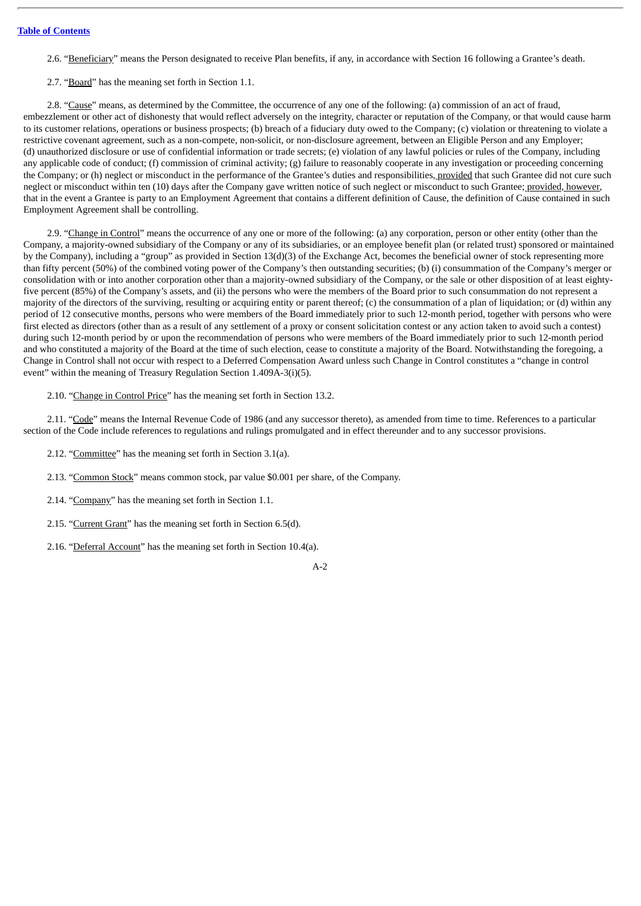2.6. "Beneficiary" means the Person designated to receive Plan benefits, if any, in accordance with Section 16 following a Grantee's death.

2.7. "Board" has the meaning set forth in Section 1.1.

2.8. "Cause" means, as determined by the Committee, the occurrence of any one of the following: (a) commission of an act of fraud, embezzlement or other act of dishonesty that would reflect adversely on the integrity, character or reputation of the Company, or that would cause harm to its customer relations, operations or business prospects; (b) breach of a fiduciary duty owed to the Company; (c) violation or threatening to violate a restrictive covenant agreement, such as a non-compete, non-solicit, or non-disclosure agreement, between an Eligible Person and any Employer; (d) unauthorized disclosure or use of confidential information or trade secrets; (e) violation of any lawful policies or rules of the Company, including any applicable code of conduct; (f) commission of criminal activity; (g) failure to reasonably cooperate in any investigation or proceeding concerning the Company; or (h) neglect or misconduct in the performance of the Grantee's duties and responsibilities, provided that such Grantee did not cure such neglect or misconduct within ten (10) days after the Company gave written notice of such neglect or misconduct to such Grantee; provided, however, that in the event a Grantee is party to an Employment Agreement that contains a different definition of Cause, the definition of Cause contained in such Employment Agreement shall be controlling.

2.9. "Change in Control" means the occurrence of any one or more of the following: (a) any corporation, person or other entity (other than the Company, a majority-owned subsidiary of the Company or any of its subsidiaries, or an employee benefit plan (or related trust) sponsored or maintained by the Company), including a "group" as provided in Section 13(d)(3) of the Exchange Act, becomes the beneficial owner of stock representing more than fifty percent (50%) of the combined voting power of the Company's then outstanding securities; (b) (i) consummation of the Company's merger or consolidation with or into another corporation other than a majority-owned subsidiary of the Company, or the sale or other disposition of at least eightyfive percent (85%) of the Company's assets, and (ii) the persons who were the members of the Board prior to such consummation do not represent a majority of the directors of the surviving, resulting or acquiring entity or parent thereof; (c) the consummation of a plan of liquidation; or (d) within any period of 12 consecutive months, persons who were members of the Board immediately prior to such 12-month period, together with persons who were first elected as directors (other than as a result of any settlement of a proxy or consent solicitation contest or any action taken to avoid such a contest) during such 12-month period by or upon the recommendation of persons who were members of the Board immediately prior to such 12-month period and who constituted a majority of the Board at the time of such election, cease to constitute a majority of the Board. Notwithstanding the foregoing, a Change in Control shall not occur with respect to a Deferred Compensation Award unless such Change in Control constitutes a "change in control event" within the meaning of Treasury Regulation Section 1.409A-3(i)(5).

2.10. "Change in Control Price" has the meaning set forth in Section 13.2.

2.11. "Code" means the Internal Revenue Code of 1986 (and any successor thereto), as amended from time to time. References to a particular section of the Code include references to regulations and rulings promulgated and in effect thereunder and to any successor provisions.

2.12. "Committee" has the meaning set forth in Section 3.1(a).

2.13. "Common Stock" means common stock, par value \$0.001 per share, of the Company.

2.14. "Company" has the meaning set forth in Section 1.1.

2.15. "Current Grant" has the meaning set forth in Section 6.5(d).

2.16. "Deferral Account" has the meaning set forth in Section 10.4(a).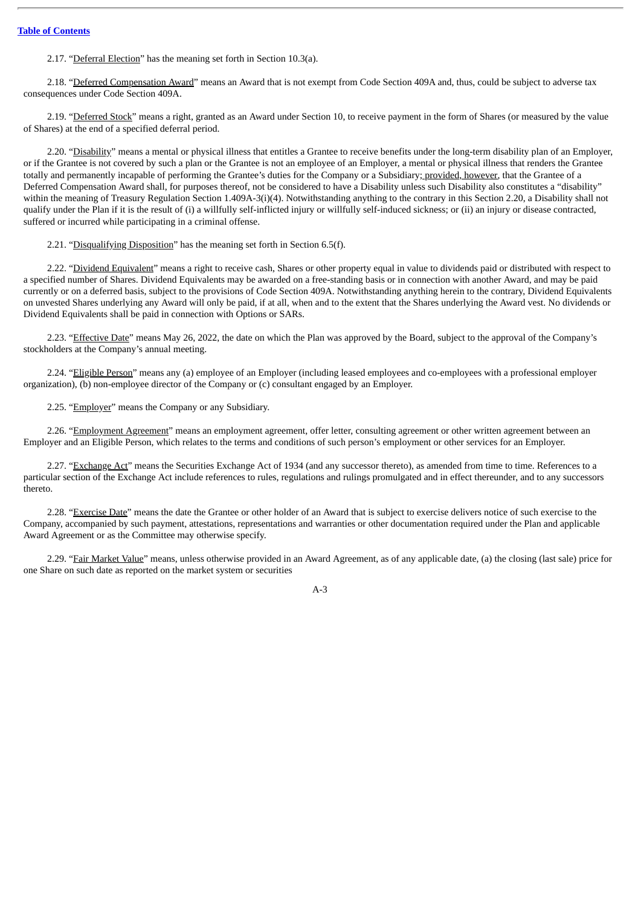2.17. "Deferral Election" has the meaning set forth in Section 10.3(a).

2.18. "Deferred Compensation Award" means an Award that is not exempt from Code Section 409A and, thus, could be subject to adverse tax consequences under Code Section 409A.

2.19. "Deferred Stock" means a right, granted as an Award under Section 10, to receive payment in the form of Shares (or measured by the value of Shares) at the end of a specified deferral period.

2.20. "Disability" means a mental or physical illness that entitles a Grantee to receive benefits under the long-term disability plan of an Employer, or if the Grantee is not covered by such a plan or the Grantee is not an employee of an Employer, a mental or physical illness that renders the Grantee totally and permanently incapable of performing the Grantee's duties for the Company or a Subsidiary; provided, however, that the Grantee of a Deferred Compensation Award shall, for purposes thereof, not be considered to have a Disability unless such Disability also constitutes a "disability" within the meaning of Treasury Regulation Section 1.409A-3(i)(4). Notwithstanding anything to the contrary in this Section 2.20, a Disability shall not qualify under the Plan if it is the result of (i) a willfully self-inflicted injury or willfully self-induced sickness; or (ii) an injury or disease contracted, suffered or incurred while participating in a criminal offense.

2.21. "Disqualifying Disposition" has the meaning set forth in Section 6.5(f).

2.22. "Dividend Equivalent" means a right to receive cash, Shares or other property equal in value to dividends paid or distributed with respect to a specified number of Shares. Dividend Equivalents may be awarded on a free-standing basis or in connection with another Award, and may be paid currently or on a deferred basis, subject to the provisions of Code Section 409A. Notwithstanding anything herein to the contrary, Dividend Equivalents on unvested Shares underlying any Award will only be paid, if at all, when and to the extent that the Shares underlying the Award vest. No dividends or Dividend Equivalents shall be paid in connection with Options or SARs.

2.23. "Effective Date" means May 26, 2022, the date on which the Plan was approved by the Board, subject to the approval of the Company's stockholders at the Company's annual meeting.

2.24. "Eligible Person" means any (a) employee of an Employer (including leased employees and co-employees with a professional employer organization), (b) non-employee director of the Company or (c) consultant engaged by an Employer.

2.25. "Employer" means the Company or any Subsidiary.

2.26. "Employment Agreement" means an employment agreement, offer letter, consulting agreement or other written agreement between an Employer and an Eligible Person, which relates to the terms and conditions of such person's employment or other services for an Employer.

2.27. "Exchange Act" means the Securities Exchange Act of 1934 (and any successor thereto), as amended from time to time. References to a particular section of the Exchange Act include references to rules, regulations and rulings promulgated and in effect thereunder, and to any successors thereto.

2.28. "Exercise Date" means the date the Grantee or other holder of an Award that is subject to exercise delivers notice of such exercise to the Company, accompanied by such payment, attestations, representations and warranties or other documentation required under the Plan and applicable Award Agreement or as the Committee may otherwise specify.

2.29. "Fair Market Value" means, unless otherwise provided in an Award Agreement, as of any applicable date, (a) the closing (last sale) price for one Share on such date as reported on the market system or securities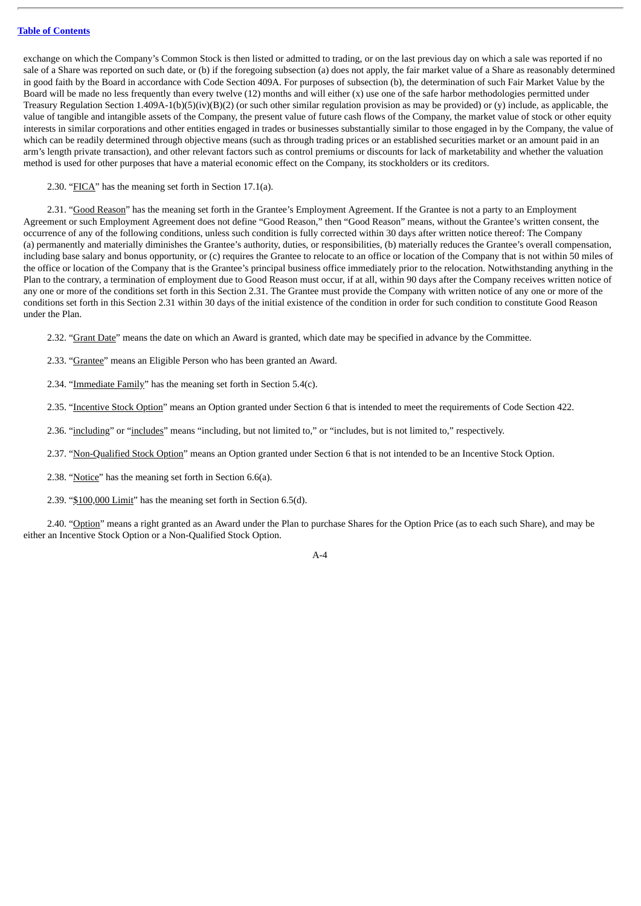exchange on which the Company's Common Stock is then listed or admitted to trading, or on the last previous day on which a sale was reported if no sale of a Share was reported on such date, or (b) if the foregoing subsection (a) does not apply, the fair market value of a Share as reasonably determined in good faith by the Board in accordance with Code Section 409A. For purposes of subsection (b), the determination of such Fair Market Value by the Board will be made no less frequently than every twelve (12) months and will either (x) use one of the safe harbor methodologies permitted under Treasury Regulation Section 1.409A-1(b)(5)(iv)(B)(2) (or such other similar regulation provision as may be provided) or (y) include, as applicable, the value of tangible and intangible assets of the Company, the present value of future cash flows of the Company, the market value of stock or other equity interests in similar corporations and other entities engaged in trades or businesses substantially similar to those engaged in by the Company, the value of which can be readily determined through objective means (such as through trading prices or an established securities market or an amount paid in an arm's length private transaction), and other relevant factors such as control premiums or discounts for lack of marketability and whether the valuation method is used for other purposes that have a material economic effect on the Company, its stockholders or its creditors.

2.30. "FICA" has the meaning set forth in Section 17.1(a).

2.31. "Good Reason" has the meaning set forth in the Grantee's Employment Agreement. If the Grantee is not a party to an Employment Agreement or such Employment Agreement does not define "Good Reason," then "Good Reason" means, without the Grantee's written consent, the occurrence of any of the following conditions, unless such condition is fully corrected within 30 days after written notice thereof: The Company (a) permanently and materially diminishes the Grantee's authority, duties, or responsibilities, (b) materially reduces the Grantee's overall compensation, including base salary and bonus opportunity, or (c) requires the Grantee to relocate to an office or location of the Company that is not within 50 miles of the office or location of the Company that is the Grantee's principal business office immediately prior to the relocation. Notwithstanding anything in the Plan to the contrary, a termination of employment due to Good Reason must occur, if at all, within 90 days after the Company receives written notice of any one or more of the conditions set forth in this Section 2.31. The Grantee must provide the Company with written notice of any one or more of the conditions set forth in this Section 2.31 within 30 days of the initial existence of the condition in order for such condition to constitute Good Reason under the Plan.

2.32. "Grant Date" means the date on which an Award is granted, which date may be specified in advance by the Committee.

2.33. "Grantee" means an Eligible Person who has been granted an Award.

2.34. "Immediate Family" has the meaning set forth in Section 5.4(c).

2.35. "Incentive Stock Option" means an Option granted under Section 6 that is intended to meet the requirements of Code Section 422.

2.36. "including" or "includes" means "including, but not limited to," or "includes, but is not limited to," respectively.

2.37. "Non-Qualified Stock Option" means an Option granted under Section 6 that is not intended to be an Incentive Stock Option.

2.38. "Notice" has the meaning set forth in Section 6.6(a).

2.39. "\$100,000 Limit" has the meaning set forth in Section 6.5(d).

2.40. "Option" means a right granted as an Award under the Plan to purchase Shares for the Option Price (as to each such Share), and may be either an Incentive Stock Option or a Non-Qualified Stock Option.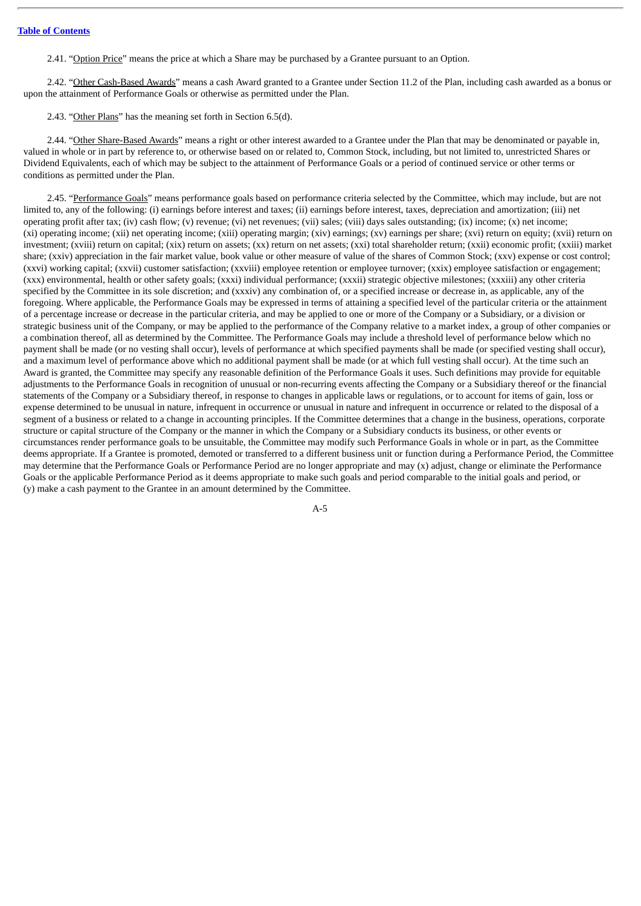2.41. "Option Price" means the price at which a Share may be purchased by a Grantee pursuant to an Option.

2.42. "Other Cash-Based Awards" means a cash Award granted to a Grantee under Section 11.2 of the Plan, including cash awarded as a bonus or upon the attainment of Performance Goals or otherwise as permitted under the Plan.

2.43. "Other Plans" has the meaning set forth in Section 6.5(d).

2.44. "Other Share-Based Awards" means a right or other interest awarded to a Grantee under the Plan that may be denominated or payable in, valued in whole or in part by reference to, or otherwise based on or related to, Common Stock, including, but not limited to, unrestricted Shares or Dividend Equivalents, each of which may be subject to the attainment of Performance Goals or a period of continued service or other terms or conditions as permitted under the Plan.

2.45. "Performance Goals" means performance goals based on performance criteria selected by the Committee, which may include, but are not limited to, any of the following: (i) earnings before interest and taxes; (ii) earnings before interest, taxes, depreciation and amortization; (iii) net operating profit after tax; (iv) cash flow; (v) revenue; (vi) net revenues; (vii) sales; (viii) days sales outstanding; (ix) income; (x) net income; (xi) operating income; (xii) net operating income; (xiii) operating margin; (xiv) earnings; (xv) earnings per share; (xvi) return on equity; (xvii) return on investment; (xviii) return on capital; (xix) return on assets; (xx) return on net assets; (xxi) total shareholder return; (xxii) economic profit; (xxiii) market share; (xxiv) appreciation in the fair market value, book value or other measure of value of the shares of Common Stock; (xxv) expense or cost control; (xxvi) working capital; (xxvii) customer satisfaction; (xxviii) employee retention or employee turnover; (xxix) employee satisfaction or engagement; (xxx) environmental, health or other safety goals; (xxxi) individual performance; (xxxii) strategic objective milestones; (xxxiii) any other criteria specified by the Committee in its sole discretion; and (xxxiv) any combination of, or a specified increase or decrease in, as applicable, any of the foregoing. Where applicable, the Performance Goals may be expressed in terms of attaining a specified level of the particular criteria or the attainment of a percentage increase or decrease in the particular criteria, and may be applied to one or more of the Company or a Subsidiary, or a division or strategic business unit of the Company, or may be applied to the performance of the Company relative to a market index, a group of other companies or a combination thereof, all as determined by the Committee. The Performance Goals may include a threshold level of performance below which no payment shall be made (or no vesting shall occur), levels of performance at which specified payments shall be made (or specified vesting shall occur), and a maximum level of performance above which no additional payment shall be made (or at which full vesting shall occur). At the time such an Award is granted, the Committee may specify any reasonable definition of the Performance Goals it uses. Such definitions may provide for equitable adjustments to the Performance Goals in recognition of unusual or non-recurring events affecting the Company or a Subsidiary thereof or the financial statements of the Company or a Subsidiary thereof, in response to changes in applicable laws or regulations, or to account for items of gain, loss or expense determined to be unusual in nature, infrequent in occurrence or unusual in nature and infrequent in occurrence or related to the disposal of a segment of a business or related to a change in accounting principles. If the Committee determines that a change in the business, operations, corporate structure or capital structure of the Company or the manner in which the Company or a Subsidiary conducts its business, or other events or circumstances render performance goals to be unsuitable, the Committee may modify such Performance Goals in whole or in part, as the Committee deems appropriate. If a Grantee is promoted, demoted or transferred to a different business unit or function during a Performance Period, the Committee may determine that the Performance Goals or Performance Period are no longer appropriate and may (x) adjust, change or eliminate the Performance Goals or the applicable Performance Period as it deems appropriate to make such goals and period comparable to the initial goals and period, or (y) make a cash payment to the Grantee in an amount determined by the Committee.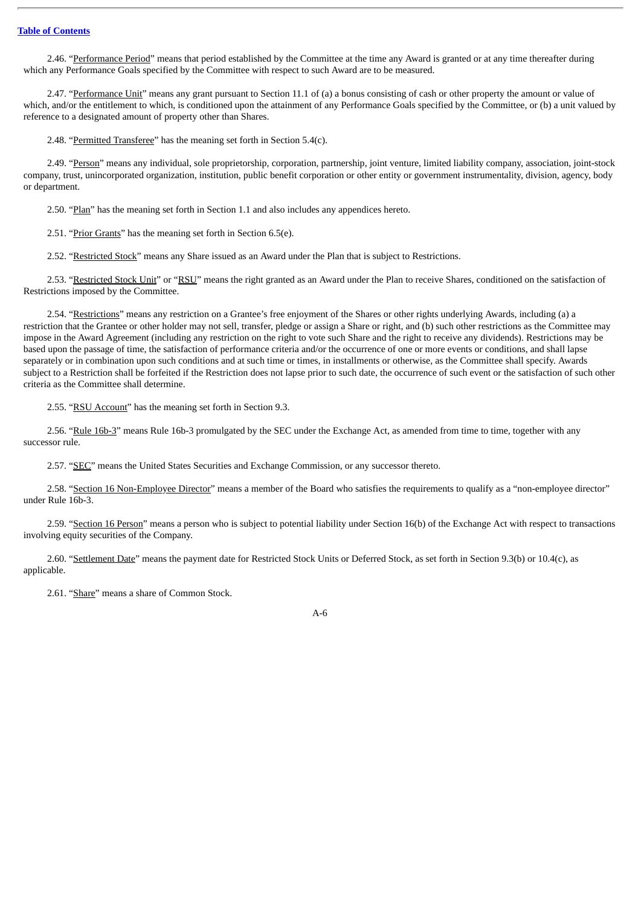2.46. "Performance Period" means that period established by the Committee at the time any Award is granted or at any time thereafter during which any Performance Goals specified by the Committee with respect to such Award are to be measured.

2.47. "Performance Unit" means any grant pursuant to Section 11.1 of (a) a bonus consisting of cash or other property the amount or value of which, and/or the entitlement to which, is conditioned upon the attainment of any Performance Goals specified by the Committee, or (b) a unit valued by reference to a designated amount of property other than Shares.

2.48. "Permitted Transferee" has the meaning set forth in Section 5.4(c).

2.49. "Person" means any individual, sole proprietorship, corporation, partnership, joint venture, limited liability company, association, joint-stock company, trust, unincorporated organization, institution, public benefit corporation or other entity or government instrumentality, division, agency, body or department.

2.50. "Plan" has the meaning set forth in Section 1.1 and also includes any appendices hereto.

2.51. "Prior Grants" has the meaning set forth in Section 6.5(e).

2.52. "Restricted Stock" means any Share issued as an Award under the Plan that is subject to Restrictions.

2.53. "Restricted Stock Unit" or "RSU" means the right granted as an Award under the Plan to receive Shares, conditioned on the satisfaction of Restrictions imposed by the Committee.

2.54. "Restrictions" means any restriction on a Grantee's free enjoyment of the Shares or other rights underlying Awards, including (a) a restriction that the Grantee or other holder may not sell, transfer, pledge or assign a Share or right, and (b) such other restrictions as the Committee may impose in the Award Agreement (including any restriction on the right to vote such Share and the right to receive any dividends). Restrictions may be based upon the passage of time, the satisfaction of performance criteria and/or the occurrence of one or more events or conditions, and shall lapse separately or in combination upon such conditions and at such time or times, in installments or otherwise, as the Committee shall specify. Awards subject to a Restriction shall be forfeited if the Restriction does not lapse prior to such date, the occurrence of such event or the satisfaction of such other criteria as the Committee shall determine.

2.55. "RSU Account" has the meaning set forth in Section 9.3.

2.56. "Rule 16b-3" means Rule 16b-3 promulgated by the SEC under the Exchange Act, as amended from time to time, together with any successor rule.

2.57. "SEC" means the United States Securities and Exchange Commission, or any successor thereto.

2.58. "Section 16 Non-Employee Director" means a member of the Board who satisfies the requirements to qualify as a "non-employee director" under Rule 16b-3.

2.59. "Section 16 Person" means a person who is subject to potential liability under Section 16(b) of the Exchange Act with respect to transactions involving equity securities of the Company.

2.60. "Settlement Date" means the payment date for Restricted Stock Units or Deferred Stock, as set forth in Section 9.3(b) or 10.4(c), as applicable.

2.61. "Share" means a share of Common Stock.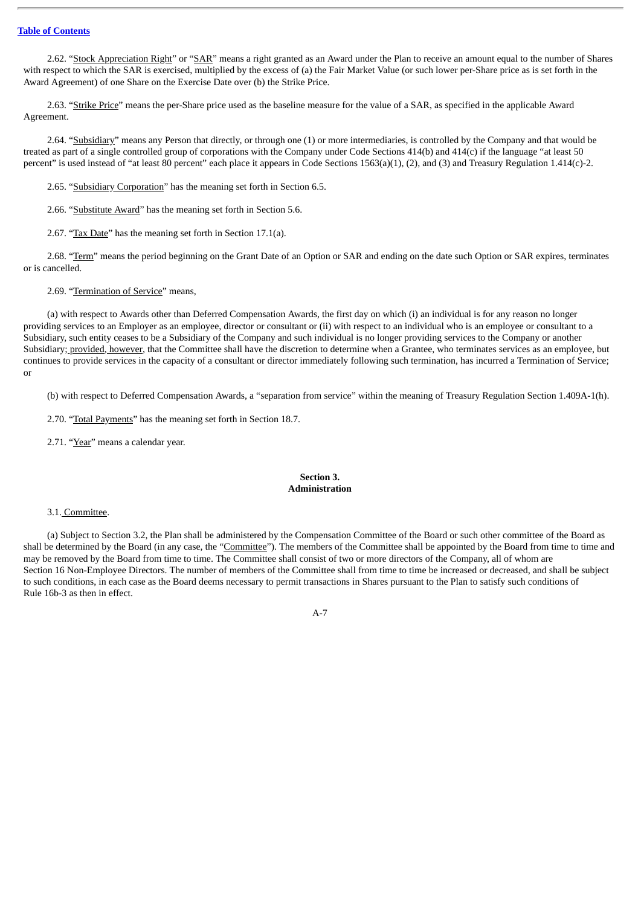2.62. "Stock Appreciation Right" or "SAR" means a right granted as an Award under the Plan to receive an amount equal to the number of Shares with respect to which the SAR is exercised, multiplied by the excess of (a) the Fair Market Value (or such lower per-Share price as is set forth in the Award Agreement) of one Share on the Exercise Date over (b) the Strike Price.

2.63. "Strike Price" means the per-Share price used as the baseline measure for the value of a SAR, as specified in the applicable Award Agreement.

2.64. "Subsidiary" means any Person that directly, or through one (1) or more intermediaries, is controlled by the Company and that would be treated as part of a single controlled group of corporations with the Company under Code Sections 414(b) and 414(c) if the language "at least 50 percent" is used instead of "at least 80 percent" each place it appears in Code Sections 1563(a)(1), (2), and (3) and Treasury Regulation 1.414(c)-2.

2.65. "Subsidiary Corporation" has the meaning set forth in Section 6.5.

2.66. "Substitute Award" has the meaning set forth in Section 5.6.

2.67. "Tax Date" has the meaning set forth in Section 17.1(a).

2.68. "Term" means the period beginning on the Grant Date of an Option or SAR and ending on the date such Option or SAR expires, terminates or is cancelled.

2.69. "Termination of Service" means,

(a) with respect to Awards other than Deferred Compensation Awards, the first day on which (i) an individual is for any reason no longer providing services to an Employer as an employee, director or consultant or (ii) with respect to an individual who is an employee or consultant to a Subsidiary, such entity ceases to be a Subsidiary of the Company and such individual is no longer providing services to the Company or another Subsidiary; provided, however, that the Committee shall have the discretion to determine when a Grantee, who terminates services as an employee, but continues to provide services in the capacity of a consultant or director immediately following such termination, has incurred a Termination of Service; or

(b) with respect to Deferred Compensation Awards, a "separation from service" within the meaning of Treasury Regulation Section 1.409A-1(h).

2.70. "Total Payments" has the meaning set forth in Section 18.7.

2.71. "Year" means a calendar year.

# **Section 3. Administration**

3.1. Committee.

(a) Subject to Section 3.2, the Plan shall be administered by the Compensation Committee of the Board or such other committee of the Board as shall be determined by the Board (in any case, the "Committee"). The members of the Committee shall be appointed by the Board from time to time and may be removed by the Board from time to time. The Committee shall consist of two or more directors of the Company, all of whom are Section 16 Non-Employee Directors. The number of members of the Committee shall from time to time be increased or decreased, and shall be subject to such conditions, in each case as the Board deems necessary to permit transactions in Shares pursuant to the Plan to satisfy such conditions of Rule 16b-3 as then in effect.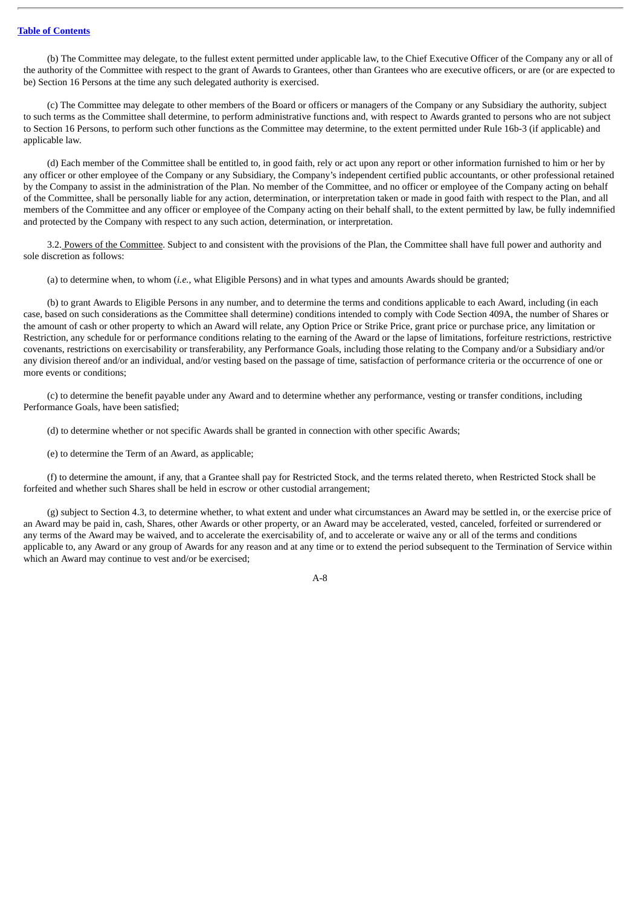(b) The Committee may delegate, to the fullest extent permitted under applicable law, to the Chief Executive Officer of the Company any or all of the authority of the Committee with respect to the grant of Awards to Grantees, other than Grantees who are executive officers, or are (or are expected to be) Section 16 Persons at the time any such delegated authority is exercised.

(c) The Committee may delegate to other members of the Board or officers or managers of the Company or any Subsidiary the authority, subject to such terms as the Committee shall determine, to perform administrative functions and, with respect to Awards granted to persons who are not subject to Section 16 Persons, to perform such other functions as the Committee may determine, to the extent permitted under Rule 16b-3 (if applicable) and applicable law.

(d) Each member of the Committee shall be entitled to, in good faith, rely or act upon any report or other information furnished to him or her by any officer or other employee of the Company or any Subsidiary, the Company's independent certified public accountants, or other professional retained by the Company to assist in the administration of the Plan. No member of the Committee, and no officer or employee of the Company acting on behalf of the Committee, shall be personally liable for any action, determination, or interpretation taken or made in good faith with respect to the Plan, and all members of the Committee and any officer or employee of the Company acting on their behalf shall, to the extent permitted by law, be fully indemnified and protected by the Company with respect to any such action, determination, or interpretation.

3.2. Powers of the Committee. Subject to and consistent with the provisions of the Plan, the Committee shall have full power and authority and sole discretion as follows:

(a) to determine when, to whom (*i.e.*, what Eligible Persons) and in what types and amounts Awards should be granted;

(b) to grant Awards to Eligible Persons in any number, and to determine the terms and conditions applicable to each Award, including (in each case, based on such considerations as the Committee shall determine) conditions intended to comply with Code Section 409A, the number of Shares or the amount of cash or other property to which an Award will relate, any Option Price or Strike Price, grant price or purchase price, any limitation or Restriction, any schedule for or performance conditions relating to the earning of the Award or the lapse of limitations, forfeiture restrictions, restrictive covenants, restrictions on exercisability or transferability, any Performance Goals, including those relating to the Company and/or a Subsidiary and/or any division thereof and/or an individual, and/or vesting based on the passage of time, satisfaction of performance criteria or the occurrence of one or more events or conditions;

(c) to determine the benefit payable under any Award and to determine whether any performance, vesting or transfer conditions, including Performance Goals, have been satisfied;

(d) to determine whether or not specific Awards shall be granted in connection with other specific Awards;

(e) to determine the Term of an Award, as applicable;

(f) to determine the amount, if any, that a Grantee shall pay for Restricted Stock, and the terms related thereto, when Restricted Stock shall be forfeited and whether such Shares shall be held in escrow or other custodial arrangement;

(g) subject to Section 4.3, to determine whether, to what extent and under what circumstances an Award may be settled in, or the exercise price of an Award may be paid in, cash, Shares, other Awards or other property, or an Award may be accelerated, vested, canceled, forfeited or surrendered or any terms of the Award may be waived, and to accelerate the exercisability of, and to accelerate or waive any or all of the terms and conditions applicable to, any Award or any group of Awards for any reason and at any time or to extend the period subsequent to the Termination of Service within which an Award may continue to vest and/or be exercised;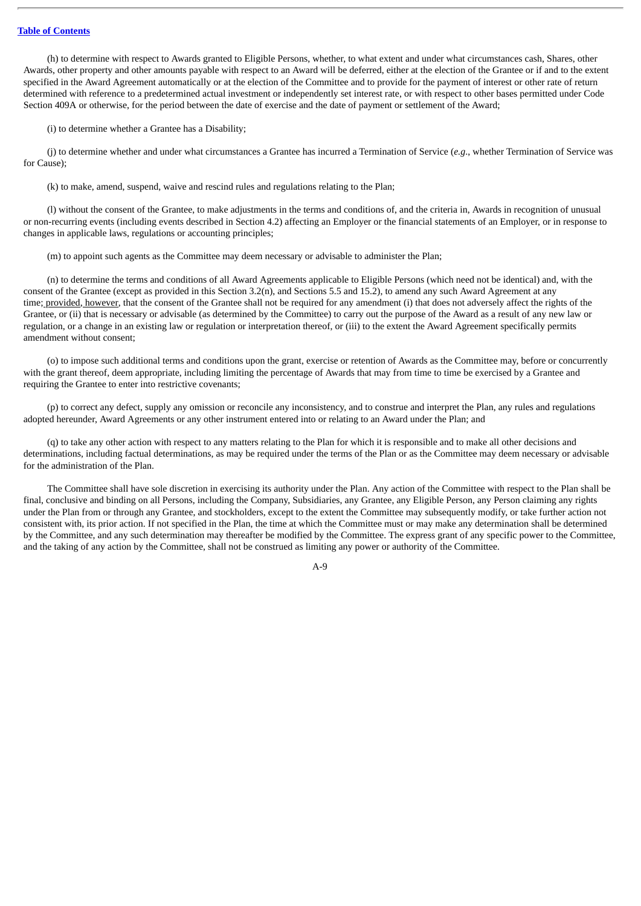(h) to determine with respect to Awards granted to Eligible Persons, whether, to what extent and under what circumstances cash, Shares, other Awards, other property and other amounts payable with respect to an Award will be deferred, either at the election of the Grantee or if and to the extent specified in the Award Agreement automatically or at the election of the Committee and to provide for the payment of interest or other rate of return determined with reference to a predetermined actual investment or independently set interest rate, or with respect to other bases permitted under Code Section 409A or otherwise, for the period between the date of exercise and the date of payment or settlement of the Award;

(i) to determine whether a Grantee has a Disability;

(j) to determine whether and under what circumstances a Grantee has incurred a Termination of Service (*e.g*., whether Termination of Service was for Cause);

(k) to make, amend, suspend, waive and rescind rules and regulations relating to the Plan;

(l) without the consent of the Grantee, to make adjustments in the terms and conditions of, and the criteria in, Awards in recognition of unusual or non-recurring events (including events described in Section 4.2) affecting an Employer or the financial statements of an Employer, or in response to changes in applicable laws, regulations or accounting principles;

(m) to appoint such agents as the Committee may deem necessary or advisable to administer the Plan;

(n) to determine the terms and conditions of all Award Agreements applicable to Eligible Persons (which need not be identical) and, with the consent of the Grantee (except as provided in this Section 3.2(n), and Sections 5.5 and 15.2), to amend any such Award Agreement at any time; provided, however, that the consent of the Grantee shall not be required for any amendment (i) that does not adversely affect the rights of the Grantee, or (ii) that is necessary or advisable (as determined by the Committee) to carry out the purpose of the Award as a result of any new law or regulation, or a change in an existing law or regulation or interpretation thereof, or (iii) to the extent the Award Agreement specifically permits amendment without consent;

(o) to impose such additional terms and conditions upon the grant, exercise or retention of Awards as the Committee may, before or concurrently with the grant thereof, deem appropriate, including limiting the percentage of Awards that may from time to time be exercised by a Grantee and requiring the Grantee to enter into restrictive covenants;

(p) to correct any defect, supply any omission or reconcile any inconsistency, and to construe and interpret the Plan, any rules and regulations adopted hereunder, Award Agreements or any other instrument entered into or relating to an Award under the Plan; and

(q) to take any other action with respect to any matters relating to the Plan for which it is responsible and to make all other decisions and determinations, including factual determinations, as may be required under the terms of the Plan or as the Committee may deem necessary or advisable for the administration of the Plan.

The Committee shall have sole discretion in exercising its authority under the Plan. Any action of the Committee with respect to the Plan shall be final, conclusive and binding on all Persons, including the Company, Subsidiaries, any Grantee, any Eligible Person, any Person claiming any rights under the Plan from or through any Grantee, and stockholders, except to the extent the Committee may subsequently modify, or take further action not consistent with, its prior action. If not specified in the Plan, the time at which the Committee must or may make any determination shall be determined by the Committee, and any such determination may thereafter be modified by the Committee. The express grant of any specific power to the Committee, and the taking of any action by the Committee, shall not be construed as limiting any power or authority of the Committee.

 $\Delta$ -9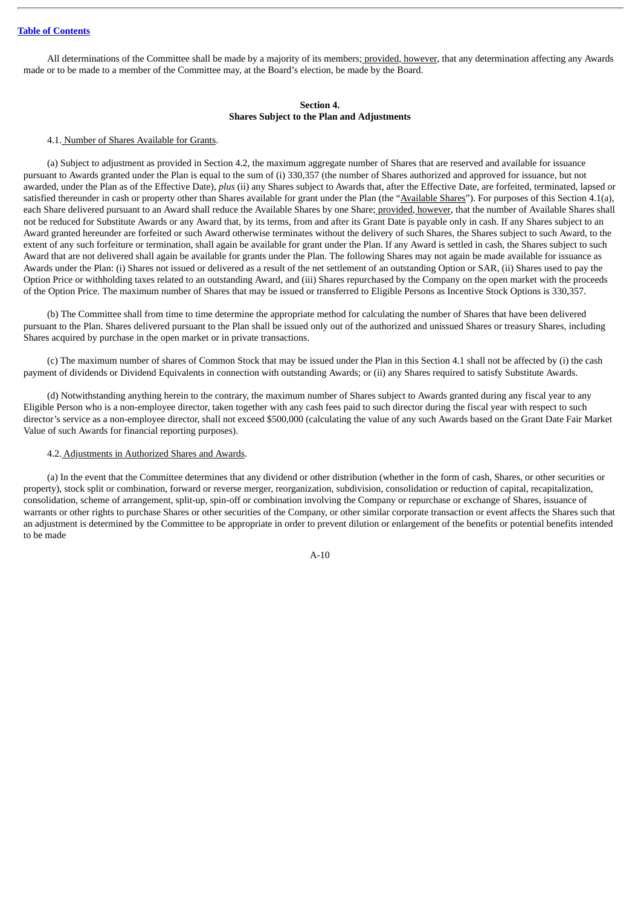All determinations of the Committee shall be made by a majority of its members; provided, however, that any determination affecting any Awards made or to be made to a member of the Committee may, at the Board's election, be made by the Board.

#### **Section 4. Shares Subject to the Plan and Adjustments**

#### 4.1. Number of Shares Available for Grants.

(a) Subject to adjustment as provided in Section 4.2, the maximum aggregate number of Shares that are reserved and available for issuance pursuant to Awards granted under the Plan is equal to the sum of (i) 330,357 (the number of Shares authorized and approved for issuance, but not awarded, under the Plan as of the Effective Date), *plus* (ii) any Shares subject to Awards that, after the Effective Date, are forfeited, terminated, lapsed or satisfied thereunder in cash or property other than Shares available for grant under the Plan (the "Available Shares"). For purposes of this Section 4.1(a), each Share delivered pursuant to an Award shall reduce the Available Shares by one Share; provided, however, that the number of Available Shares shall not be reduced for Substitute Awards or any Award that, by its terms, from and after its Grant Date is payable only in cash. If any Shares subject to an Award granted hereunder are forfeited or such Award otherwise terminates without the delivery of such Shares, the Shares subject to such Award, to the extent of any such forfeiture or termination, shall again be available for grant under the Plan. If any Award is settled in cash, the Shares subject to such Award that are not delivered shall again be available for grants under the Plan. The following Shares may not again be made available for issuance as Awards under the Plan: (i) Shares not issued or delivered as a result of the net settlement of an outstanding Option or SAR, (ii) Shares used to pay the Option Price or withholding taxes related to an outstanding Award, and (iii) Shares repurchased by the Company on the open market with the proceeds of the Option Price. The maximum number of Shares that may be issued or transferred to Eligible Persons as Incentive Stock Options is 330,357.

(b) The Committee shall from time to time determine the appropriate method for calculating the number of Shares that have been delivered pursuant to the Plan. Shares delivered pursuant to the Plan shall be issued only out of the authorized and unissued Shares or treasury Shares, including Shares acquired by purchase in the open market or in private transactions.

(c) The maximum number of shares of Common Stock that may be issued under the Plan in this Section 4.1 shall not be affected by (i) the cash payment of dividends or Dividend Equivalents in connection with outstanding Awards; or (ii) any Shares required to satisfy Substitute Awards.

(d) Notwithstanding anything herein to the contrary, the maximum number of Shares subject to Awards granted during any fiscal year to any Eligible Person who is a non-employee director, taken together with any cash fees paid to such director during the fiscal year with respect to such director's service as a non-employee director, shall not exceed \$500,000 (calculating the value of any such Awards based on the Grant Date Fair Market Value of such Awards for financial reporting purposes).

# 4.2. Adjustments in Authorized Shares and Awards.

(a) In the event that the Committee determines that any dividend or other distribution (whether in the form of cash, Shares, or other securities or property), stock split or combination, forward or reverse merger, reorganization, subdivision, consolidation or reduction of capital, recapitalization, consolidation, scheme of arrangement, split-up, spin-off or combination involving the Company or repurchase or exchange of Shares, issuance of warrants or other rights to purchase Shares or other securities of the Company, or other similar corporate transaction or event affects the Shares such that an adjustment is determined by the Committee to be appropriate in order to prevent dilution or enlargement of the benefits or potential benefits intended to be made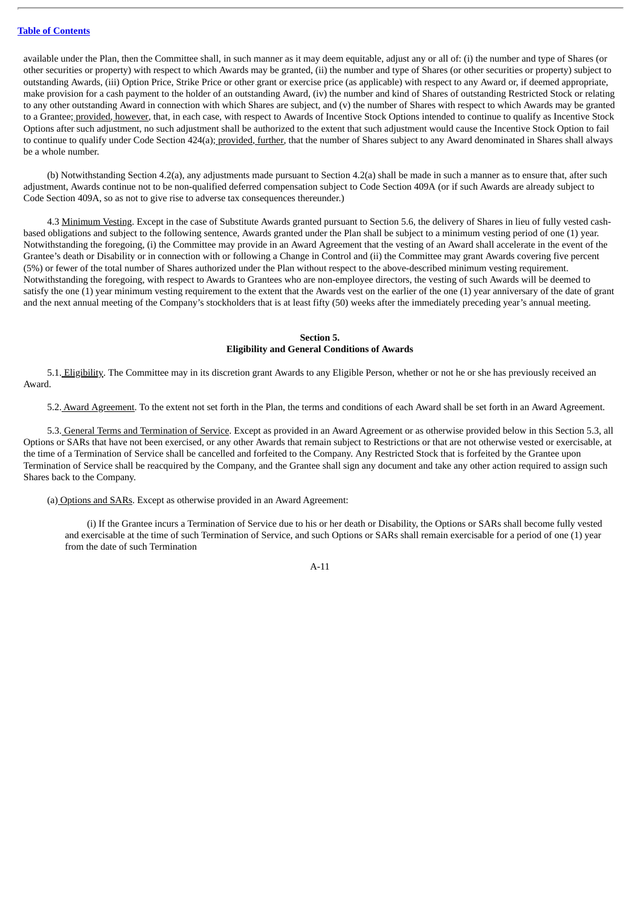available under the Plan, then the Committee shall, in such manner as it may deem equitable, adjust any or all of: (i) the number and type of Shares (or other securities or property) with respect to which Awards may be granted, (ii) the number and type of Shares (or other securities or property) subject to outstanding Awards, (iii) Option Price, Strike Price or other grant or exercise price (as applicable) with respect to any Award or, if deemed appropriate, make provision for a cash payment to the holder of an outstanding Award, (iv) the number and kind of Shares of outstanding Restricted Stock or relating to any other outstanding Award in connection with which Shares are subject, and (v) the number of Shares with respect to which Awards may be granted to a Grantee; provided, however, that, in each case, with respect to Awards of Incentive Stock Options intended to continue to qualify as Incentive Stock Options after such adjustment, no such adjustment shall be authorized to the extent that such adjustment would cause the Incentive Stock Option to fail to continue to qualify under Code Section 424(a); provided, further, that the number of Shares subject to any Award denominated in Shares shall always be a whole number.

(b) Notwithstanding Section 4.2(a), any adjustments made pursuant to Section 4.2(a) shall be made in such a manner as to ensure that, after such adjustment, Awards continue not to be non-qualified deferred compensation subject to Code Section 409A (or if such Awards are already subject to Code Section 409A, so as not to give rise to adverse tax consequences thereunder.)

4.3 Minimum Vesting. Except in the case of Substitute Awards granted pursuant to Section 5.6, the delivery of Shares in lieu of fully vested cashbased obligations and subject to the following sentence, Awards granted under the Plan shall be subject to a minimum vesting period of one (1) year. Notwithstanding the foregoing, (i) the Committee may provide in an Award Agreement that the vesting of an Award shall accelerate in the event of the Grantee's death or Disability or in connection with or following a Change in Control and (ii) the Committee may grant Awards covering five percent (5%) or fewer of the total number of Shares authorized under the Plan without respect to the above-described minimum vesting requirement. Notwithstanding the foregoing, with respect to Awards to Grantees who are non-employee directors, the vesting of such Awards will be deemed to satisfy the one (1) year minimum vesting requirement to the extent that the Awards vest on the earlier of the one (1) year anniversary of the date of grant and the next annual meeting of the Company's stockholders that is at least fifty (50) weeks after the immediately preceding year's annual meeting.

# **Section 5. Eligibility and General Conditions of Awards**

5.1. Eligibility. The Committee may in its discretion grant Awards to any Eligible Person, whether or not he or she has previously received an Award.

5.2. Award Agreement. To the extent not set forth in the Plan, the terms and conditions of each Award shall be set forth in an Award Agreement.

5.3. General Terms and Termination of Service. Except as provided in an Award Agreement or as otherwise provided below in this Section 5.3, all Options or SARs that have not been exercised, or any other Awards that remain subject to Restrictions or that are not otherwise vested or exercisable, at the time of a Termination of Service shall be cancelled and forfeited to the Company. Any Restricted Stock that is forfeited by the Grantee upon Termination of Service shall be reacquired by the Company, and the Grantee shall sign any document and take any other action required to assign such Shares back to the Company.

(a) Options and SARs. Except as otherwise provided in an Award Agreement:

(i) If the Grantee incurs a Termination of Service due to his or her death or Disability, the Options or SARs shall become fully vested and exercisable at the time of such Termination of Service, and such Options or SARs shall remain exercisable for a period of one (1) year from the date of such Termination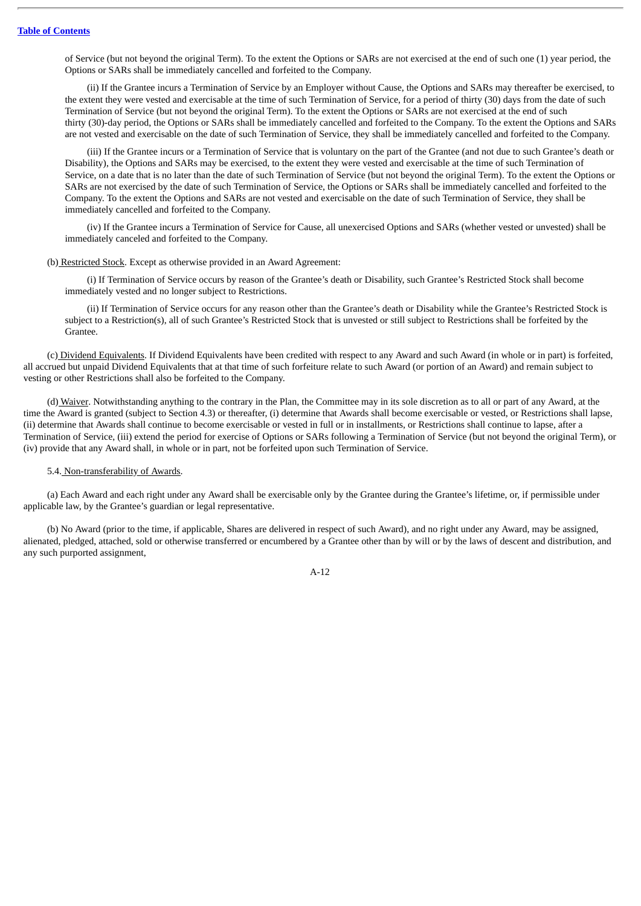of Service (but not beyond the original Term). To the extent the Options or SARs are not exercised at the end of such one (1) year period, the Options or SARs shall be immediately cancelled and forfeited to the Company.

(ii) If the Grantee incurs a Termination of Service by an Employer without Cause, the Options and SARs may thereafter be exercised, to the extent they were vested and exercisable at the time of such Termination of Service, for a period of thirty (30) days from the date of such Termination of Service (but not beyond the original Term). To the extent the Options or SARs are not exercised at the end of such thirty (30)-day period, the Options or SARs shall be immediately cancelled and forfeited to the Company. To the extent the Options and SARs are not vested and exercisable on the date of such Termination of Service, they shall be immediately cancelled and forfeited to the Company.

(iii) If the Grantee incurs or a Termination of Service that is voluntary on the part of the Grantee (and not due to such Grantee's death or Disability), the Options and SARs may be exercised, to the extent they were vested and exercisable at the time of such Termination of Service, on a date that is no later than the date of such Termination of Service (but not beyond the original Term). To the extent the Options or SARs are not exercised by the date of such Termination of Service, the Options or SARs shall be immediately cancelled and forfeited to the Company. To the extent the Options and SARs are not vested and exercisable on the date of such Termination of Service, they shall be immediately cancelled and forfeited to the Company.

(iv) If the Grantee incurs a Termination of Service for Cause, all unexercised Options and SARs (whether vested or unvested) shall be immediately canceled and forfeited to the Company.

(b) Restricted Stock. Except as otherwise provided in an Award Agreement:

(i) If Termination of Service occurs by reason of the Grantee's death or Disability, such Grantee's Restricted Stock shall become immediately vested and no longer subject to Restrictions.

(ii) If Termination of Service occurs for any reason other than the Grantee's death or Disability while the Grantee's Restricted Stock is subject to a Restriction(s), all of such Grantee's Restricted Stock that is unvested or still subject to Restrictions shall be forfeited by the Grantee.

(c) Dividend Equivalents. If Dividend Equivalents have been credited with respect to any Award and such Award (in whole or in part) is forfeited, all accrued but unpaid Dividend Equivalents that at that time of such forfeiture relate to such Award (or portion of an Award) and remain subject to vesting or other Restrictions shall also be forfeited to the Company.

(d) Waiver. Notwithstanding anything to the contrary in the Plan, the Committee may in its sole discretion as to all or part of any Award, at the time the Award is granted (subject to Section 4.3) or thereafter, (i) determine that Awards shall become exercisable or vested, or Restrictions shall lapse, (ii) determine that Awards shall continue to become exercisable or vested in full or in installments, or Restrictions shall continue to lapse, after a Termination of Service, (iii) extend the period for exercise of Options or SARs following a Termination of Service (but not beyond the original Term), or (iv) provide that any Award shall, in whole or in part, not be forfeited upon such Termination of Service.

#### 5.4. Non-transferability of Awards.

(a) Each Award and each right under any Award shall be exercisable only by the Grantee during the Grantee's lifetime, or, if permissible under applicable law, by the Grantee's guardian or legal representative.

(b) No Award (prior to the time, if applicable, Shares are delivered in respect of such Award), and no right under any Award, may be assigned, alienated, pledged, attached, sold or otherwise transferred or encumbered by a Grantee other than by will or by the laws of descent and distribution, and any such purported assignment,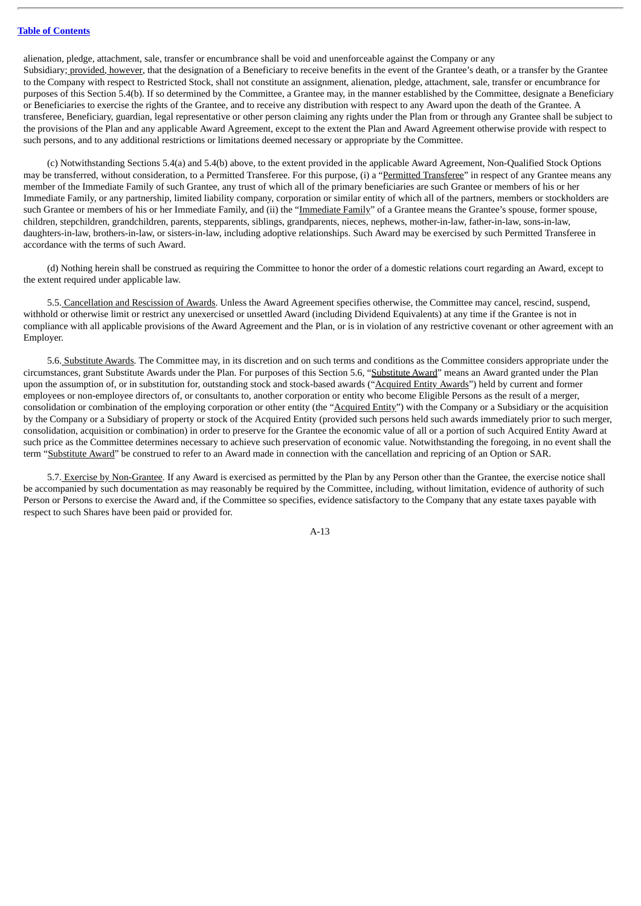alienation, pledge, attachment, sale, transfer or encumbrance shall be void and unenforceable against the Company or any Subsidiary; provided, however, that the designation of a Beneficiary to receive benefits in the event of the Grantee's death, or a transfer by the Grantee to the Company with respect to Restricted Stock, shall not constitute an assignment, alienation, pledge, attachment, sale, transfer or encumbrance for purposes of this Section 5.4(b). If so determined by the Committee, a Grantee may, in the manner established by the Committee, designate a Beneficiary or Beneficiaries to exercise the rights of the Grantee, and to receive any distribution with respect to any Award upon the death of the Grantee. A transferee, Beneficiary, guardian, legal representative or other person claiming any rights under the Plan from or through any Grantee shall be subject to the provisions of the Plan and any applicable Award Agreement, except to the extent the Plan and Award Agreement otherwise provide with respect to such persons, and to any additional restrictions or limitations deemed necessary or appropriate by the Committee.

(c) Notwithstanding Sections 5.4(a) and 5.4(b) above, to the extent provided in the applicable Award Agreement, Non-Qualified Stock Options may be transferred, without consideration, to a Permitted Transferee. For this purpose, (i) a "Permitted Transferee" in respect of any Grantee means any member of the Immediate Family of such Grantee, any trust of which all of the primary beneficiaries are such Grantee or members of his or her Immediate Family, or any partnership, limited liability company, corporation or similar entity of which all of the partners, members or stockholders are such Grantee or members of his or her Immediate Family, and (ii) the "Immediate Family" of a Grantee means the Grantee's spouse, former spouse, children, stepchildren, grandchildren, parents, stepparents, siblings, grandparents, nieces, nephews, mother-in-law, father-in-law, sons-in-law, daughters-in-law, brothers-in-law, or sisters-in-law, including adoptive relationships. Such Award may be exercised by such Permitted Transferee in accordance with the terms of such Award.

(d) Nothing herein shall be construed as requiring the Committee to honor the order of a domestic relations court regarding an Award, except to the extent required under applicable law.

5.5. Cancellation and Rescission of Awards. Unless the Award Agreement specifies otherwise, the Committee may cancel, rescind, suspend, withhold or otherwise limit or restrict any unexercised or unsettled Award (including Dividend Equivalents) at any time if the Grantee is not in compliance with all applicable provisions of the Award Agreement and the Plan, or is in violation of any restrictive covenant or other agreement with an Employer.

5.6. Substitute Awards. The Committee may, in its discretion and on such terms and conditions as the Committee considers appropriate under the circumstances, grant Substitute Awards under the Plan. For purposes of this Section 5.6, "Substitute Award" means an Award granted under the Plan upon the assumption of, or in substitution for, outstanding stock and stock-based awards ("Acquired Entity Awards") held by current and former employees or non-employee directors of, or consultants to, another corporation or entity who become Eligible Persons as the result of a merger, consolidation or combination of the employing corporation or other entity (the "Acquired Entity") with the Company or a Subsidiary or the acquisition by the Company or a Subsidiary of property or stock of the Acquired Entity (provided such persons held such awards immediately prior to such merger, consolidation, acquisition or combination) in order to preserve for the Grantee the economic value of all or a portion of such Acquired Entity Award at such price as the Committee determines necessary to achieve such preservation of economic value. Notwithstanding the foregoing, in no event shall the term "Substitute Award" be construed to refer to an Award made in connection with the cancellation and repricing of an Option or SAR.

5.7. Exercise by Non-Grantee. If any Award is exercised as permitted by the Plan by any Person other than the Grantee, the exercise notice shall be accompanied by such documentation as may reasonably be required by the Committee, including, without limitation, evidence of authority of such Person or Persons to exercise the Award and, if the Committee so specifies, evidence satisfactory to the Company that any estate taxes payable with respect to such Shares have been paid or provided for.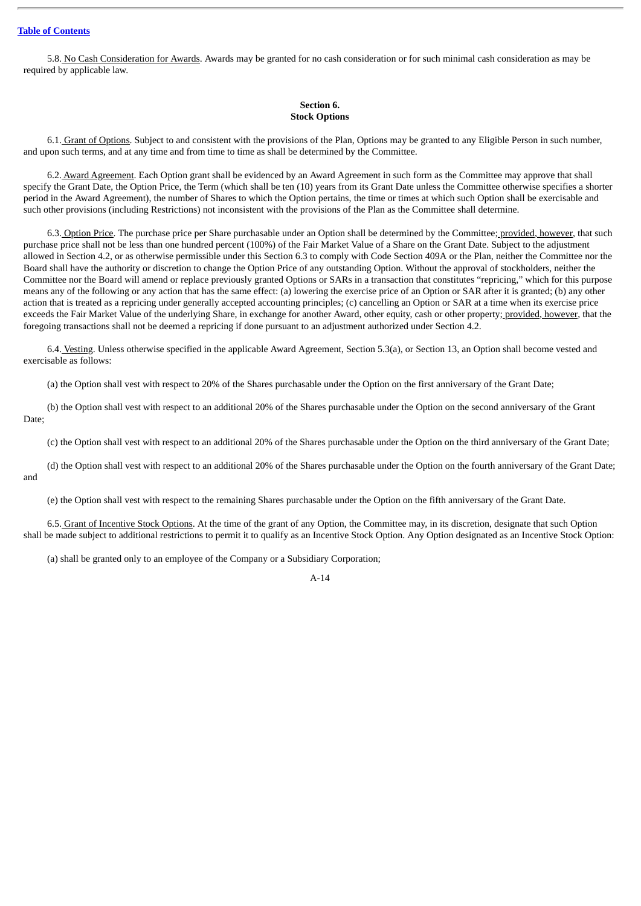5.8. No Cash Consideration for Awards. Awards may be granted for no cash consideration or for such minimal cash consideration as may be required by applicable law.

# **Section 6. Stock Options**

6.1. Grant of Options. Subject to and consistent with the provisions of the Plan, Options may be granted to any Eligible Person in such number, and upon such terms, and at any time and from time to time as shall be determined by the Committee.

6.2. Award Agreement. Each Option grant shall be evidenced by an Award Agreement in such form as the Committee may approve that shall specify the Grant Date, the Option Price, the Term (which shall be ten (10) years from its Grant Date unless the Committee otherwise specifies a shorter period in the Award Agreement), the number of Shares to which the Option pertains, the time or times at which such Option shall be exercisable and such other provisions (including Restrictions) not inconsistent with the provisions of the Plan as the Committee shall determine.

6.3. Option Price. The purchase price per Share purchasable under an Option shall be determined by the Committee; provided, however, that such purchase price shall not be less than one hundred percent (100%) of the Fair Market Value of a Share on the Grant Date. Subject to the adjustment allowed in Section 4.2, or as otherwise permissible under this Section 6.3 to comply with Code Section 409A or the Plan, neither the Committee nor the Board shall have the authority or discretion to change the Option Price of any outstanding Option. Without the approval of stockholders, neither the Committee nor the Board will amend or replace previously granted Options or SARs in a transaction that constitutes "repricing," which for this purpose means any of the following or any action that has the same effect: (a) lowering the exercise price of an Option or SAR after it is granted; (b) any other action that is treated as a repricing under generally accepted accounting principles; (c) cancelling an Option or SAR at a time when its exercise price exceeds the Fair Market Value of the underlying Share, in exchange for another Award, other equity, cash or other property; provided, however, that the foregoing transactions shall not be deemed a repricing if done pursuant to an adjustment authorized under Section 4.2.

6.4. Vesting. Unless otherwise specified in the applicable Award Agreement, Section 5.3(a), or Section 13, an Option shall become vested and exercisable as follows:

(a) the Option shall vest with respect to 20% of the Shares purchasable under the Option on the first anniversary of the Grant Date;

(b) the Option shall vest with respect to an additional 20% of the Shares purchasable under the Option on the second anniversary of the Grant Date;

(c) the Option shall vest with respect to an additional 20% of the Shares purchasable under the Option on the third anniversary of the Grant Date;

(d) the Option shall vest with respect to an additional 20% of the Shares purchasable under the Option on the fourth anniversary of the Grant Date; and

(e) the Option shall vest with respect to the remaining Shares purchasable under the Option on the fifth anniversary of the Grant Date.

6.5. Grant of Incentive Stock Options. At the time of the grant of any Option, the Committee may, in its discretion, designate that such Option shall be made subject to additional restrictions to permit it to qualify as an Incentive Stock Option. Any Option designated as an Incentive Stock Option:

(a) shall be granted only to an employee of the Company or a Subsidiary Corporation;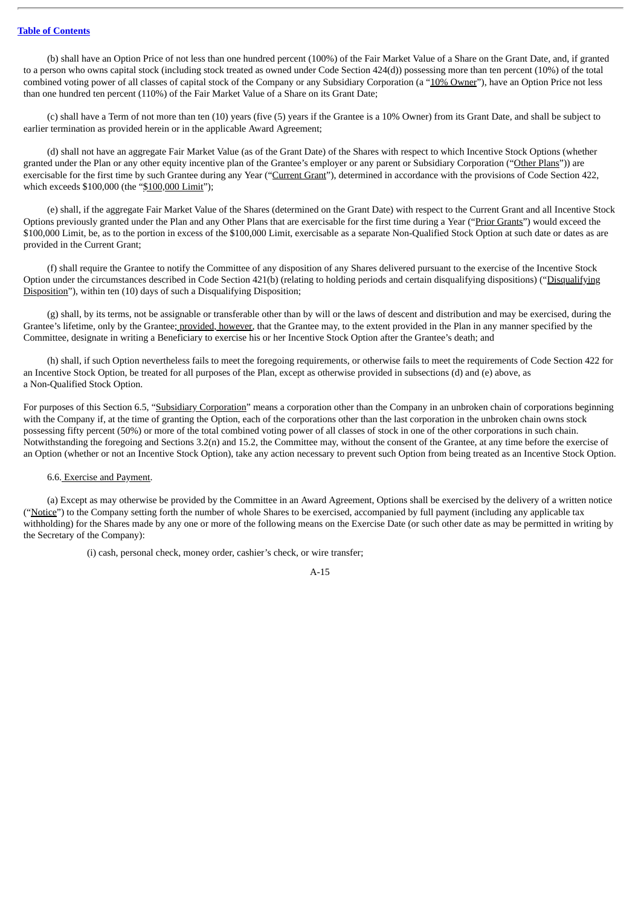(b) shall have an Option Price of not less than one hundred percent (100%) of the Fair Market Value of a Share on the Grant Date, and, if granted to a person who owns capital stock (including stock treated as owned under Code Section 424(d)) possessing more than ten percent (10%) of the total combined voting power of all classes of capital stock of the Company or any Subsidiary Corporation (a "10% Owner"), have an Option Price not less than one hundred ten percent (110%) of the Fair Market Value of a Share on its Grant Date;

(c) shall have a Term of not more than ten (10) years (five (5) years if the Grantee is a 10% Owner) from its Grant Date, and shall be subject to earlier termination as provided herein or in the applicable Award Agreement;

(d) shall not have an aggregate Fair Market Value (as of the Grant Date) of the Shares with respect to which Incentive Stock Options (whether granted under the Plan or any other equity incentive plan of the Grantee's employer or any parent or Subsidiary Corporation ("Other Plans")) are exercisable for the first time by such Grantee during any Year ("Current Grant"), determined in accordance with the provisions of Code Section 422, which exceeds \$100,000 (the "\$100,000 Limit");

(e) shall, if the aggregate Fair Market Value of the Shares (determined on the Grant Date) with respect to the Current Grant and all Incentive Stock Options previously granted under the Plan and any Other Plans that are exercisable for the first time during a Year ("Prior Grants") would exceed the \$100,000 Limit, be, as to the portion in excess of the \$100,000 Limit, exercisable as a separate Non-Qualified Stock Option at such date or dates as are provided in the Current Grant;

(f) shall require the Grantee to notify the Committee of any disposition of any Shares delivered pursuant to the exercise of the Incentive Stock Option under the circumstances described in Code Section 421(b) (relating to holding periods and certain disqualifying dispositions) ("Disqualifying Disposition"), within ten (10) days of such a Disqualifying Disposition;

(g) shall, by its terms, not be assignable or transferable other than by will or the laws of descent and distribution and may be exercised, during the Grantee's lifetime, only by the Grantee; provided, however, that the Grantee may, to the extent provided in the Plan in any manner specified by the Committee, designate in writing a Beneficiary to exercise his or her Incentive Stock Option after the Grantee's death; and

(h) shall, if such Option nevertheless fails to meet the foregoing requirements, or otherwise fails to meet the requirements of Code Section 422 for an Incentive Stock Option, be treated for all purposes of the Plan, except as otherwise provided in subsections (d) and (e) above, as a Non-Qualified Stock Option.

For purposes of this Section 6.5, "Subsidiary Corporation" means a corporation other than the Company in an unbroken chain of corporations beginning with the Company if, at the time of granting the Option, each of the corporations other than the last corporation in the unbroken chain owns stock possessing fifty percent (50%) or more of the total combined voting power of all classes of stock in one of the other corporations in such chain. Notwithstanding the foregoing and Sections 3.2(n) and 15.2, the Committee may, without the consent of the Grantee, at any time before the exercise of an Option (whether or not an Incentive Stock Option), take any action necessary to prevent such Option from being treated as an Incentive Stock Option.

### 6.6. Exercise and Payment.

(a) Except as may otherwise be provided by the Committee in an Award Agreement, Options shall be exercised by the delivery of a written notice ("Notice") to the Company setting forth the number of whole Shares to be exercised, accompanied by full payment (including any applicable tax withholding) for the Shares made by any one or more of the following means on the Exercise Date (or such other date as may be permitted in writing by the Secretary of the Company):

(i) cash, personal check, money order, cashier's check, or wire transfer;

A-15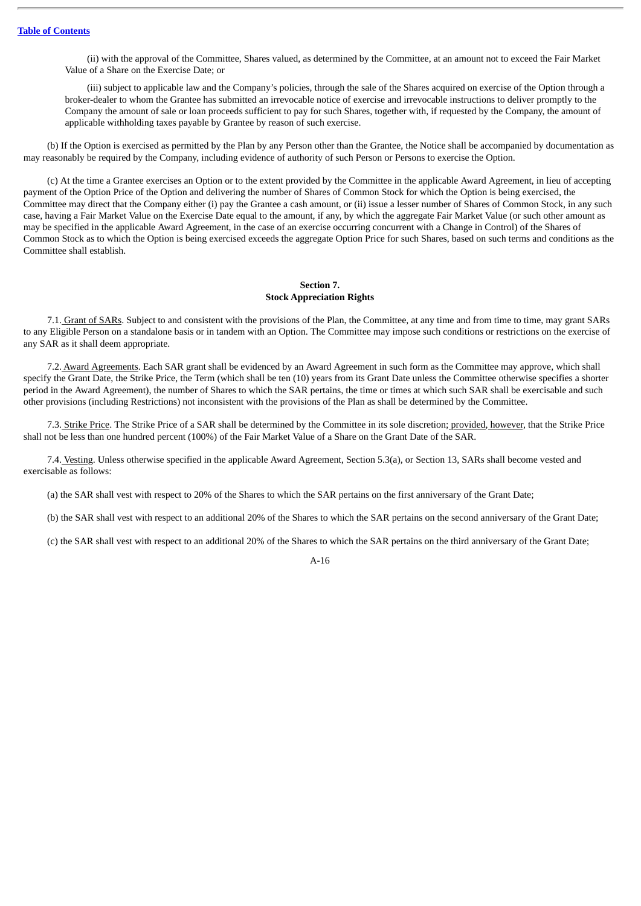(ii) with the approval of the Committee, Shares valued, as determined by the Committee, at an amount not to exceed the Fair Market Value of a Share on the Exercise Date; or

(iii) subject to applicable law and the Company's policies, through the sale of the Shares acquired on exercise of the Option through a broker-dealer to whom the Grantee has submitted an irrevocable notice of exercise and irrevocable instructions to deliver promptly to the Company the amount of sale or loan proceeds sufficient to pay for such Shares, together with, if requested by the Company, the amount of applicable withholding taxes payable by Grantee by reason of such exercise.

(b) If the Option is exercised as permitted by the Plan by any Person other than the Grantee, the Notice shall be accompanied by documentation as may reasonably be required by the Company, including evidence of authority of such Person or Persons to exercise the Option.

(c) At the time a Grantee exercises an Option or to the extent provided by the Committee in the applicable Award Agreement, in lieu of accepting payment of the Option Price of the Option and delivering the number of Shares of Common Stock for which the Option is being exercised, the Committee may direct that the Company either (i) pay the Grantee a cash amount, or (ii) issue a lesser number of Shares of Common Stock, in any such case, having a Fair Market Value on the Exercise Date equal to the amount, if any, by which the aggregate Fair Market Value (or such other amount as may be specified in the applicable Award Agreement, in the case of an exercise occurring concurrent with a Change in Control) of the Shares of Common Stock as to which the Option is being exercised exceeds the aggregate Option Price for such Shares, based on such terms and conditions as the Committee shall establish.

# **Section 7. Stock Appreciation Rights**

7.1. Grant of SARs. Subject to and consistent with the provisions of the Plan, the Committee, at any time and from time to time, may grant SARs to any Eligible Person on a standalone basis or in tandem with an Option. The Committee may impose such conditions or restrictions on the exercise of any SAR as it shall deem appropriate.

7.2. Award Agreements. Each SAR grant shall be evidenced by an Award Agreement in such form as the Committee may approve, which shall specify the Grant Date, the Strike Price, the Term (which shall be ten (10) years from its Grant Date unless the Committee otherwise specifies a shorter period in the Award Agreement), the number of Shares to which the SAR pertains, the time or times at which such SAR shall be exercisable and such other provisions (including Restrictions) not inconsistent with the provisions of the Plan as shall be determined by the Committee.

7.3. Strike Price. The Strike Price of a SAR shall be determined by the Committee in its sole discretion; provided, however, that the Strike Price shall not be less than one hundred percent (100%) of the Fair Market Value of a Share on the Grant Date of the SAR.

7.4. Vesting. Unless otherwise specified in the applicable Award Agreement, Section 5.3(a), or Section 13, SARs shall become vested and exercisable as follows:

(a) the SAR shall vest with respect to 20% of the Shares to which the SAR pertains on the first anniversary of the Grant Date;

(b) the SAR shall vest with respect to an additional 20% of the Shares to which the SAR pertains on the second anniversary of the Grant Date;

(c) the SAR shall vest with respect to an additional 20% of the Shares to which the SAR pertains on the third anniversary of the Grant Date;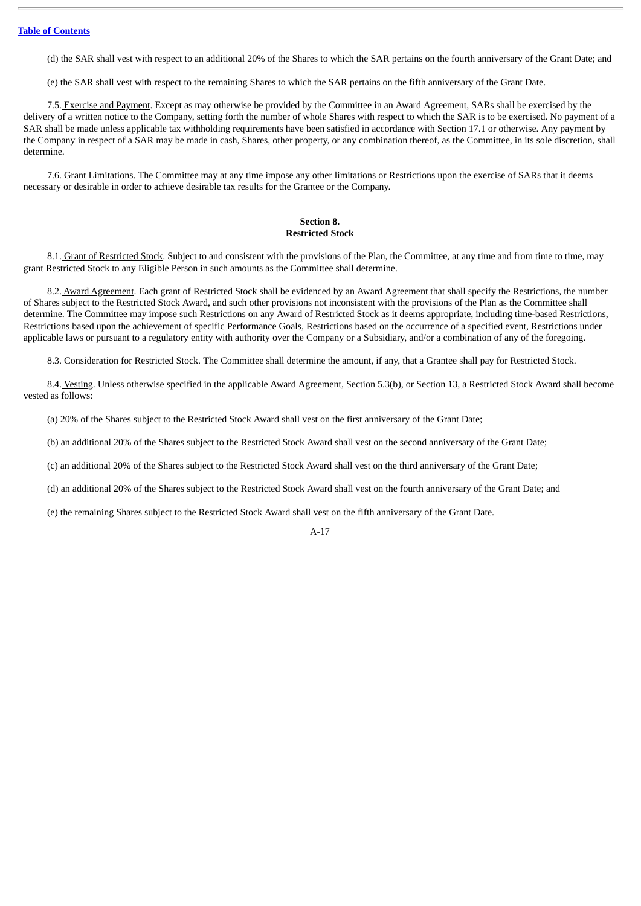(d) the SAR shall vest with respect to an additional 20% of the Shares to which the SAR pertains on the fourth anniversary of the Grant Date; and

(e) the SAR shall vest with respect to the remaining Shares to which the SAR pertains on the fifth anniversary of the Grant Date.

7.5. Exercise and Payment. Except as may otherwise be provided by the Committee in an Award Agreement, SARs shall be exercised by the delivery of a written notice to the Company, setting forth the number of whole Shares with respect to which the SAR is to be exercised. No payment of a SAR shall be made unless applicable tax withholding requirements have been satisfied in accordance with Section 17.1 or otherwise. Any payment by the Company in respect of a SAR may be made in cash, Shares, other property, or any combination thereof, as the Committee, in its sole discretion, shall determine.

7.6. Grant Limitations. The Committee may at any time impose any other limitations or Restrictions upon the exercise of SARs that it deems necessary or desirable in order to achieve desirable tax results for the Grantee or the Company.

# **Section 8. Restricted Stock**

8.1. Grant of Restricted Stock. Subject to and consistent with the provisions of the Plan, the Committee, at any time and from time to time, may grant Restricted Stock to any Eligible Person in such amounts as the Committee shall determine.

8.2. Award Agreement. Each grant of Restricted Stock shall be evidenced by an Award Agreement that shall specify the Restrictions, the number of Shares subject to the Restricted Stock Award, and such other provisions not inconsistent with the provisions of the Plan as the Committee shall determine. The Committee may impose such Restrictions on any Award of Restricted Stock as it deems appropriate, including time-based Restrictions, Restrictions based upon the achievement of specific Performance Goals, Restrictions based on the occurrence of a specified event, Restrictions under applicable laws or pursuant to a regulatory entity with authority over the Company or a Subsidiary, and/or a combination of any of the foregoing.

8.3. Consideration for Restricted Stock. The Committee shall determine the amount, if any, that a Grantee shall pay for Restricted Stock.

8.4. Vesting. Unless otherwise specified in the applicable Award Agreement, Section 5.3(b), or Section 13, a Restricted Stock Award shall become vested as follows:

(a) 20% of the Shares subject to the Restricted Stock Award shall vest on the first anniversary of the Grant Date;

(b) an additional 20% of the Shares subject to the Restricted Stock Award shall vest on the second anniversary of the Grant Date;

(c) an additional 20% of the Shares subject to the Restricted Stock Award shall vest on the third anniversary of the Grant Date;

(d) an additional 20% of the Shares subject to the Restricted Stock Award shall vest on the fourth anniversary of the Grant Date; and

(e) the remaining Shares subject to the Restricted Stock Award shall vest on the fifth anniversary of the Grant Date.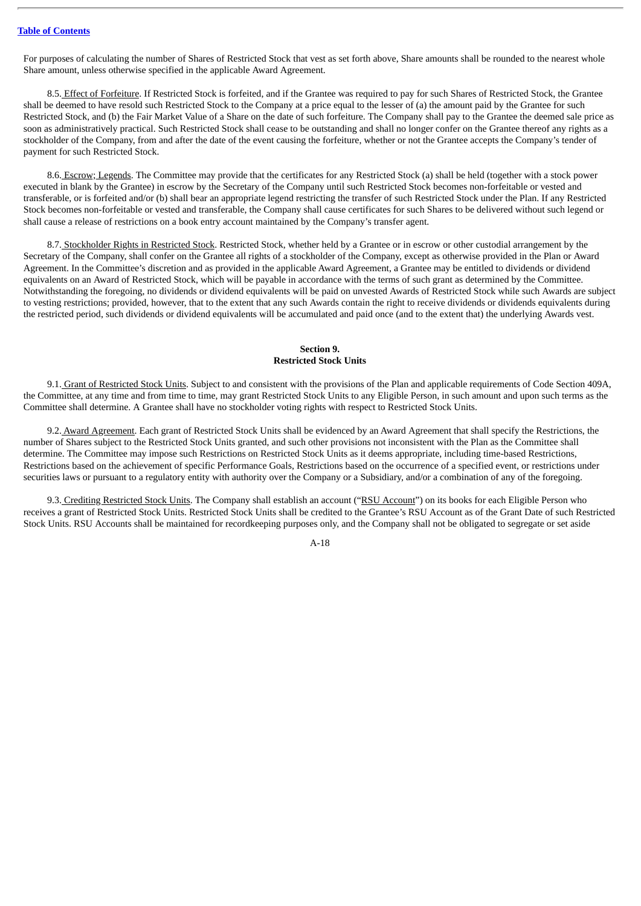For purposes of calculating the number of Shares of Restricted Stock that vest as set forth above, Share amounts shall be rounded to the nearest whole Share amount, unless otherwise specified in the applicable Award Agreement.

8.5. Effect of Forfeiture. If Restricted Stock is forfeited, and if the Grantee was required to pay for such Shares of Restricted Stock, the Grantee shall be deemed to have resold such Restricted Stock to the Company at a price equal to the lesser of (a) the amount paid by the Grantee for such Restricted Stock, and (b) the Fair Market Value of a Share on the date of such forfeiture. The Company shall pay to the Grantee the deemed sale price as soon as administratively practical. Such Restricted Stock shall cease to be outstanding and shall no longer confer on the Grantee thereof any rights as a stockholder of the Company, from and after the date of the event causing the forfeiture, whether or not the Grantee accepts the Company's tender of payment for such Restricted Stock.

8.6. Escrow; Legends. The Committee may provide that the certificates for any Restricted Stock (a) shall be held (together with a stock power executed in blank by the Grantee) in escrow by the Secretary of the Company until such Restricted Stock becomes non-forfeitable or vested and transferable, or is forfeited and/or (b) shall bear an appropriate legend restricting the transfer of such Restricted Stock under the Plan. If any Restricted Stock becomes non-forfeitable or vested and transferable, the Company shall cause certificates for such Shares to be delivered without such legend or shall cause a release of restrictions on a book entry account maintained by the Company's transfer agent.

8.7. Stockholder Rights in Restricted Stock. Restricted Stock, whether held by a Grantee or in escrow or other custodial arrangement by the Secretary of the Company, shall confer on the Grantee all rights of a stockholder of the Company, except as otherwise provided in the Plan or Award Agreement. In the Committee's discretion and as provided in the applicable Award Agreement, a Grantee may be entitled to dividends or dividend equivalents on an Award of Restricted Stock, which will be payable in accordance with the terms of such grant as determined by the Committee. Notwithstanding the foregoing, no dividends or dividend equivalents will be paid on unvested Awards of Restricted Stock while such Awards are subject to vesting restrictions; provided, however, that to the extent that any such Awards contain the right to receive dividends or dividends equivalents during the restricted period, such dividends or dividend equivalents will be accumulated and paid once (and to the extent that) the underlying Awards vest.

## **Section 9. Restricted Stock Units**

9.1. Grant of Restricted Stock Units. Subject to and consistent with the provisions of the Plan and applicable requirements of Code Section 409A, the Committee, at any time and from time to time, may grant Restricted Stock Units to any Eligible Person, in such amount and upon such terms as the Committee shall determine. A Grantee shall have no stockholder voting rights with respect to Restricted Stock Units.

9.2. Award Agreement. Each grant of Restricted Stock Units shall be evidenced by an Award Agreement that shall specify the Restrictions, the number of Shares subject to the Restricted Stock Units granted, and such other provisions not inconsistent with the Plan as the Committee shall determine. The Committee may impose such Restrictions on Restricted Stock Units as it deems appropriate, including time-based Restrictions, Restrictions based on the achievement of specific Performance Goals, Restrictions based on the occurrence of a specified event, or restrictions under securities laws or pursuant to a regulatory entity with authority over the Company or a Subsidiary, and/or a combination of any of the foregoing.

9.3. Crediting Restricted Stock Units. The Company shall establish an account ("RSU Account") on its books for each Eligible Person who receives a grant of Restricted Stock Units. Restricted Stock Units shall be credited to the Grantee's RSU Account as of the Grant Date of such Restricted Stock Units. RSU Accounts shall be maintained for recordkeeping purposes only, and the Company shall not be obligated to segregate or set aside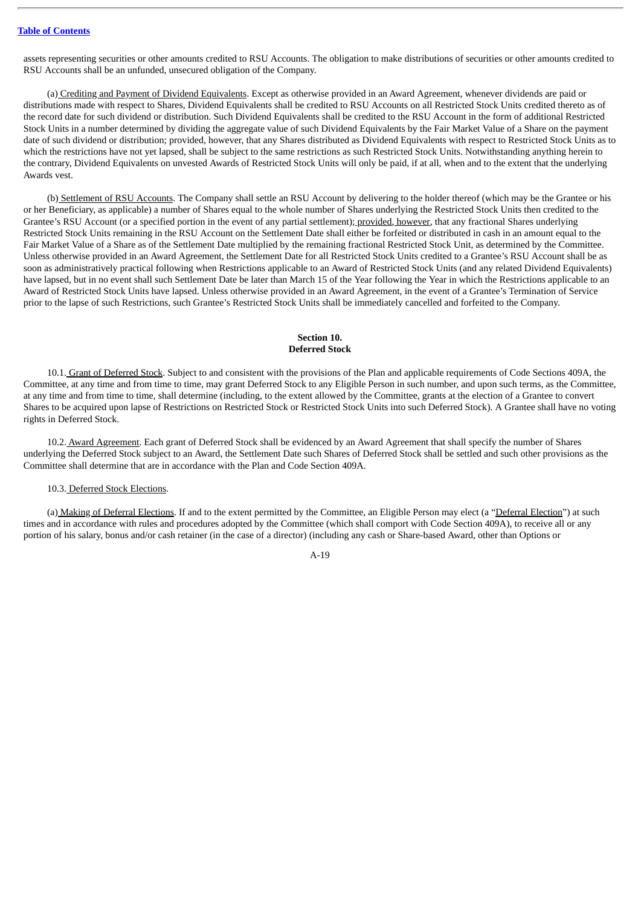assets representing securities or other amounts credited to RSU Accounts. The obligation to make distributions of securities or other amounts credited to RSU Accounts shall be an unfunded, unsecured obligation of the Company.

(a) Crediting and Payment of Dividend Equivalents. Except as otherwise provided in an Award Agreement, whenever dividends are paid or distributions made with respect to Shares, Dividend Equivalents shall be credited to RSU Accounts on all Restricted Stock Units credited thereto as of the record date for such dividend or distribution. Such Dividend Equivalents shall be credited to the RSU Account in the form of additional Restricted Stock Units in a number determined by dividing the aggregate value of such Dividend Equivalents by the Fair Market Value of a Share on the payment date of such dividend or distribution; provided, however, that any Shares distributed as Dividend Equivalents with respect to Restricted Stock Units as to which the restrictions have not yet lapsed, shall be subject to the same restrictions as such Restricted Stock Units. Notwithstanding anything herein to the contrary, Dividend Equivalents on unvested Awards of Restricted Stock Units will only be paid, if at all, when and to the extent that the underlying Awards vest.

(b) Settlement of RSU Accounts. The Company shall settle an RSU Account by delivering to the holder thereof (which may be the Grantee or his or her Beneficiary, as applicable) a number of Shares equal to the whole number of Shares underlying the Restricted Stock Units then credited to the Grantee's RSU Account (or a specified portion in the event of any partial settlement); provided, however, that any fractional Shares underlying Restricted Stock Units remaining in the RSU Account on the Settlement Date shall either be forfeited or distributed in cash in an amount equal to the Fair Market Value of a Share as of the Settlement Date multiplied by the remaining fractional Restricted Stock Unit, as determined by the Committee. Unless otherwise provided in an Award Agreement, the Settlement Date for all Restricted Stock Units credited to a Grantee's RSU Account shall be as soon as administratively practical following when Restrictions applicable to an Award of Restricted Stock Units (and any related Dividend Equivalents) have lapsed, but in no event shall such Settlement Date be later than March 15 of the Year following the Year in which the Restrictions applicable to an Award of Restricted Stock Units have lapsed. Unless otherwise provided in an Award Agreement, in the event of a Grantee's Termination of Service prior to the lapse of such Restrictions, such Grantee's Restricted Stock Units shall be immediately cancelled and forfeited to the Company.

# **Section 10. Deferred Stock**

10.1. Grant of Deferred Stock. Subject to and consistent with the provisions of the Plan and applicable requirements of Code Sections 409A, the Committee, at any time and from time to time, may grant Deferred Stock to any Eligible Person in such number, and upon such terms, as the Committee, at any time and from time to time, shall determine (including, to the extent allowed by the Committee, grants at the election of a Grantee to convert Shares to be acquired upon lapse of Restrictions on Restricted Stock or Restricted Stock Units into such Deferred Stock). A Grantee shall have no voting rights in Deferred Stock.

10.2. Award Agreement. Each grant of Deferred Stock shall be evidenced by an Award Agreement that shall specify the number of Shares underlying the Deferred Stock subject to an Award, the Settlement Date such Shares of Deferred Stock shall be settled and such other provisions as the Committee shall determine that are in accordance with the Plan and Code Section 409A.

# 10.3. Deferred Stock Elections.

(a) Making of Deferral Elections. If and to the extent permitted by the Committee, an Eligible Person may elect (a "Deferral Election") at such times and in accordance with rules and procedures adopted by the Committee (which shall comport with Code Section 409A), to receive all or any portion of his salary, bonus and/or cash retainer (in the case of a director) (including any cash or Share-based Award, other than Options or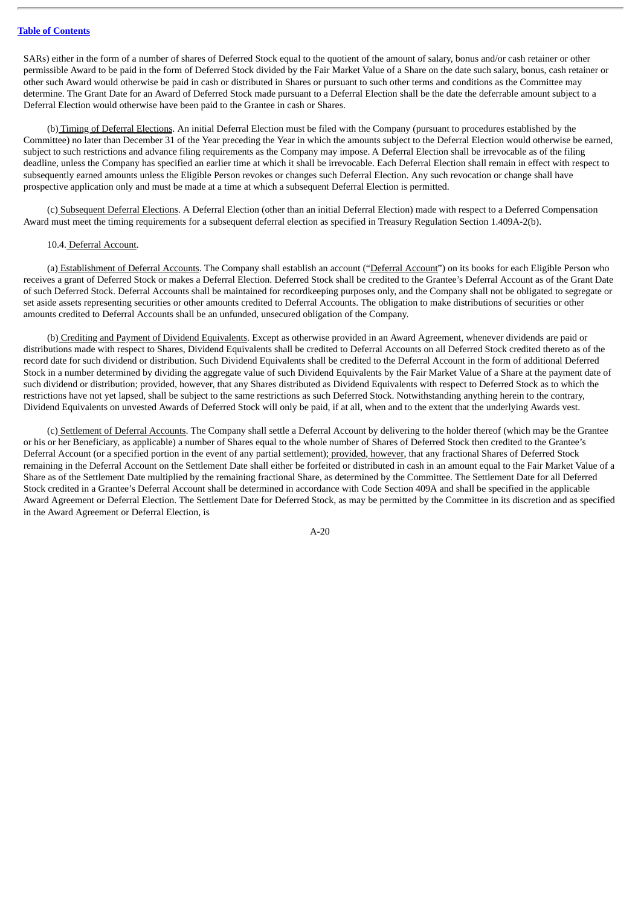SARs) either in the form of a number of shares of Deferred Stock equal to the quotient of the amount of salary, bonus and/or cash retainer or other permissible Award to be paid in the form of Deferred Stock divided by the Fair Market Value of a Share on the date such salary, bonus, cash retainer or other such Award would otherwise be paid in cash or distributed in Shares or pursuant to such other terms and conditions as the Committee may determine. The Grant Date for an Award of Deferred Stock made pursuant to a Deferral Election shall be the date the deferrable amount subject to a Deferral Election would otherwise have been paid to the Grantee in cash or Shares.

(b) Timing of Deferral Elections. An initial Deferral Election must be filed with the Company (pursuant to procedures established by the Committee) no later than December 31 of the Year preceding the Year in which the amounts subject to the Deferral Election would otherwise be earned, subject to such restrictions and advance filing requirements as the Company may impose. A Deferral Election shall be irrevocable as of the filing deadline, unless the Company has specified an earlier time at which it shall be irrevocable. Each Deferral Election shall remain in effect with respect to subsequently earned amounts unless the Eligible Person revokes or changes such Deferral Election. Any such revocation or change shall have prospective application only and must be made at a time at which a subsequent Deferral Election is permitted.

(c) Subsequent Deferral Elections. A Deferral Election (other than an initial Deferral Election) made with respect to a Deferred Compensation Award must meet the timing requirements for a subsequent deferral election as specified in Treasury Regulation Section 1.409A-2(b).

# 10.4. Deferral Account.

(a) Establishment of Deferral Accounts. The Company shall establish an account ("Deferral Account") on its books for each Eligible Person who receives a grant of Deferred Stock or makes a Deferral Election. Deferred Stock shall be credited to the Grantee's Deferral Account as of the Grant Date of such Deferred Stock. Deferral Accounts shall be maintained for recordkeeping purposes only, and the Company shall not be obligated to segregate or set aside assets representing securities or other amounts credited to Deferral Accounts. The obligation to make distributions of securities or other amounts credited to Deferral Accounts shall be an unfunded, unsecured obligation of the Company.

(b) Crediting and Payment of Dividend Equivalents. Except as otherwise provided in an Award Agreement, whenever dividends are paid or distributions made with respect to Shares, Dividend Equivalents shall be credited to Deferral Accounts on all Deferred Stock credited thereto as of the record date for such dividend or distribution. Such Dividend Equivalents shall be credited to the Deferral Account in the form of additional Deferred Stock in a number determined by dividing the aggregate value of such Dividend Equivalents by the Fair Market Value of a Share at the payment date of such dividend or distribution; provided, however, that any Shares distributed as Dividend Equivalents with respect to Deferred Stock as to which the restrictions have not yet lapsed, shall be subject to the same restrictions as such Deferred Stock. Notwithstanding anything herein to the contrary, Dividend Equivalents on unvested Awards of Deferred Stock will only be paid, if at all, when and to the extent that the underlying Awards vest.

(c) Settlement of Deferral Accounts. The Company shall settle a Deferral Account by delivering to the holder thereof (which may be the Grantee or his or her Beneficiary, as applicable) a number of Shares equal to the whole number of Shares of Deferred Stock then credited to the Grantee's Deferral Account (or a specified portion in the event of any partial settlement); provided, however, that any fractional Shares of Deferred Stock remaining in the Deferral Account on the Settlement Date shall either be forfeited or distributed in cash in an amount equal to the Fair Market Value of a Share as of the Settlement Date multiplied by the remaining fractional Share, as determined by the Committee. The Settlement Date for all Deferred Stock credited in a Grantee's Deferral Account shall be determined in accordance with Code Section 409A and shall be specified in the applicable Award Agreement or Deferral Election. The Settlement Date for Deferred Stock, as may be permitted by the Committee in its discretion and as specified in the Award Agreement or Deferral Election, is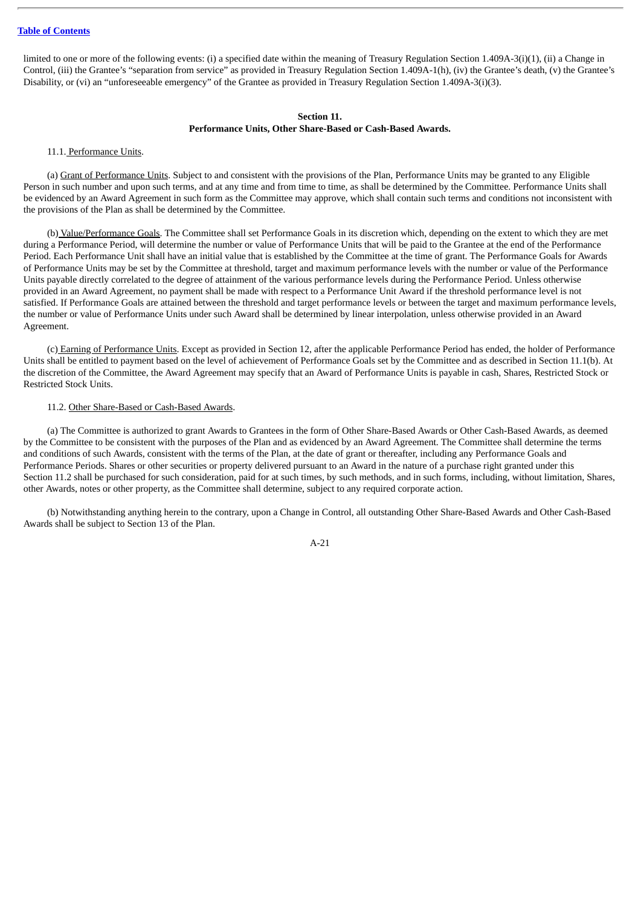limited to one or more of the following events: (i) a specified date within the meaning of Treasury Regulation Section 1.409A-3(i)(1), (ii) a Change in Control, (iii) the Grantee's "separation from service" as provided in Treasury Regulation Section 1.409A-1(h), (iv) the Grantee's death, (v) the Grantee's Disability, or (vi) an "unforeseeable emergency" of the Grantee as provided in Treasury Regulation Section 1.409A-3(i)(3).

#### **Section 11. Performance Units, Other Share-Based or Cash-Based Awards.**

#### 11.1. Performance Units.

(a) Grant of Performance Units. Subject to and consistent with the provisions of the Plan, Performance Units may be granted to any Eligible Person in such number and upon such terms, and at any time and from time to time, as shall be determined by the Committee. Performance Units shall be evidenced by an Award Agreement in such form as the Committee may approve, which shall contain such terms and conditions not inconsistent with the provisions of the Plan as shall be determined by the Committee.

(b) Value/Performance Goals. The Committee shall set Performance Goals in its discretion which, depending on the extent to which they are met during a Performance Period, will determine the number or value of Performance Units that will be paid to the Grantee at the end of the Performance Period. Each Performance Unit shall have an initial value that is established by the Committee at the time of grant. The Performance Goals for Awards of Performance Units may be set by the Committee at threshold, target and maximum performance levels with the number or value of the Performance Units payable directly correlated to the degree of attainment of the various performance levels during the Performance Period. Unless otherwise provided in an Award Agreement, no payment shall be made with respect to a Performance Unit Award if the threshold performance level is not satisfied. If Performance Goals are attained between the threshold and target performance levels or between the target and maximum performance levels, the number or value of Performance Units under such Award shall be determined by linear interpolation, unless otherwise provided in an Award Agreement.

(c) Earning of Performance Units. Except as provided in Section 12, after the applicable Performance Period has ended, the holder of Performance Units shall be entitled to payment based on the level of achievement of Performance Goals set by the Committee and as described in Section 11.1(b). At the discretion of the Committee, the Award Agreement may specify that an Award of Performance Units is payable in cash, Shares, Restricted Stock or Restricted Stock Units.

## 11.2. Other Share-Based or Cash-Based Awards.

(a) The Committee is authorized to grant Awards to Grantees in the form of Other Share-Based Awards or Other Cash-Based Awards, as deemed by the Committee to be consistent with the purposes of the Plan and as evidenced by an Award Agreement. The Committee shall determine the terms and conditions of such Awards, consistent with the terms of the Plan, at the date of grant or thereafter, including any Performance Goals and Performance Periods. Shares or other securities or property delivered pursuant to an Award in the nature of a purchase right granted under this Section 11.2 shall be purchased for such consideration, paid for at such times, by such methods, and in such forms, including, without limitation, Shares, other Awards, notes or other property, as the Committee shall determine, subject to any required corporate action.

(b) Notwithstanding anything herein to the contrary, upon a Change in Control, all outstanding Other Share-Based Awards and Other Cash-Based Awards shall be subject to Section 13 of the Plan.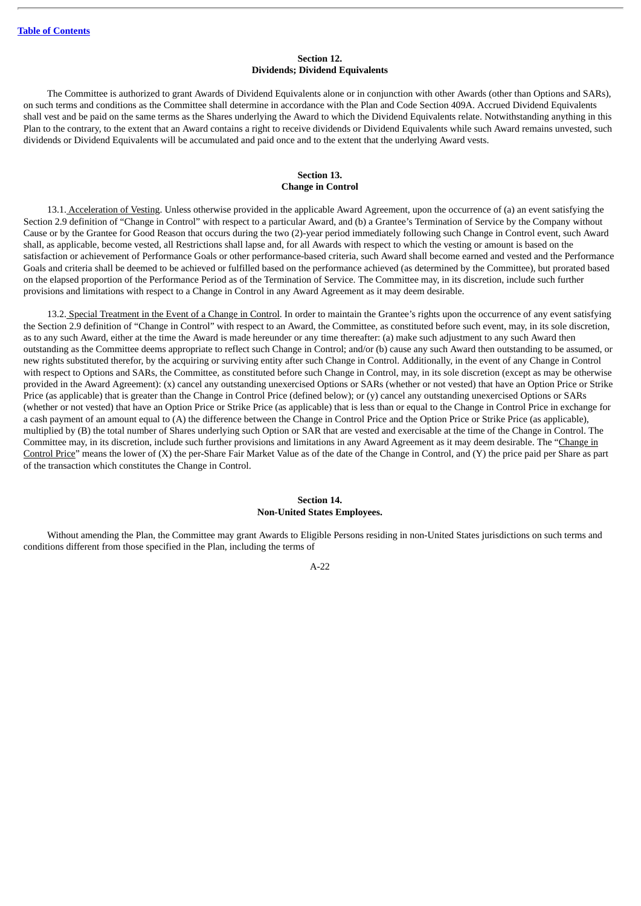#### **Section 12. Dividends; Dividend Equivalents**

The Committee is authorized to grant Awards of Dividend Equivalents alone or in conjunction with other Awards (other than Options and SARs), on such terms and conditions as the Committee shall determine in accordance with the Plan and Code Section 409A. Accrued Dividend Equivalents shall vest and be paid on the same terms as the Shares underlying the Award to which the Dividend Equivalents relate. Notwithstanding anything in this Plan to the contrary, to the extent that an Award contains a right to receive dividends or Dividend Equivalents while such Award remains unvested, such dividends or Dividend Equivalents will be accumulated and paid once and to the extent that the underlying Award vests.

# **Section 13. Change in Control**

13.1. Acceleration of Vesting. Unless otherwise provided in the applicable Award Agreement, upon the occurrence of (a) an event satisfying the Section 2.9 definition of "Change in Control" with respect to a particular Award, and (b) a Grantee's Termination of Service by the Company without Cause or by the Grantee for Good Reason that occurs during the two (2)-year period immediately following such Change in Control event, such Award shall, as applicable, become vested, all Restrictions shall lapse and, for all Awards with respect to which the vesting or amount is based on the satisfaction or achievement of Performance Goals or other performance-based criteria, such Award shall become earned and vested and the Performance Goals and criteria shall be deemed to be achieved or fulfilled based on the performance achieved (as determined by the Committee), but prorated based on the elapsed proportion of the Performance Period as of the Termination of Service. The Committee may, in its discretion, include such further provisions and limitations with respect to a Change in Control in any Award Agreement as it may deem desirable.

13.2. Special Treatment in the Event of a Change in Control. In order to maintain the Grantee's rights upon the occurrence of any event satisfying the Section 2.9 definition of "Change in Control" with respect to an Award, the Committee, as constituted before such event, may, in its sole discretion, as to any such Award, either at the time the Award is made hereunder or any time thereafter: (a) make such adjustment to any such Award then outstanding as the Committee deems appropriate to reflect such Change in Control; and/or (b) cause any such Award then outstanding to be assumed, or new rights substituted therefor, by the acquiring or surviving entity after such Change in Control. Additionally, in the event of any Change in Control with respect to Options and SARs, the Committee, as constituted before such Change in Control, may, in its sole discretion (except as may be otherwise provided in the Award Agreement): (x) cancel any outstanding unexercised Options or SARs (whether or not vested) that have an Option Price or Strike Price (as applicable) that is greater than the Change in Control Price (defined below); or (y) cancel any outstanding unexercised Options or SARs (whether or not vested) that have an Option Price or Strike Price (as applicable) that is less than or equal to the Change in Control Price in exchange for a cash payment of an amount equal to (A) the difference between the Change in Control Price and the Option Price or Strike Price (as applicable), multiplied by (B) the total number of Shares underlying such Option or SAR that are vested and exercisable at the time of the Change in Control. The Committee may, in its discretion, include such further provisions and limitations in any Award Agreement as it may deem desirable. The "Change in Control Price" means the lower of (X) the per-Share Fair Market Value as of the date of the Change in Control, and (Y) the price paid per Share as part of the transaction which constitutes the Change in Control.

# **Section 14. Non-United States Employees.**

Without amending the Plan, the Committee may grant Awards to Eligible Persons residing in non-United States jurisdictions on such terms and conditions different from those specified in the Plan, including the terms of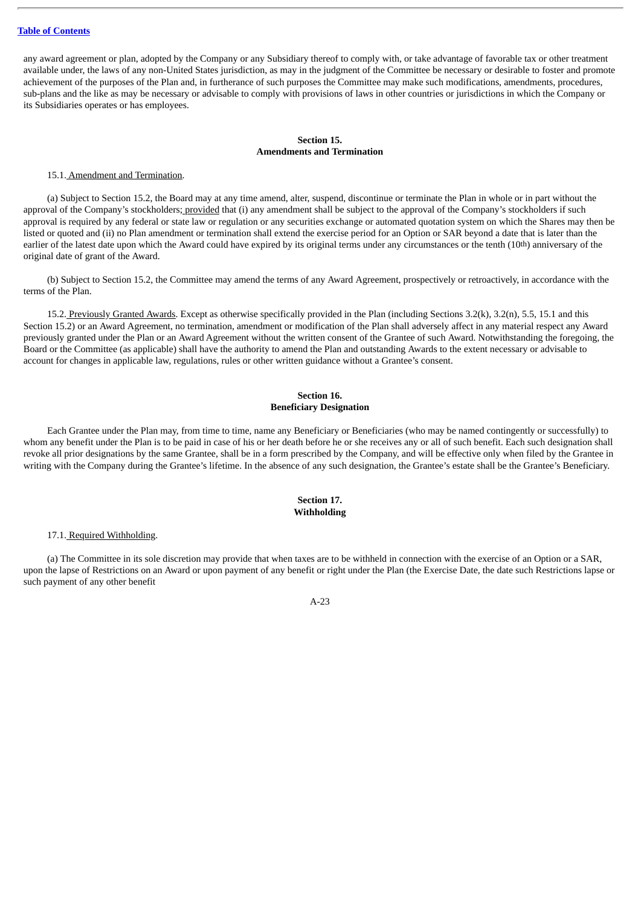any award agreement or plan, adopted by the Company or any Subsidiary thereof to comply with, or take advantage of favorable tax or other treatment available under, the laws of any non-United States jurisdiction, as may in the judgment of the Committee be necessary or desirable to foster and promote achievement of the purposes of the Plan and, in furtherance of such purposes the Committee may make such modifications, amendments, procedures, sub-plans and the like as may be necessary or advisable to comply with provisions of laws in other countries or jurisdictions in which the Company or its Subsidiaries operates or has employees.

### **Section 15. Amendments and Termination**

#### 15.1. Amendment and Termination.

(a) Subject to Section 15.2, the Board may at any time amend, alter, suspend, discontinue or terminate the Plan in whole or in part without the approval of the Company's stockholders; provided that (i) any amendment shall be subject to the approval of the Company's stockholders if such approval is required by any federal or state law or regulation or any securities exchange or automated quotation system on which the Shares may then be listed or quoted and (ii) no Plan amendment or termination shall extend the exercise period for an Option or SAR beyond a date that is later than the earlier of the latest date upon which the Award could have expired by its original terms under any circumstances or the tenth (10<sup>th</sup>) anniversary of the original date of grant of the Award.

(b) Subject to Section 15.2, the Committee may amend the terms of any Award Agreement, prospectively or retroactively, in accordance with the terms of the Plan.

15.2. Previously Granted Awards. Except as otherwise specifically provided in the Plan (including Sections 3.2(k), 3.2(n), 5.5, 15.1 and this Section 15.2) or an Award Agreement, no termination, amendment or modification of the Plan shall adversely affect in any material respect any Award previously granted under the Plan or an Award Agreement without the written consent of the Grantee of such Award. Notwithstanding the foregoing, the Board or the Committee (as applicable) shall have the authority to amend the Plan and outstanding Awards to the extent necessary or advisable to account for changes in applicable law, regulations, rules or other written guidance without a Grantee's consent.

### **Section 16. Beneficiary Designation**

Each Grantee under the Plan may, from time to time, name any Beneficiary or Beneficiaries (who may be named contingently or successfully) to whom any benefit under the Plan is to be paid in case of his or her death before he or she receives any or all of such benefit. Each such designation shall revoke all prior designations by the same Grantee, shall be in a form prescribed by the Company, and will be effective only when filed by the Grantee in writing with the Company during the Grantee's lifetime. In the absence of any such designation, the Grantee's estate shall be the Grantee's Beneficiary.

# **Section 17. Withholding**

#### 17.1. Required Withholding.

(a) The Committee in its sole discretion may provide that when taxes are to be withheld in connection with the exercise of an Option or a SAR, upon the lapse of Restrictions on an Award or upon payment of any benefit or right under the Plan (the Exercise Date, the date such Restrictions lapse or such payment of any other benefit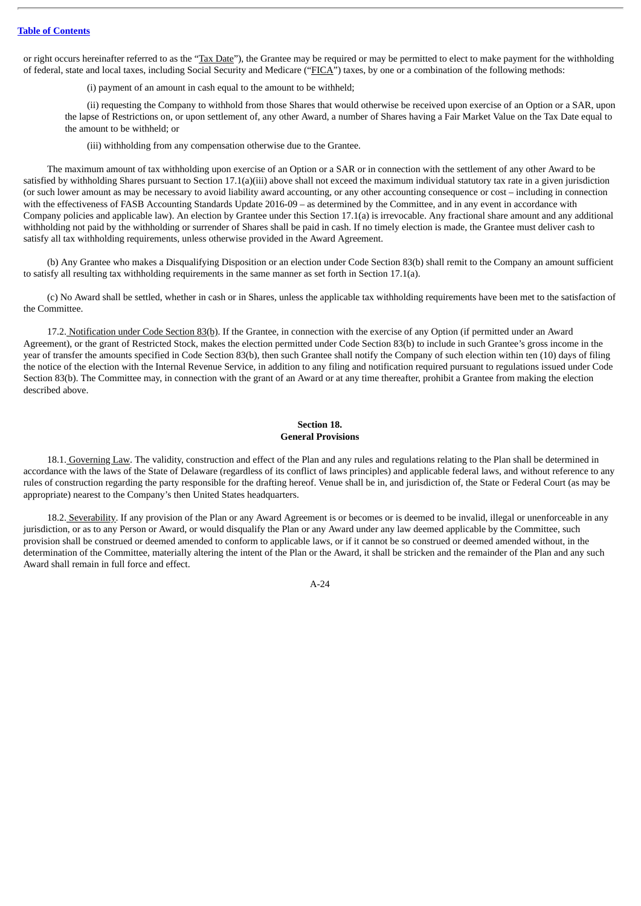or right occurs hereinafter referred to as the "Tax Date"), the Grantee may be required or may be permitted to elect to make payment for the withholding of federal, state and local taxes, including Social Security and Medicare ("FICA") taxes, by one or a combination of the following methods:

(i) payment of an amount in cash equal to the amount to be withheld;

(ii) requesting the Company to withhold from those Shares that would otherwise be received upon exercise of an Option or a SAR, upon the lapse of Restrictions on, or upon settlement of, any other Award, a number of Shares having a Fair Market Value on the Tax Date equal to the amount to be withheld; or

(iii) withholding from any compensation otherwise due to the Grantee.

The maximum amount of tax withholding upon exercise of an Option or a SAR or in connection with the settlement of any other Award to be satisfied by withholding Shares pursuant to Section 17.1(a)(iii) above shall not exceed the maximum individual statutory tax rate in a given jurisdiction (or such lower amount as may be necessary to avoid liability award accounting, or any other accounting consequence or cost – including in connection with the effectiveness of FASB Accounting Standards Update 2016-09 – as determined by the Committee, and in any event in accordance with Company policies and applicable law). An election by Grantee under this Section 17.1(a) is irrevocable. Any fractional share amount and any additional withholding not paid by the withholding or surrender of Shares shall be paid in cash. If no timely election is made, the Grantee must deliver cash to satisfy all tax withholding requirements, unless otherwise provided in the Award Agreement.

(b) Any Grantee who makes a Disqualifying Disposition or an election under Code Section 83(b) shall remit to the Company an amount sufficient to satisfy all resulting tax withholding requirements in the same manner as set forth in Section 17.1(a).

(c) No Award shall be settled, whether in cash or in Shares, unless the applicable tax withholding requirements have been met to the satisfaction of the Committee.

17.2. Notification under Code Section 83(b). If the Grantee, in connection with the exercise of any Option (if permitted under an Award Agreement), or the grant of Restricted Stock, makes the election permitted under Code Section 83(b) to include in such Grantee's gross income in the year of transfer the amounts specified in Code Section 83(b), then such Grantee shall notify the Company of such election within ten (10) days of filing the notice of the election with the Internal Revenue Service, in addition to any filing and notification required pursuant to regulations issued under Code Section 83(b). The Committee may, in connection with the grant of an Award or at any time thereafter, prohibit a Grantee from making the election described above.

#### **Section 18. General Provisions**

18.1. Governing Law. The validity, construction and effect of the Plan and any rules and regulations relating to the Plan shall be determined in accordance with the laws of the State of Delaware (regardless of its conflict of laws principles) and applicable federal laws, and without reference to any rules of construction regarding the party responsible for the drafting hereof. Venue shall be in, and jurisdiction of, the State or Federal Court (as may be appropriate) nearest to the Company's then United States headquarters.

18.2. Severability. If any provision of the Plan or any Award Agreement is or becomes or is deemed to be invalid, illegal or unenforceable in any jurisdiction, or as to any Person or Award, or would disqualify the Plan or any Award under any law deemed applicable by the Committee, such provision shall be construed or deemed amended to conform to applicable laws, or if it cannot be so construed or deemed amended without, in the determination of the Committee, materially altering the intent of the Plan or the Award, it shall be stricken and the remainder of the Plan and any such Award shall remain in full force and effect.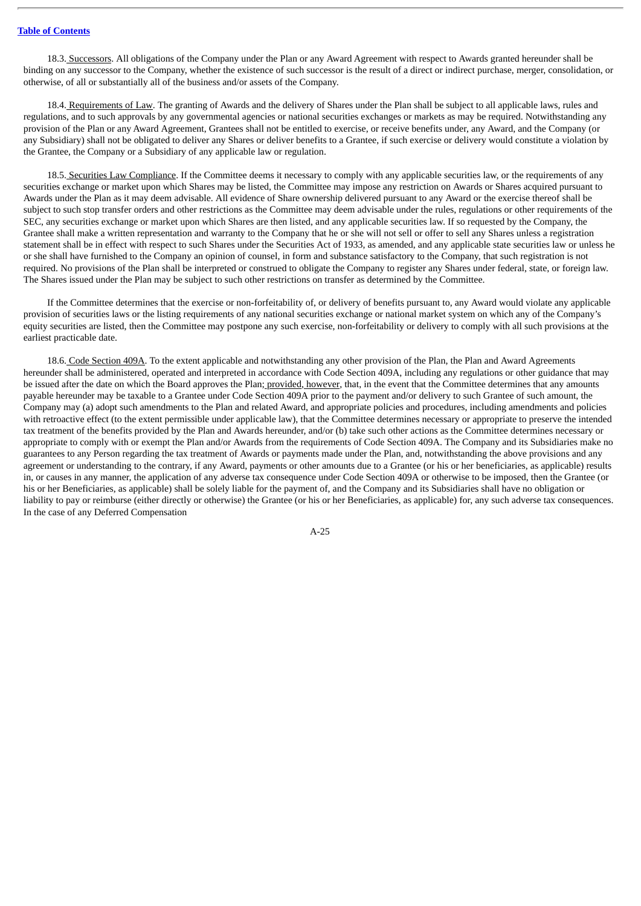## **Table of [Contents](#page-4-0)**

18.3. Successors. All obligations of the Company under the Plan or any Award Agreement with respect to Awards granted hereunder shall be binding on any successor to the Company, whether the existence of such successor is the result of a direct or indirect purchase, merger, consolidation, or otherwise, of all or substantially all of the business and/or assets of the Company.

18.4. Requirements of Law. The granting of Awards and the delivery of Shares under the Plan shall be subject to all applicable laws, rules and regulations, and to such approvals by any governmental agencies or national securities exchanges or markets as may be required. Notwithstanding any provision of the Plan or any Award Agreement, Grantees shall not be entitled to exercise, or receive benefits under, any Award, and the Company (or any Subsidiary) shall not be obligated to deliver any Shares or deliver benefits to a Grantee, if such exercise or delivery would constitute a violation by the Grantee, the Company or a Subsidiary of any applicable law or regulation.

18.5. Securities Law Compliance. If the Committee deems it necessary to comply with any applicable securities law, or the requirements of any securities exchange or market upon which Shares may be listed, the Committee may impose any restriction on Awards or Shares acquired pursuant to Awards under the Plan as it may deem advisable. All evidence of Share ownership delivered pursuant to any Award or the exercise thereof shall be subject to such stop transfer orders and other restrictions as the Committee may deem advisable under the rules, regulations or other requirements of the SEC, any securities exchange or market upon which Shares are then listed, and any applicable securities law. If so requested by the Company, the Grantee shall make a written representation and warranty to the Company that he or she will not sell or offer to sell any Shares unless a registration statement shall be in effect with respect to such Shares under the Securities Act of 1933, as amended, and any applicable state securities law or unless he or she shall have furnished to the Company an opinion of counsel, in form and substance satisfactory to the Company, that such registration is not required. No provisions of the Plan shall be interpreted or construed to obligate the Company to register any Shares under federal, state, or foreign law. The Shares issued under the Plan may be subject to such other restrictions on transfer as determined by the Committee.

If the Committee determines that the exercise or non-forfeitability of, or delivery of benefits pursuant to, any Award would violate any applicable provision of securities laws or the listing requirements of any national securities exchange or national market system on which any of the Company's equity securities are listed, then the Committee may postpone any such exercise, non-forfeitability or delivery to comply with all such provisions at the earliest practicable date.

18.6. Code Section 409A. To the extent applicable and notwithstanding any other provision of the Plan, the Plan and Award Agreements hereunder shall be administered, operated and interpreted in accordance with Code Section 409A, including any regulations or other guidance that may be issued after the date on which the Board approves the Plan; provided, however, that, in the event that the Committee determines that any amounts payable hereunder may be taxable to a Grantee under Code Section 409A prior to the payment and/or delivery to such Grantee of such amount, the Company may (a) adopt such amendments to the Plan and related Award, and appropriate policies and procedures, including amendments and policies with retroactive effect (to the extent permissible under applicable law), that the Committee determines necessary or appropriate to preserve the intended tax treatment of the benefits provided by the Plan and Awards hereunder, and/or (b) take such other actions as the Committee determines necessary or appropriate to comply with or exempt the Plan and/or Awards from the requirements of Code Section 409A. The Company and its Subsidiaries make no guarantees to any Person regarding the tax treatment of Awards or payments made under the Plan, and, notwithstanding the above provisions and any agreement or understanding to the contrary, if any Award, payments or other amounts due to a Grantee (or his or her beneficiaries, as applicable) results in, or causes in any manner, the application of any adverse tax consequence under Code Section 409A or otherwise to be imposed, then the Grantee (or his or her Beneficiaries, as applicable) shall be solely liable for the payment of, and the Company and its Subsidiaries shall have no obligation or liability to pay or reimburse (either directly or otherwise) the Grantee (or his or her Beneficiaries, as applicable) for, any such adverse tax consequences. In the case of any Deferred Compensation

A-25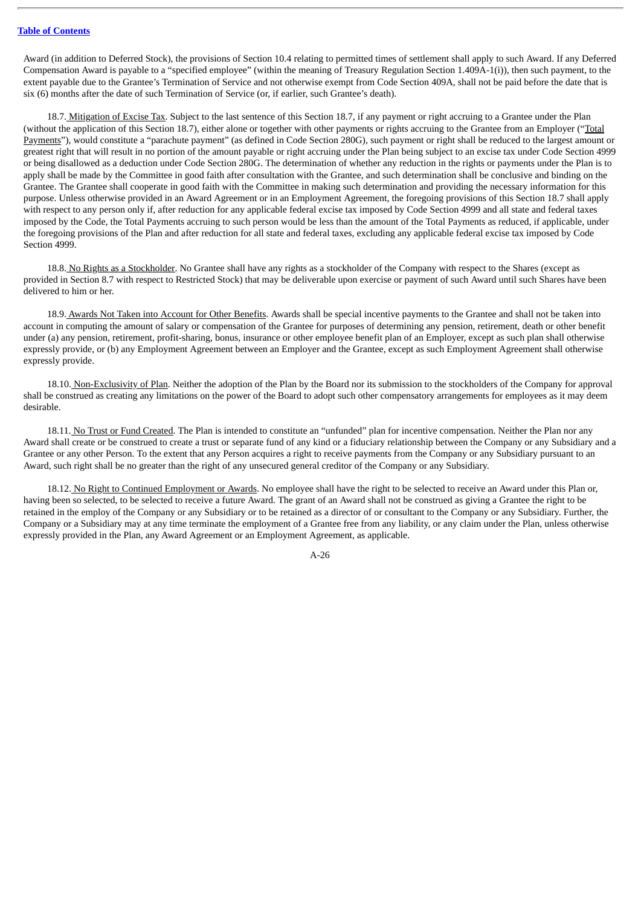Award (in addition to Deferred Stock), the provisions of Section 10.4 relating to permitted times of settlement shall apply to such Award. If any Deferred Compensation Award is payable to a "specified employee" (within the meaning of Treasury Regulation Section 1.409A-1(i)), then such payment, to the extent payable due to the Grantee's Termination of Service and not otherwise exempt from Code Section 409A, shall not be paid before the date that is six (6) months after the date of such Termination of Service (or, if earlier, such Grantee's death).

18.7. Mitigation of Excise Tax. Subject to the last sentence of this Section 18.7, if any payment or right accruing to a Grantee under the Plan (without the application of this Section 18.7), either alone or together with other payments or rights accruing to the Grantee from an Employer ("Total Payments"), would constitute a "parachute payment" (as defined in Code Section 280G), such payment or right shall be reduced to the largest amount or greatest right that will result in no portion of the amount payable or right accruing under the Plan being subject to an excise tax under Code Section 4999 or being disallowed as a deduction under Code Section 280G. The determination of whether any reduction in the rights or payments under the Plan is to apply shall be made by the Committee in good faith after consultation with the Grantee, and such determination shall be conclusive and binding on the Grantee. The Grantee shall cooperate in good faith with the Committee in making such determination and providing the necessary information for this purpose. Unless otherwise provided in an Award Agreement or in an Employment Agreement, the foregoing provisions of this Section 18.7 shall apply with respect to any person only if, after reduction for any applicable federal excise tax imposed by Code Section 4999 and all state and federal taxes imposed by the Code, the Total Payments accruing to such person would be less than the amount of the Total Payments as reduced, if applicable, under the foregoing provisions of the Plan and after reduction for all state and federal taxes, excluding any applicable federal excise tax imposed by Code Section 4999.

18.8. No Rights as a Stockholder. No Grantee shall have any rights as a stockholder of the Company with respect to the Shares (except as provided in Section 8.7 with respect to Restricted Stock) that may be deliverable upon exercise or payment of such Award until such Shares have been delivered to him or her.

18.9. Awards Not Taken into Account for Other Benefits. Awards shall be special incentive payments to the Grantee and shall not be taken into account in computing the amount of salary or compensation of the Grantee for purposes of determining any pension, retirement, death or other benefit under (a) any pension, retirement, profit-sharing, bonus, insurance or other employee benefit plan of an Employer, except as such plan shall otherwise expressly provide, or (b) any Employment Agreement between an Employer and the Grantee, except as such Employment Agreement shall otherwise expressly provide.

18.10. Non-Exclusivity of Plan. Neither the adoption of the Plan by the Board nor its submission to the stockholders of the Company for approval shall be construed as creating any limitations on the power of the Board to adopt such other compensatory arrangements for employees as it may deem desirable.

18.11. No Trust or Fund Created. The Plan is intended to constitute an "unfunded" plan for incentive compensation. Neither the Plan nor any Award shall create or be construed to create a trust or separate fund of any kind or a fiduciary relationship between the Company or any Subsidiary and a Grantee or any other Person. To the extent that any Person acquires a right to receive payments from the Company or any Subsidiary pursuant to an Award, such right shall be no greater than the right of any unsecured general creditor of the Company or any Subsidiary.

18.12. No Right to Continued Employment or Awards. No employee shall have the right to be selected to receive an Award under this Plan or, having been so selected, to be selected to receive a future Award. The grant of an Award shall not be construed as giving a Grantee the right to be retained in the employ of the Company or any Subsidiary or to be retained as a director of or consultant to the Company or any Subsidiary. Further, the Company or a Subsidiary may at any time terminate the employment of a Grantee free from any liability, or any claim under the Plan, unless otherwise expressly provided in the Plan, any Award Agreement or an Employment Agreement, as applicable.

A-26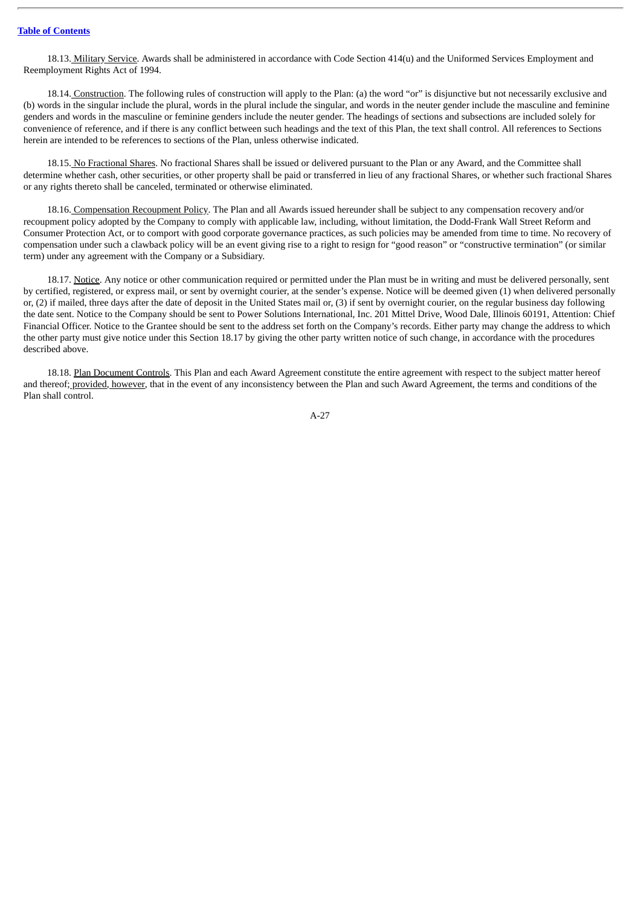18.13. Military Service. Awards shall be administered in accordance with Code Section 414(u) and the Uniformed Services Employment and Reemployment Rights Act of 1994.

18.14. Construction. The following rules of construction will apply to the Plan: (a) the word "or" is disjunctive but not necessarily exclusive and (b) words in the singular include the plural, words in the plural include the singular, and words in the neuter gender include the masculine and feminine genders and words in the masculine or feminine genders include the neuter gender. The headings of sections and subsections are included solely for convenience of reference, and if there is any conflict between such headings and the text of this Plan, the text shall control. All references to Sections herein are intended to be references to sections of the Plan, unless otherwise indicated.

18.15. No Fractional Shares. No fractional Shares shall be issued or delivered pursuant to the Plan or any Award, and the Committee shall determine whether cash, other securities, or other property shall be paid or transferred in lieu of any fractional Shares, or whether such fractional Shares or any rights thereto shall be canceled, terminated or otherwise eliminated.

18.16. Compensation Recoupment Policy. The Plan and all Awards issued hereunder shall be subject to any compensation recovery and/or recoupment policy adopted by the Company to comply with applicable law, including, without limitation, the Dodd-Frank Wall Street Reform and Consumer Protection Act, or to comport with good corporate governance practices, as such policies may be amended from time to time. No recovery of compensation under such a clawback policy will be an event giving rise to a right to resign for "good reason" or "constructive termination" (or similar term) under any agreement with the Company or a Subsidiary.

18.17. Notice. Any notice or other communication required or permitted under the Plan must be in writing and must be delivered personally, sent by certified, registered, or express mail, or sent by overnight courier, at the sender's expense. Notice will be deemed given (1) when delivered personally or, (2) if mailed, three days after the date of deposit in the United States mail or, (3) if sent by overnight courier, on the regular business day following the date sent. Notice to the Company should be sent to Power Solutions International, Inc. 201 Mittel Drive, Wood Dale, Illinois 60191, Attention: Chief Financial Officer. Notice to the Grantee should be sent to the address set forth on the Company's records. Either party may change the address to which the other party must give notice under this Section 18.17 by giving the other party written notice of such change, in accordance with the procedures described above.

18.18. Plan Document Controls. This Plan and each Award Agreement constitute the entire agreement with respect to the subject matter hereof and thereof; provided, however, that in the event of any inconsistency between the Plan and such Award Agreement, the terms and conditions of the Plan shall control.

A-27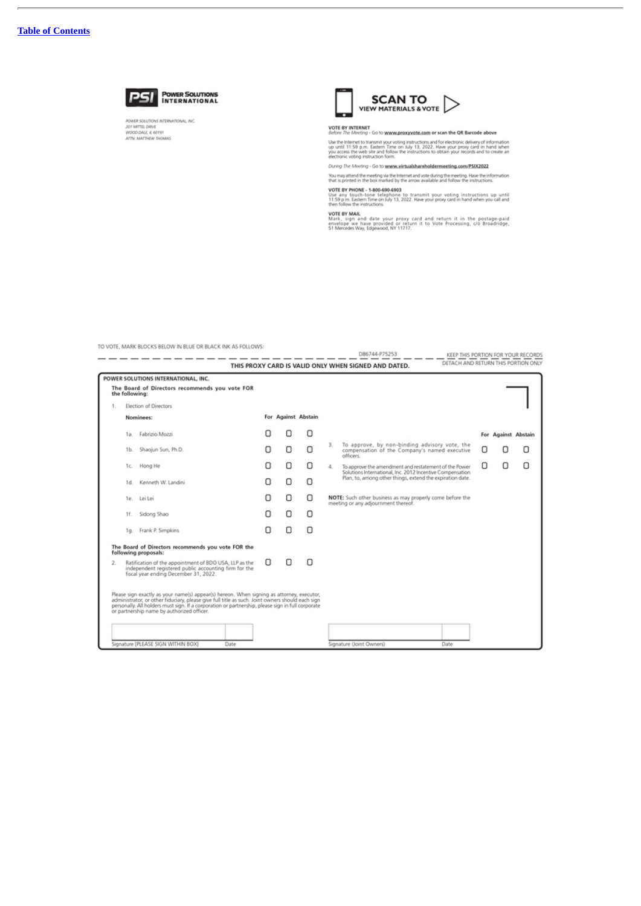$\overline{a}$ 



POWER SOLUTIONS INTERNATIONAL, INC.<br>201 MITTEL DRIVE<br>WOOD DALE, IL 60191<br>AITR: MAITHENI THOMAS



VOTE BY INTERNET<br>Before The Meeting - Go to www.proxyvote.com or scan the QR Barcode above

Use the internet to transmit your voting instructions and for electronic delivery of information up until 11:59 p.m. Eastern Time on July 13, 2022. Hive your proxy card in hand when you access the web site and follow the i

During The Meeting - Go to www.virtualshareholdermeeting.com/PSIX2022

You may attend the meeting via the Internet and vote during the meeting. Have the information that is printed in the box marked by the arrow available and follow the instructions.

D86744-P75253

VOTE BY PHONE - 1-800-690-6903<br>Use any touch-tone telephone to transmit your voting instructions up until<br>11:59 p.m. Eastern Time on July 13, 2022. Have your proxy card in hand when you call and<br>then follow the instruction

VOTE BY MAIL<br>Mark, sign and date your proxy card and return it in the postage-paid<br>envelope we have provided or return it to Vote Processing, c/o Broadridge,<br>51 Mercedes Way, Edgewood, NY 11717.

TO VOTE, MARK BLOCKS BELOW IN BLUE OR BLACK INK AS FOLLOWS:

|    |                |                                                                                                                                                                                                                                                                                                                                                  |                     |   |   |   |    | D86744-P75253                                                                                                      | KEEP THIS PORTION FOR YOUR RECORDS |   |                                     |   |  |  |
|----|----------------|--------------------------------------------------------------------------------------------------------------------------------------------------------------------------------------------------------------------------------------------------------------------------------------------------------------------------------------------------|---------------------|---|---|---|----|--------------------------------------------------------------------------------------------------------------------|------------------------------------|---|-------------------------------------|---|--|--|
|    |                | THIS PROXY CARD IS VALID ONLY WHEN SIGNED AND DATED.                                                                                                                                                                                                                                                                                             |                     |   |   |   |    |                                                                                                                    |                                    |   | DETACH AND RETURN THIS PORTION ONLY |   |  |  |
|    |                | POWER SOLUTIONS INTERNATIONAL, INC.                                                                                                                                                                                                                                                                                                              |                     |   |   |   |    |                                                                                                                    |                                    |   |                                     |   |  |  |
|    | the following: | The Board of Directors recommends you vote FOR                                                                                                                                                                                                                                                                                                   |                     |   |   |   |    |                                                                                                                    |                                    |   |                                     |   |  |  |
| 1. |                | Election of Directors                                                                                                                                                                                                                                                                                                                            |                     |   |   |   |    |                                                                                                                    |                                    |   |                                     |   |  |  |
|    | Nominees:      |                                                                                                                                                                                                                                                                                                                                                  | For Against Abstain |   |   |   |    |                                                                                                                    |                                    |   |                                     |   |  |  |
|    |                | 1a. Fabrizio Mozzi                                                                                                                                                                                                                                                                                                                               |                     |   |   | n |    |                                                                                                                    |                                    |   | For Against Abstain                 |   |  |  |
|    | 1b.            | Shaojun Sun, Ph.D.                                                                                                                                                                                                                                                                                                                               |                     | Ο | ο | Ω | 3. | To approve, by non-binding advisory vote, the<br>compensation of the Company's named executive<br>officers.        |                                    |   | Ο                                   | О |  |  |
|    | 1c.            | Hong He                                                                                                                                                                                                                                                                                                                                          |                     | Ω | ο | Ω | 4. | To approve the amendment and restatement of the Power<br>Solutions International, Inc. 2012 Incentive Compensation |                                    | Ω | о                                   | о |  |  |
|    | 1d.            | Kenneth W. Landini                                                                                                                                                                                                                                                                                                                               |                     | Ω | ο | Ω |    | Plan, to, among other things, extend the expiration date.                                                          |                                    |   |                                     |   |  |  |
|    |                | 1e. Lei Lei                                                                                                                                                                                                                                                                                                                                      |                     | ο | ο | ο |    | NOTE: Such other business as may properly come before the<br>meeting or any adjournment thereof.                   |                                    |   |                                     |   |  |  |
|    | 1f.            | Sidong Shao                                                                                                                                                                                                                                                                                                                                      |                     | Ω | Ω | Ω |    |                                                                                                                    |                                    |   |                                     |   |  |  |
|    | 1a.            | Frank P. Simpkins                                                                                                                                                                                                                                                                                                                                |                     | Ω | Ω | Ω |    |                                                                                                                    |                                    |   |                                     |   |  |  |
|    |                | The Board of Directors recommends you vote FOR the<br>following proposals:                                                                                                                                                                                                                                                                       |                     |   |   |   |    |                                                                                                                    |                                    |   |                                     |   |  |  |
| 2. |                | Ratification of the appointment of BDO USA, LLP as the<br>independent registered public accounting firm for the<br>fiscal year ending December 31, 2022.                                                                                                                                                                                         |                     | 0 | Ω | n |    |                                                                                                                    |                                    |   |                                     |   |  |  |
|    |                |                                                                                                                                                                                                                                                                                                                                                  |                     |   |   |   |    |                                                                                                                    |                                    |   |                                     |   |  |  |
|    |                | Please sign exactly as your name(s) appear(s) hereon. When signing as attorney, executor,<br>administrator, or other fiduciary, please give full title as such. Joint owners should each sign<br>personally. All holders must sign. If a corporation or partnership, please sign in full corporate<br>or partnership name by authorized officer. |                     |   |   |   |    |                                                                                                                    |                                    |   |                                     |   |  |  |
|    |                |                                                                                                                                                                                                                                                                                                                                                  |                     |   |   |   |    |                                                                                                                    |                                    |   |                                     |   |  |  |
|    |                | Signature [PLEASE SIGN WITHIN BOX]                                                                                                                                                                                                                                                                                                               | Date                |   |   |   |    | Signature (Joint Owners)                                                                                           | Date                               |   |                                     |   |  |  |